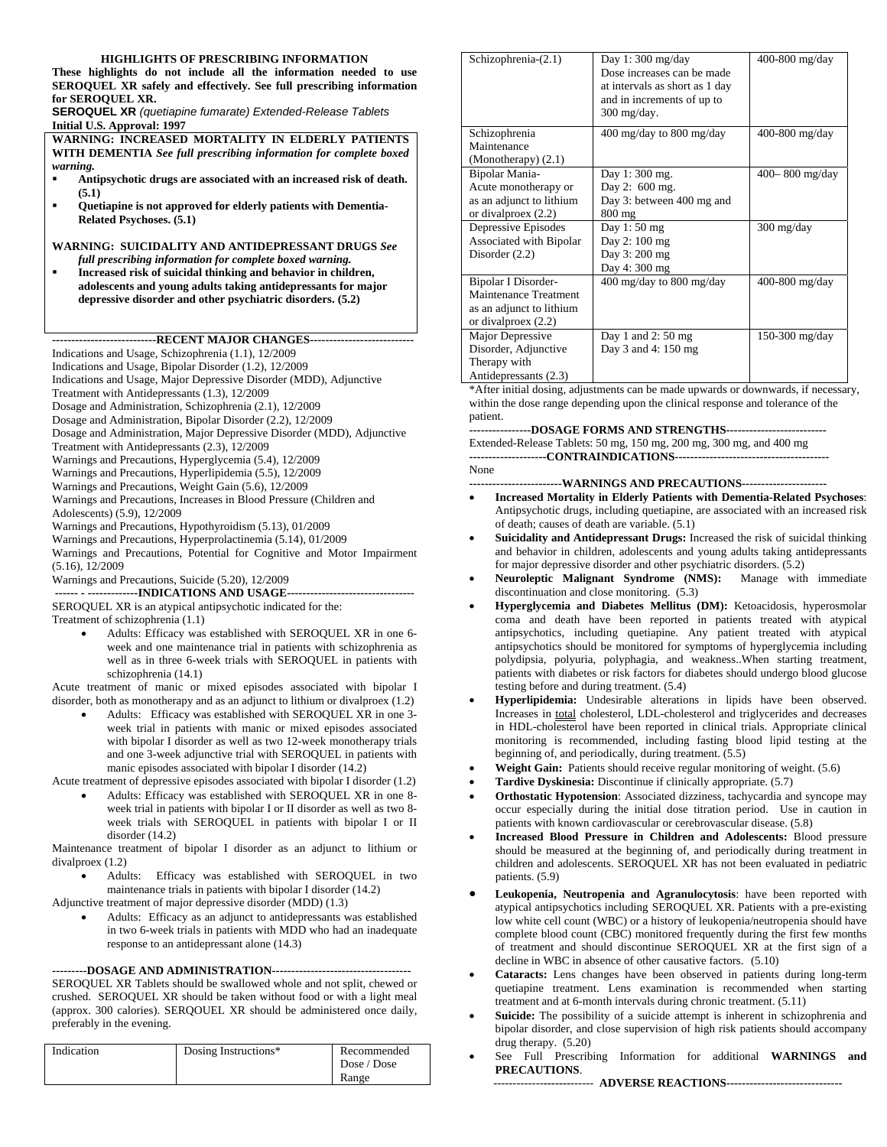#### **HIGHLIGHTS OF PRESCRIBING INFORMATION**

**These highlights do not include all the information needed to use SEROQUEL XR safely and effectively. See full prescribing information for SEROQUEL XR.** 

**SEROQUEL XR** *(quetiapine fumarate) Extended-Release Tablets*  **Initial U.S. Approval: 1997** 

| шиан С.э. друготан 1997                                                    |
|----------------------------------------------------------------------------|
| WARNING: INCREASED MORTALITY IN ELDERLY PATIENTS                           |
| WITH DEMENTIA See full prescribing information for complete boxed          |
| warning.                                                                   |
| Antipsychotic drugs are associated with an increased risk of death.<br>п   |
| (5.1)                                                                      |
| <b>Ouetiapine is not approved for elderly patients with Dementia-</b><br>٠ |
| <b>Related Psychoses.</b> (5.1)                                            |
| WARNING: SUICIDALITY AND ANTIDEPRESSANT DRUGS See                          |
| full prescribing information for complete boxed warning.                   |
| Increased risk of suicidal thinking and behavior in children,<br>٠         |
| adolescents and young adults taking antidepressants for major              |
| depressive disorder and other psychiatric disorders. (5.2)                 |
|                                                                            |
|                                                                            |
|                                                                            |

#### **---------------------------RECENT MAJOR CHANGES---------------------------**

Indications and Usage, Schizophrenia (1.1), 12/2009

Indications and Usage, Bipolar Disorder (1.2), 12/2009 Indications and Usage, Major Depressive Disorder (MDD), Adjunctive

- Treatment with Antidepressants (1.3), 12/2009
- Dosage and Administration, Schizophrenia (2.1), 12/2009

Dosage and Administration, Bipolar Disorder (2.2), 12/2009

- Dosage and Administration, Major Depressive Disorder (MDD), Adjunctive
- Treatment with Antidepressants (2.3), 12/2009

Warnings and Precautions, Hyperglycemia (5.4), 12/2009

Warnings and Precautions, Hyperlipidemia (5.5), 12/2009

Warnings and Precautions, Weight Gain (5.6), 12/2009

Warnings and Precautions, Increases in Blood Pressure (Children and Adolescents) (5.9), 12/2009

Warnings and Precautions, Hypothyroidism (5.13), 01/2009

Warnings and Precautions, Hyperprolactinemia (5.14), 01/2009

Warnings and Precautions, Potential for Cognitive and Motor Impairment (5.16), 12/2009

Warnings and Precautions, Suicide (5.20), 12/2009

 **------ - -------------INDICATIONS AND USAGE---------------------------------** 

SEROQUEL XR is an atypical antipsychotic indicated for the:

Treatment of schizophrenia (1.1)

Adults: Efficacy was established with SEROQUEL XR in one 6week and one maintenance trial in patients with schizophrenia as well as in three 6-week trials with SEROQUEL in patients with schizophrenia (14.1)

Acute treatment of manic or mixed episodes associated with bipolar I disorder, both as monotherapy and as an adjunct to lithium or divalproex (1.2)

Adults: Efficacy was established with SEROQUEL XR in one 3week trial in patients with manic or mixed episodes associated with bipolar I disorder as well as two 12-week monotherapy trials and one 3-week adjunctive trial with SEROQUEL in patients with manic episodes associated with bipolar I disorder (14.2)

Acute treatment of depressive episodes associated with bipolar I disorder (1.2)

Adults: Efficacy was established with SEROQUEL XR in one 8week trial in patients with bipolar I or II disorder as well as two 8 week trials with SEROQUEL in patients with bipolar I or II disorder (14.2)

Maintenance treatment of bipolar I disorder as an adjunct to lithium or divalproex (1.2)

 maintenance trials in patients with bipolar I disorder (14.2) Adults: Efficacy was established with SEROQUEL in two

Adjunctive treatment of major depressive disorder (MDD) (1.3)

Adults: Efficacy as an adjunct to antidepressants was established in two 6-week trials in patients with MDD who had an inadequate response to an antidepressant alone (14.3)

**---------DOSAGE AND ADMINISTRATION------------------------------------** 

SEROQUEL XR Tablets should be swallowed whole and not split, chewed or crushed. SEROQUEL XR should be taken without food or with a light meal (approx. 300 calories). SERQOUEL XR should be administered once daily, preferably in the evening.

| Indication | Dosing Instructions* | Recommended |
|------------|----------------------|-------------|
|            |                      | Dose / Does |
|            |                      | Range       |

| Schizophrenia-(2.1)      | Day 1:300 mg/day<br>Dose increases can be made<br>at intervals as short as 1 day<br>and in increments of up to<br>$300$ mg/day. | $400-800$ mg/day   |
|--------------------------|---------------------------------------------------------------------------------------------------------------------------------|--------------------|
| Schizophrenia            | 400 mg/day to 800 mg/day                                                                                                        | 400-800 mg/day     |
| Maintenance              |                                                                                                                                 |                    |
| (Monotherapy) (2.1)      |                                                                                                                                 |                    |
| Bipolar Mania-           | Day 1:300 mg.                                                                                                                   | $400 - 800$ mg/day |
| Acute monotherapy or     | Day 2: 600 mg.                                                                                                                  |                    |
| as an adjunct to lithium | Day 3: between 400 mg and                                                                                                       |                    |
| or divalproex $(2.2)$    | $800$ mg                                                                                                                        |                    |
| Depressive Episodes      | Day 1:50 mg                                                                                                                     | $300$ mg/day       |
| Associated with Bipolar  | Day 2: 100 mg                                                                                                                   |                    |
| Disorder $(2.2)$         | Day 3: 200 mg                                                                                                                   |                    |
|                          | Day 4:300 mg                                                                                                                    |                    |
| Bipolar I Disorder-      | $400 \text{ mg/day}$ to $800 \text{ mg/day}$                                                                                    | $400-800$ mg/day   |
| Maintenance Treatment    |                                                                                                                                 |                    |
| as an adjunct to lithium |                                                                                                                                 |                    |
| or divalproex $(2.2)$    |                                                                                                                                 |                    |
| Major Depressive         | Day 1 and 2:50 mg                                                                                                               | $150-300$ mg/day   |
| Disorder, Adjunctive     | Day 3 and 4: 150 mg                                                                                                             |                    |
| Therapy with             |                                                                                                                                 |                    |
| Antidepressants (2.3)    |                                                                                                                                 |                    |

 patient. \*After initial dosing, adjustments can be made upwards or downwards, if necessary, within the dose range depending upon the clinical response and tolerance of the

 Extended-Release Tablets: 50 mg, 150 mg, 200 mg, 300 mg, and 400 mg **----------------DOSAGE FORMS AND STRENGTHS-------------------------- --------------------CONTRAINDICATIONS----------------------------------------**  None

**------------------------WARNINGS AND PRECAUTIONS----------------------** 

- **Increased Mortality in Elderly Patients with Dementia-Related Psychoses:** Antipsychotic drugs, including quetiapine, are associated with an increased risk of death; causes of death are variable. (5.1)
- Suicidality and Antidepressant Drugs: Increased the risk of suicidal thinking and behavior in children, adolescents and young adults taking antidepressants for major depressive disorder and other psychiatric disorders. (5.2)
- **Neuroleptic Malignant Syndrome (NMS):** Manage with immediate discontinuation and close monitoring. (5.3)
- testing before and during treatment. (5.4) Hyperglycemia and Diabetes Mellitus (DM): Ketoacidosis, hyperosmolar coma and death have been reported in patients treated with atypical antipsychotics, including quetiapine. Any patient treated with atypical antipsychotics should be monitored for symptoms of hyperglycemia including polydipsia, polyuria, polyphagia, and weakness..When starting treatment, patients with diabetes or risk factors for diabetes should undergo blood glucose
- **Hyperlipidemia:** Undesirable alterations in lipids have been observed. Increases in total cholesterol, LDL-cholesterol and triglycerides and decreases in HDL-cholesterol have been reported in clinical trials. Appropriate clinical monitoring is recommended, including fasting blood lipid testing at the beginning of, and periodically, during treatment. (5.5)
- **Weight Gain:** Patients should receive regular monitoring of weight. (5.6)
- **Tardive Dyskinesia:** Discontinue if clinically appropriate. (5.7)
- **Orthostatic Hypotension:** Associated dizziness, tachycardia and syncope may occur especially during the initial dose titration period. Use in caution in patients with known cardiovascular or cerebrovascular disease. (5.8)
- **Increased Blood Pressure in Children and Adolescents: Blood pressure** should be measured at the beginning of, and periodically during treatment in children and adolescents. SEROQUEL XR has not been evaluated in pediatric patients. (5.9)
- atypical antipsychotics including SEROQUEL XR. Patients with a pre-existing decline in WBC in absence of other causative factors. (5.10) Leukopenia, Neutropenia and Agranulocytosis: have been reported with low white cell count (WBC) or a history of leukopenia/neutropenia should have complete blood count (CBC) monitored frequently during the first few months of treatment and should discontinue SEROQUEL XR at the first sign of a
- Cataracts: Lens changes have been observed in patients during long-term quetiapine treatment. Lens examination is recommended when starting treatment and at 6-month intervals during chronic treatment. (5.11)
- drug therapy. (5.20) **Suicide:** The possibility of a suicide attempt is inherent in schizophrenia and bipolar disorder, and close supervision of high risk patients should accompany
- See Full Prescribing Information for additional **WARNINGS** and **PRECAUTIONS**.

-------------**-------**------ **ADVERSE REACTIONS------------------------------**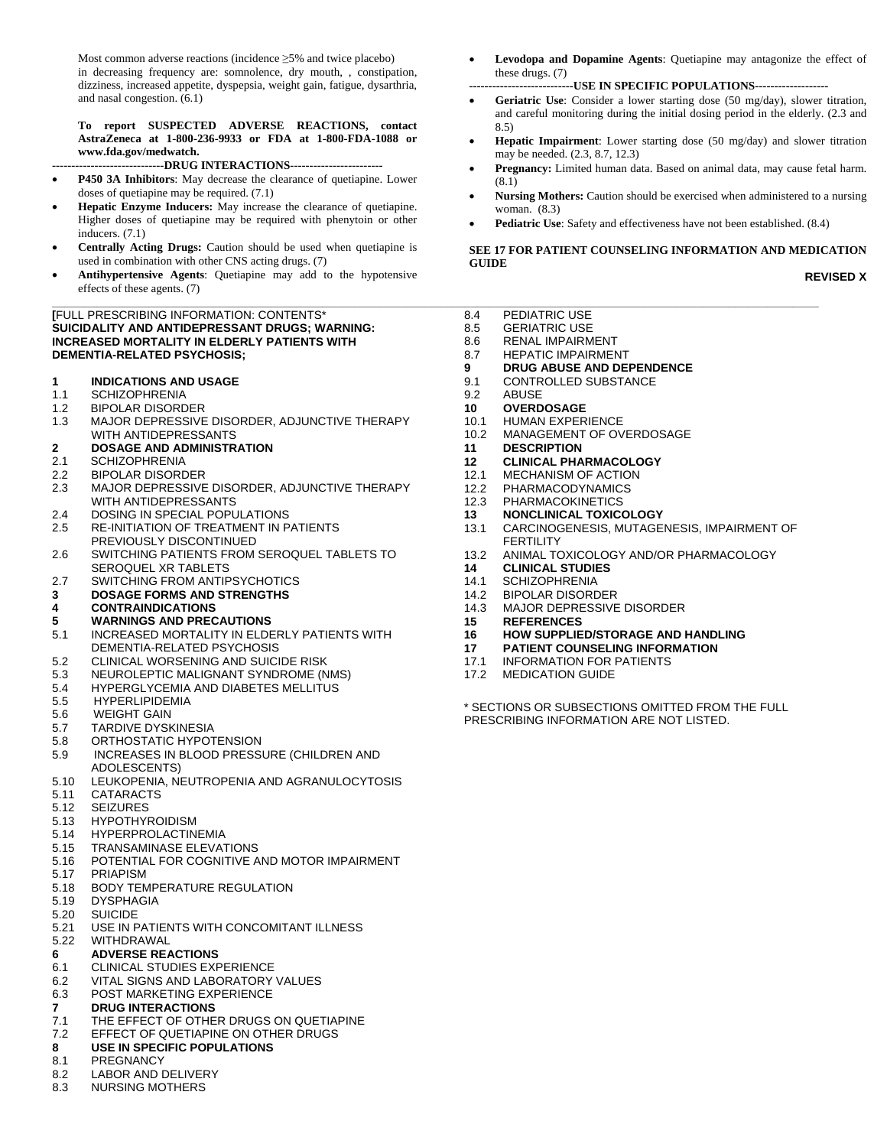Most common adverse reactions (incidence  $\geq$ 5% and twice placebo) and nasal congestion. (6.1) in decreasing frequency are: somnolence, dry mouth, , constipation, dizziness, increased appetite, dyspepsia, weight gain, fatigue, dysarthria,

**To report SUSPECTED ADVERSE REACTIONS, contact AstraZeneca at 1-800-236-9933 or FDA at 1-800-FDA-1088 or www.fda.gov/medwatch.** 

- **-----------------------------DRUG INTERACTIONS------------------------**
- doses of quetiapine may be required. (7.1) P450 3A Inhibitors: May decrease the clearance of quetiapine. Lower
- **Hepatic Enzyme Inducers:** May increase the clearance of quetiapine. Higher doses of quetiapine may be required with phenytoin or other inducers. (7.1)
- used in combination with other CNS acting drugs. (7) Centrally Acting Drugs: Caution should be used when quetiapine is
- Antihypertensive Agents: Quetiapine may add to the hypotensive effects of these agents. (7)

#### **SUICIDALITY AND ANTIDEPRESSANT DRUGS; WARNING: [**FULL PRESCRIBING INFORMATION: CONTENTS\* **INCREASED MORTALITY IN ELDERLY PATIENTS WITH DEMENTIA-RELATED PSYCHOSIS;**

- **1 INDICATIONS AND USAGE**<br>1.1 SCHIZOPHRENIA
- **SCHIZOPHRENIA**
- 1.2 BIPOLAR DISORDER<br>1.3 MAJOR DEPRESSIVE
- MAJOR DEPRESSIVE DISORDER, ADJUNCTIVE THERAPY WITH ANTIDEPRESSANTS
- **2 DOSAGE AND ADMINISTRATION**
- 2.1 SCHIZOPHRENIA
- 2.2 BIPOLAR DISORDER
- 2.3 MAJOR DEPRESSIVE DISORDER, ADJUNCTIVE THERAPY WITH ANTIDEPRESSANTS
- 2.4 DOSING IN SPECIAL POPULATIONS<br>2.5 RE-INITIATION OF TREATMENT IN P
- RE-INITIATION OF TREATMENT IN PATIENTS PREVIOUSLY DISCONTINUED
- 2.6 SWITCHING PATIENTS FROM SEROQUEL TABLETS TO SEROQUEL XR TABLETS
- 2.7 SWITCHING FROM ANTIPSYCHOTICS<br>3 DOSAGE FORMS AND STRENGTHS
- **3 DOSAGE FORMS AND STRENGTHS**
- **4 CONTRAINDICATIONS**
- **5 WARNINGS AND PRECAUTIONS**
- 5.1 INCREASED MORTALITY IN ELDERLY PATIENTS WITH DEMENTIA-RELATED PSYCHOSIS
- 5.2 CLINICAL WORSENING AND SUICIDE RISK
- 5.3 NEUROLEPTIC MALIGNANT SYNDROME (NMS) 5.4 HYPERGLYCEMIA AND DIABETES MELLITUS
- 
- 5.5 HYPERLIPIDEMIA
- 5.6 WEIGHT GAIN
- 5.7 TARDIVE DYSKINESIA<br>5.8 ORTHOSTATIC HYPOT
- 
- 5.8 ORTHOSTATIC HYPOTENSION<br>5.9 INCREASES IN BLOOD PRESS INCREASES IN BLOOD PRESSURE (CHILDREN AND ADOLESCENTS)
- 5.10 LEUKOPENIA, NEUTROPENIA AND AGRANULOCYTOSIS<br>5.11 CATARACTS
- **CATARACTS**
- 5.12 SEIZURES
- 5.13 HYPOTHYROIDISM<br>5.14 HYPERPROLACTIN
- **HYPERPROLACTINEMIA**
- 5.15 TRANSAMINASE ELEVATIONS
- 5.16 POTENTIAL FOR COGNITIVE AND MOTOR IMPAIRMENT
- 5.17 PRIAPISM<br>5.18 BODY TEM
- BODY TEMPERATURE REGULATION
- 5.19 DYSPHAGIA<br>5.20 SUICIDE
- **SUICIDE**
- 5.21 USE IN PATIENTS WITH CONCOMITANT ILLNESS<br>5.22 WITHDRAWAL WITHDRAWAL
- **6 ADVERSE REACTIONS**
- 6.1 CLINICAL STUDIES EXPERIENCE
- 6.2 VITAL SIGNS AND LABORATORY VALUES
- 6.3 POST MARKETING EXPERIENCE<br>7 DRUG INTERACTIONS
- **7 DRUG INTERACTIONS**
- 7.1 THE EFFECT OF OTHER DRUGS ON QUETIAPINE
- 7.2 EFFECT OF QUETIAPINE ON OTHER DRUGS
- **8 USE IN SPECIFIC POPULATIONS**<br>8.1 **PREGNANCY**
- PREGNANCY
- 8.2 LABOR AND DELIVERY<br>8.3 NURSING MOTHERS
- **NURSING MOTHERS**

Levodopa and Dopamine Agents: Quetiapine may antagonize the effect of these drugs. (7)

**---USE IN SPECIFIC POPULATIONS--------**

- Geriatric Use: Consider a lower starting dose (50 mg/day), slower titration, and careful monitoring during the initial dosing period in the elderly. (2.3 and 8.5)
- **Hepatic Impairment**: Lower starting dose (50 mg/day) and slower titration may be needed. (2.3, 8.7, 12.3)
- • **Pregnancy:** Limited human data. Based on animal data, may cause fetal harm. (8.1)
- **Nursing Mothers:** Caution should be exercised when administered to a nursing woman. (8.3)
- Pediatric Use: Safety and effectiveness have not been established. (8.4)

 **GUIDE SEE 17 FOR PATIENT COUNSELING INFORMATION AND MEDICATION** 

**\_\_\_\_\_\_\_\_\_\_\_\_\_\_\_\_\_\_\_\_\_\_\_\_\_\_\_\_\_\_\_\_\_\_\_\_\_\_\_\_\_\_\_\_\_\_\_\_\_\_\_\_\_\_\_\_\_\_\_\_\_\_\_\_\_\_\_\_\_\_\_\_\_\_\_\_\_\_\_\_\_\_\_\_\_\_\_\_\_\_\_\_\_\_\_\_\_\_\_\_\_\_\_\_\_\_\_\_\_\_\_\_\_\_\_\_\_\_\_** 

**REVISED X** 

- 8.4 PEDIATRIC USE
- 8.5 GERIATRIC USE<br>8.6 RENAL IMPAIRM
- RENAL IMPAIRMENT
- 8.7 HEPATIC IMPAIRMENT
- **9 DRUG ABUSE AND DEPENDENCE**<br>9.1 CONTROLLED SUBSTANCE
- 9.1 CONTROLLED SUBSTANCE<br>9.2 ABUSE
- **ABUSE**
- **10 OVERDOSAGE**<br>
10.1 HUMAN EXPER
- **HUMAN EXPERIENCE**
- 10.2 MANAGEMENT OF OVERDOSAGE
- **11 DESCRIPTION**
- **12 CLINICAL PHARMACOLOGY**
- 12.1 MECHANISM OF ACTION
- 
- 12.2 PHARMACODYNAMICS<br>12.3 PHARMACOKINETICS
- 12.3 PHARMACOKINETICS<br>13 NONCLINICAL TOXICO
- **13 NONCLINICAL TOXICOLOGY**<br>13.1 CARCINOGENESIS, MUTAGE CARCINOGENESIS, MUTAGENESIS, IMPAIRMENT OF FERTILITY
- 13.2 ANIMAL TOXICOLOGY AND/OR PHARMACOLOGY
- **14 CLINICAL STUDIES**
- **SCHIZOPHRENIA**
- $14.2$ 14.2 BIPOLAR DISORDER
- 14.3 MAJOR DEPRESSIVE DISORDER<br>15 REFERENCES
- **15 REFERENCES**
- **HOW SUPPLIED/STORAGE AND HANDLING**
- **17 PATIENT COUNSELING INFORMATION**
- INFORMATION FOR PATIENTS
- $17.2$ **MEDICATION GUIDE**

\* SECTIONS OR SUBSECTIONS OMITTED FROM THE FULL PRESCRIBING INFORMATION ARE NOT LISTED.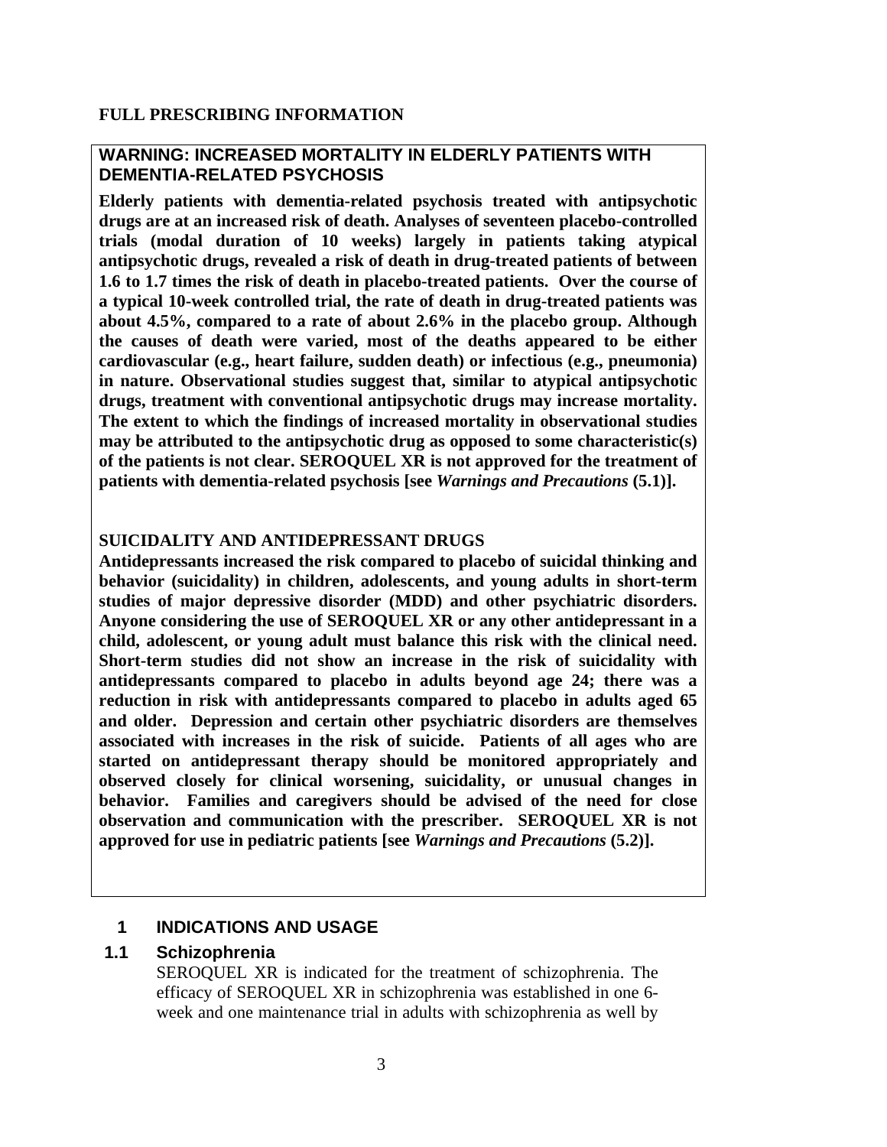#### **FULL PRESCRIBING INFORMATION**

### **WARNING: INCREASED MORTALITY IN ELDERLY PATIENTS WITH DEMENTIA-RELATED PSYCHOSIS**

**Elderly patients with dementia-related psychosis treated with antipsychotic drugs are at an increased risk of death. Analyses of seventeen placebo-controlled trials (modal duration of 10 weeks) largely in patients taking atypical antipsychotic drugs, revealed a risk of death in drug-treated patients of between 1.6 to 1.7 times the risk of death in placebo-treated patients. Over the course of a typical 10-week controlled trial, the rate of death in drug-treated patients was about 4.5%, compared to a rate of about 2.6% in the placebo group. Although the causes of death were varied, most of the deaths appeared to be either cardiovascular (e.g., heart failure, sudden death) or infectious (e.g., pneumonia) in nature. Observational studies suggest that, similar to atypical antipsychotic drugs, treatment with conventional antipsychotic drugs may increase mortality. The extent to which the findings of increased mortality in observational studies may be attributed to the antipsychotic drug as opposed to some characteristic(s) of the patients is not clear. SEROQUEL XR is not approved for the treatment of patients with dementia-related psychosis [see** *Warnings and Precautions* **(5.1)].** 

#### **SUICIDALITY AND ANTIDEPRESSANT DRUGS**

**Antidepressants increased the risk compared to placebo of suicidal thinking and behavior (suicidality) in children, adolescents, and young adults in short-term studies of major depressive disorder (MDD) and other psychiatric disorders. Anyone considering the use of SEROQUEL XR or any other antidepressant in a child, adolescent, or young adult must balance this risk with the clinical need. Short-term studies did not show an increase in the risk of suicidality with antidepressants compared to placebo in adults beyond age 24; there was a reduction in risk with antidepressants compared to placebo in adults aged 65 and older. Depression and certain other psychiatric disorders are themselves associated with increases in the risk of suicide. Patients of all ages who are started on antidepressant therapy should be monitored appropriately and observed closely for clinical worsening, suicidality, or unusual changes in behavior. Families and caregivers should be advised of the need for close observation and communication with the prescriber. SEROQUEL XR is not approved for use in pediatric patients [see** *Warnings and Precautions* **(5.2)].** 

#### **1 INDICATIONS AND USAGE**

#### **1.1 Schizophrenia**

SEROQUEL XR is indicated for the treatment of schizophrenia. The efficacy of SEROQUEL XR in schizophrenia was established in one 6 week and one maintenance trial in adults with schizophrenia as well by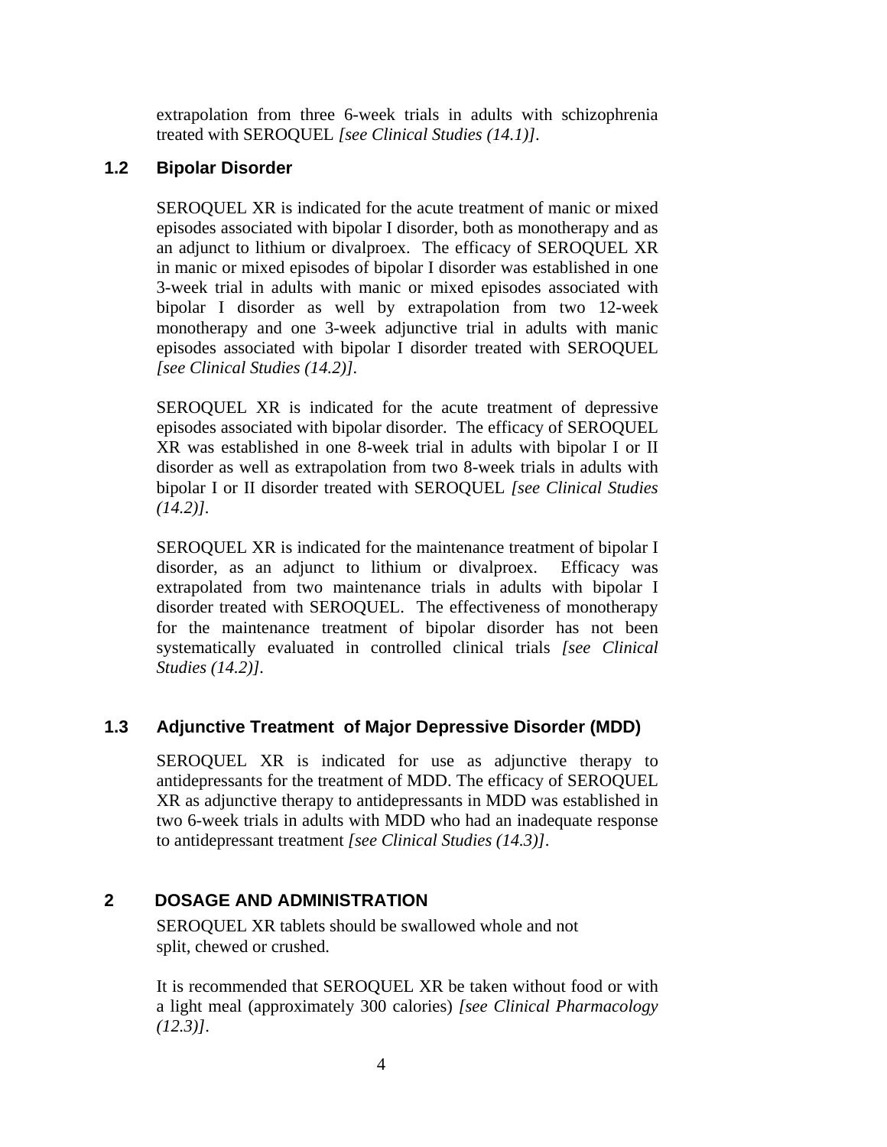extrapolation from three 6-week trials in adults with schizophrenia treated with SEROQUEL *[see Clinical Studies (14.1)]*.

### **1.2 Bipolar Disorder**

SEROQUEL XR is indicated for the acute treatment of manic or mixed episodes associated with bipolar I disorder, both as monotherapy and as an adjunct to lithium or divalproex. The efficacy of SEROQUEL XR in manic or mixed episodes of bipolar I disorder was established in one 3-week trial in adults with manic or mixed episodes associated with bipolar I disorder as well by extrapolation from two 12-week monotherapy and one 3-week adjunctive trial in adults with manic episodes associated with bipolar I disorder treated with SEROQUEL *[see Clinical Studies (14.2)].* 

SEROQUEL XR is indicated for the acute treatment of depressive episodes associated with bipolar disorder. The efficacy of SEROQUEL XR was established in one 8-week trial in adults with bipolar I or II disorder as well as extrapolation from two 8-week trials in adults with bipolar I or II disorder treated with SEROQUEL *[see Clinical Studies (14.2)].* 

SEROQUEL XR is indicated for the maintenance treatment of bipolar I disorder, as an adjunct to lithium or divalproex. Efficacy was extrapolated from two maintenance trials in adults with bipolar I disorder treated with SEROQUEL. The effectiveness of monotherapy for the maintenance treatment of bipolar disorder has not been systematically evaluated in controlled clinical trials *[see Clinical Studies (14.2)].* 

### **1.3 Adjunctive Treatment of Major Depressive Disorder (MDD)**

SEROQUEL XR is indicated for use as adjunctive therapy to antidepressants for the treatment of MDD. The efficacy of SEROQUEL XR as adjunctive therapy to antidepressants in MDD was established in two 6-week trials in adults with MDD who had an inadequate response to antidepressant treatment *[see Clinical Studies (14.3)]*.

### **2 DOSAGE AND ADMINISTRATION**

split, chewed or crushed. SEROQUEL XR tablets should be swallowed whole and not

It is recommended that SEROQUEL XR be taken without food or with a light meal (approximately 300 calories) *[see Clinical Pharmacology (12.3)]*.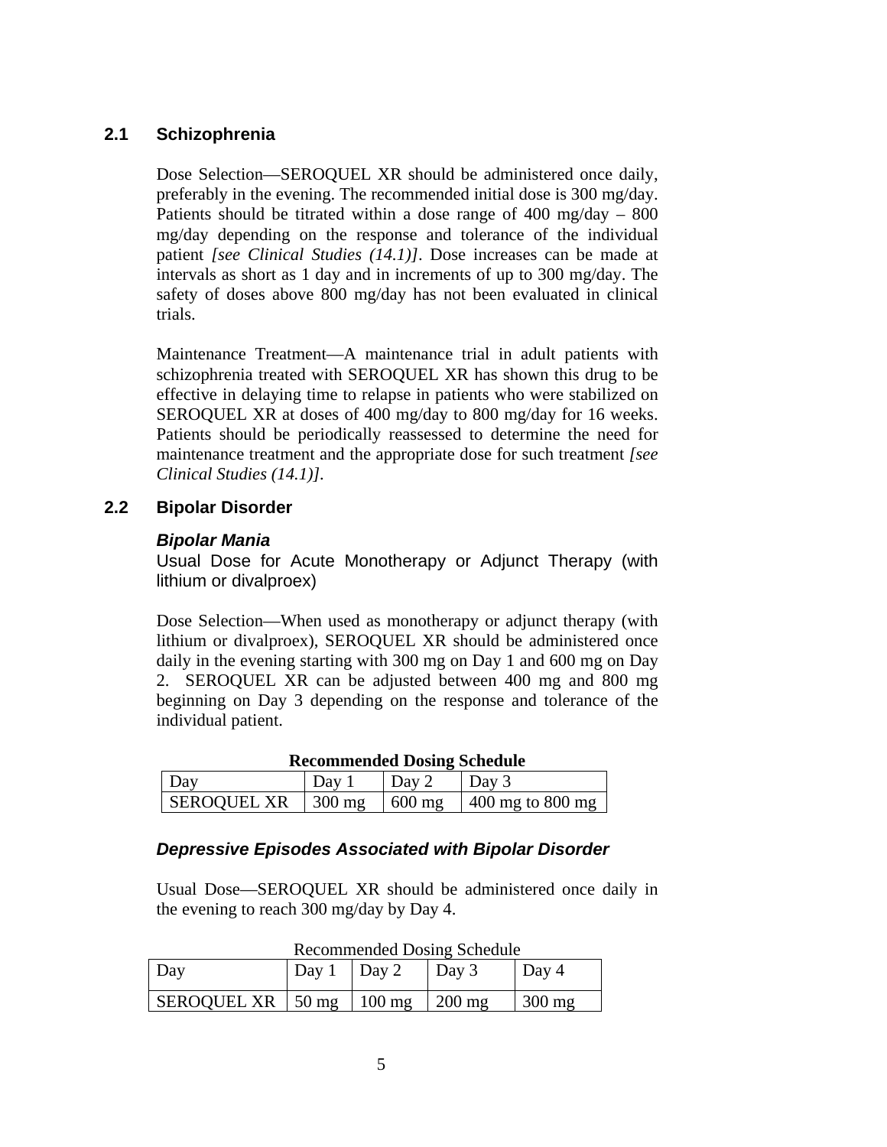### **2.1 Schizophrenia**

Dose Selection—SEROQUEL XR should be administered once daily, preferably in the evening. The recommended initial dose is 300 mg/day. Patients should be titrated within a dose range of  $400 \text{ mg/day} - 800$ mg/day depending on the response and tolerance of the individual patient *[see Clinical Studies (14.1)]*. Dose increases can be made at intervals as short as 1 day and in increments of up to 300 mg/day. The safety of doses above 800 mg/day has not been evaluated in clinical trials.

Maintenance Treatment—A maintenance trial in adult patients with schizophrenia treated with SEROQUEL XR has shown this drug to be effective in delaying time to relapse in patients who were stabilized on SEROQUEL XR at doses of 400 mg/day to 800 mg/day for 16 weeks. Patients should be periodically reassessed to determine the need for maintenance treatment and the appropriate dose for such treatment *[see Clinical Studies (14.1)].* 

### **2.2 Bipolar Disorder**

#### *Bipolar Mania*

Usual Dose for Acute Monotherapy or Adjunct Therapy (with lithium or divalproex)

Dose Selection—When used as monotherapy or adjunct therapy (with lithium or divalproex), SEROQUEL XR should be administered once daily in the evening starting with 300 mg on Day 1 and 600 mg on Day 2. SEROQUEL XR can be adjusted between 400 mg and 800 mg beginning on Day 3 depending on the response and tolerance of the individual patient.

| <b>Recommended Dosing Schedule</b> |                  |                                          |                                          |  |
|------------------------------------|------------------|------------------------------------------|------------------------------------------|--|
| Day                                | Day $1$          | Day $2$                                  | $\Box$ Day 3                             |  |
| <b>SEROQUEL XR</b>                 | $300 \text{ mg}$ | $\frac{1600 \text{ mg}}{200 \text{ mg}}$ | $\frac{1400 \text{ mg}}{200 \text{ mg}}$ |  |

### *Depressive Episodes Associated with Bipolar Disorder*

Usual Dose—SEROQUEL XR should be administered once daily in the evening to reach 300 mg/day by Day 4.

| <b>NECOMMICHAGA DOSING SCHEMATE</b>    |                   |  |                  |                  |  |
|----------------------------------------|-------------------|--|------------------|------------------|--|
| $\Box$ Day                             | Day $1$   Day $2$ |  | $\vert$ Day 3    | Day 4            |  |
| SEROQUEL XR $\mid$ 50 mg $\mid$ 100 mg |                   |  | $200 \text{ mg}$ | $300 \text{ mg}$ |  |

Recommended Dosing Schedule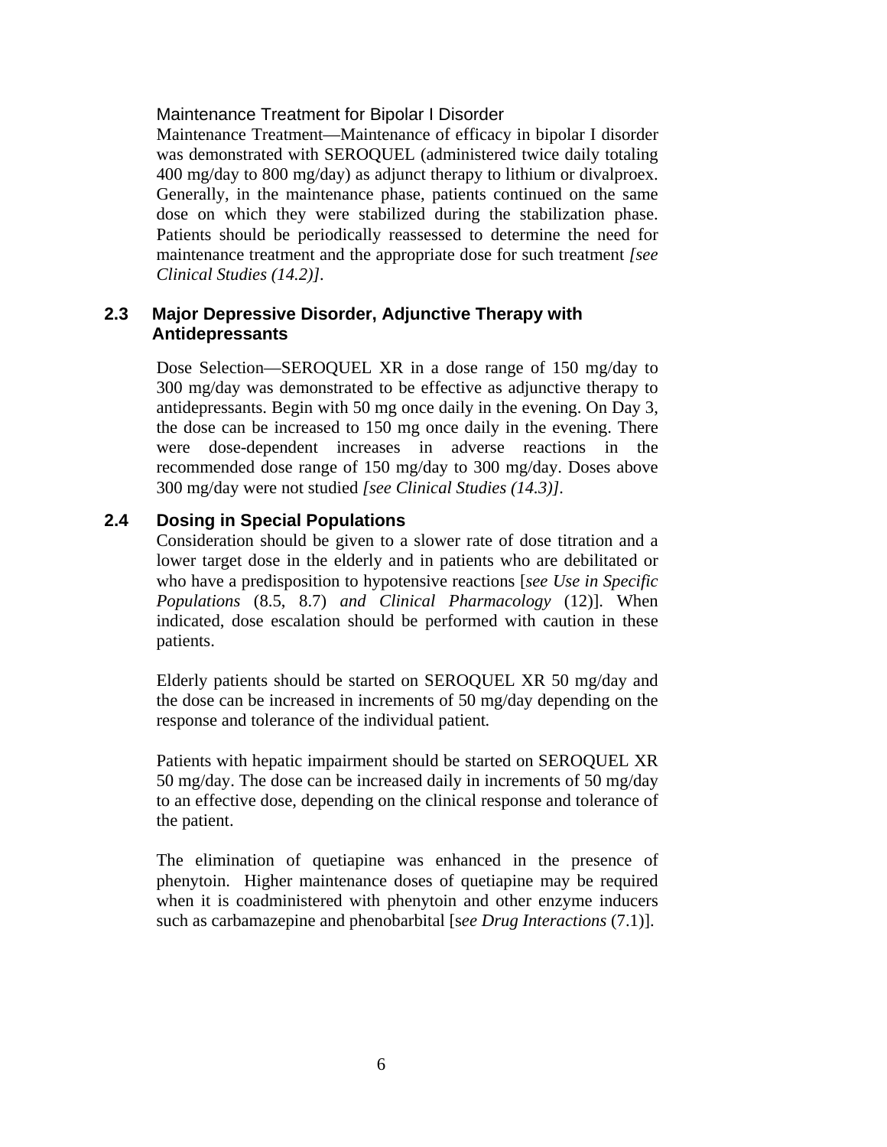#### Maintenance Treatment for Bipolar I Disorder

Maintenance Treatment—Maintenance of efficacy in bipolar I disorder was demonstrated with SEROQUEL (administered twice daily totaling 400 mg/day to 800 mg/day) as adjunct therapy to lithium or divalproex. Generally, in the maintenance phase, patients continued on the same dose on which they were stabilized during the stabilization phase. Patients should be periodically reassessed to determine the need for maintenance treatment and the appropriate dose for such treatment *[see Clinical Studies (14.2)].* 

#### **2.3 Major Depressive Disorder, Adjunctive Therapy with Antidepressants**

Dose Selection—SEROQUEL XR in a dose range of 150 mg/day to 300 mg/day was demonstrated to be effective as adjunctive therapy to antidepressants. Begin with 50 mg once daily in the evening. On Day 3, the dose can be increased to 150 mg once daily in the evening. There were dose-dependent increases in adverse reactions in the recommended dose range of 150 mg/day to 300 mg/day. Doses above 300 mg/day were not studied *[see Clinical Studies (14.3)].* 

#### **2.4 Dosing in Special Populations**

Consideration should be given to a slower rate of dose titration and a lower target dose in the elderly and in patients who are debilitated or who have a predisposition to hypotensive reactions [*see Use in Specific Populations* (8.5, 8.7) *and Clinical Pharmacology* (12)]. When indicated, dose escalation should be performed with caution in these patients.

Elderly patients should be started on SEROQUEL XR 50 mg/day and the dose can be increased in increments of 50 mg/day depending on the response and tolerance of the individual patient*.* 

Patients with hepatic impairment should be started on SEROQUEL XR 50 mg/day. The dose can be increased daily in increments of 50 mg/day to an effective dose, depending on the clinical response and tolerance of the patient.

The elimination of quetiapine was enhanced in the presence of phenytoin. Higher maintenance doses of quetiapine may be required when it is coadministered with phenytoin and other enzyme inducers such as carbamazepine and phenobarbital [s*ee Drug Interactions* (7.1)].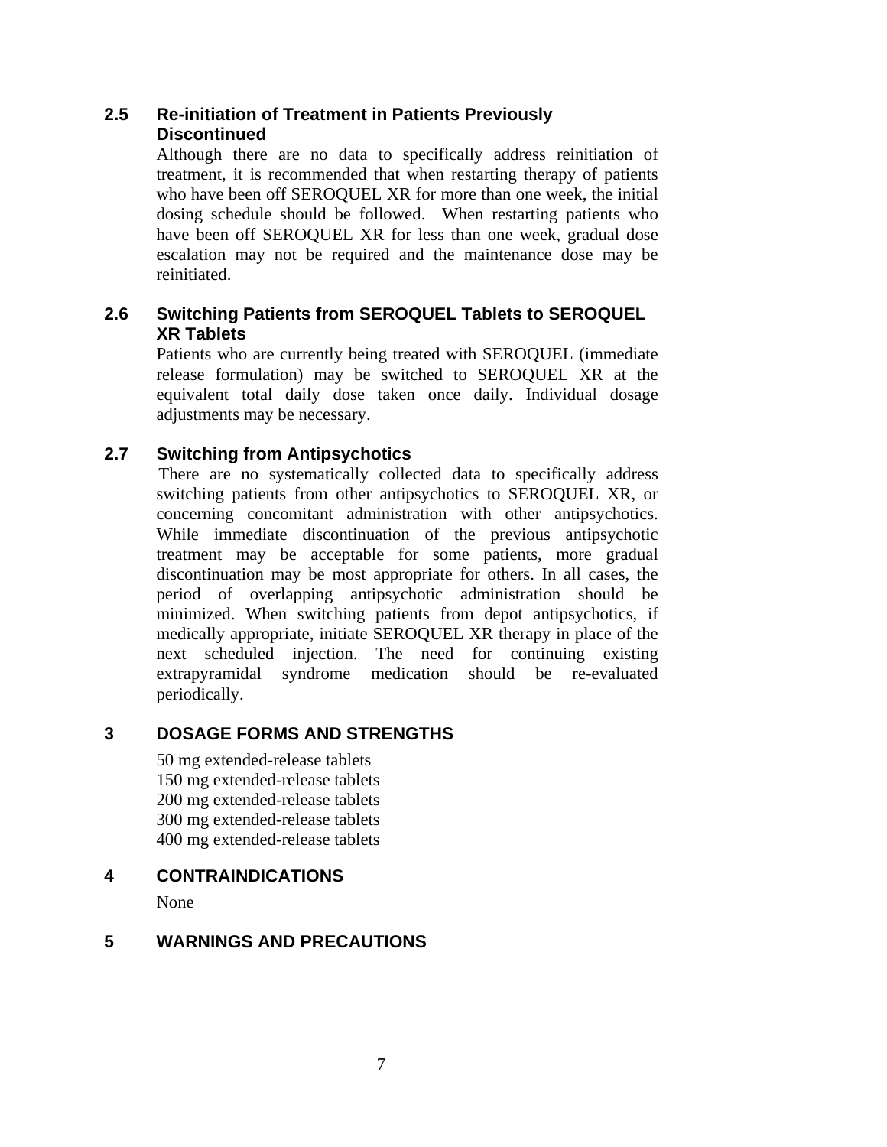### **2.5 Re-initiation of Treatment in Patients Previously Discontinued**

Although there are no data to specifically address reinitiation of treatment, it is recommended that when restarting therapy of patients who have been off SEROQUEL XR for more than one week, the initial dosing schedule should be followed. When restarting patients who have been off SEROQUEL XR for less than one week, gradual dose escalation may not be required and the maintenance dose may be reinitiated.

### **2.6 Switching Patients from SEROQUEL Tablets to SEROQUEL XR Tablets**

Patients who are currently being treated with SEROQUEL (immediate release formulation) may be switched to SEROQUEL XR at the equivalent total daily dose taken once daily. Individual dosage adjustments may be necessary.

### **2.7 Switching from Antipsychotics**

There are no systematically collected data to specifically address switching patients from other antipsychotics to SEROQUEL XR, or concerning concomitant administration with other antipsychotics. While immediate discontinuation of the previous antipsychotic treatment may be acceptable for some patients, more gradual discontinuation may be most appropriate for others. In all cases, the period of overlapping antipsychotic administration should be minimized. When switching patients from depot antipsychotics, if medically appropriate, initiate SEROQUEL XR therapy in place of the next scheduled injection. The need for continuing existing extrapyramidal syndrome medication should be re-evaluated periodically.

### **3 DOSAGE FORMS AND STRENGTHS**

50 mg extended-release tablets 150 mg extended-release tablets 200 mg extended-release tablets 300 mg extended-release tablets 400 mg extended-release tablets

### **4 CONTRAINDICATIONS**

None

### **5 WARNINGS AND PRECAUTIONS**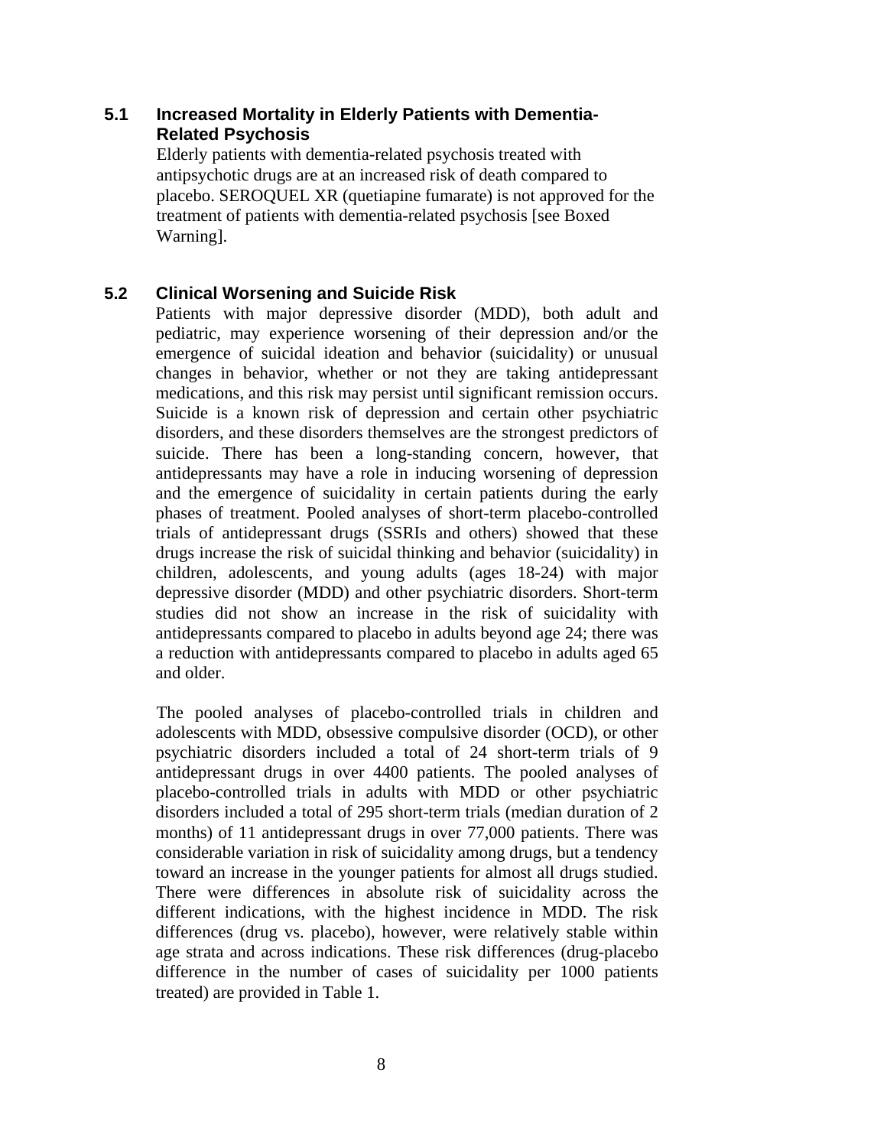### **5.1 Increased Mortality in Elderly Patients with Dementia-Related Psychosis**

Elderly patients with dementia-related psychosis treated with antipsychotic drugs are at an increased risk of death compared to placebo. SEROQUEL XR (quetiapine fumarate) is not approved for the treatment of patients with dementia-related psychosis [see Boxed Warning].

#### **5.2 Clinical Worsening and Suicide Risk**

Patients with major depressive disorder (MDD), both adult and pediatric, may experience worsening of their depression and/or the emergence of suicidal ideation and behavior (suicidality) or unusual changes in behavior, whether or not they are taking antidepressant medications, and this risk may persist until significant remission occurs. Suicide is a known risk of depression and certain other psychiatric disorders, and these disorders themselves are the strongest predictors of suicide. There has been a long-standing concern, however, that antidepressants may have a role in inducing worsening of depression and the emergence of suicidality in certain patients during the early phases of treatment. Pooled analyses of short-term placebo-controlled trials of antidepressant drugs (SSRIs and others) showed that these drugs increase the risk of suicidal thinking and behavior (suicidality) in children, adolescents, and young adults (ages 18-24) with major depressive disorder (MDD) and other psychiatric disorders. Short-term studies did not show an increase in the risk of suicidality with antidepressants compared to placebo in adults beyond age 24; there was a reduction with antidepressants compared to placebo in adults aged 65 and older.

The pooled analyses of placebo-controlled trials in children and adolescents with MDD, obsessive compulsive disorder (OCD), or other psychiatric disorders included a total of 24 short-term trials of 9 antidepressant drugs in over 4400 patients. The pooled analyses of placebo-controlled trials in adults with MDD or other psychiatric disorders included a total of 295 short-term trials (median duration of 2 months) of 11 antidepressant drugs in over 77,000 patients. There was considerable variation in risk of suicidality among drugs, but a tendency toward an increase in the younger patients for almost all drugs studied. There were differences in absolute risk of suicidality across the different indications, with the highest incidence in MDD. The risk differences (drug vs. placebo), however, were relatively stable within age strata and across indications. These risk differences (drug-placebo difference in the number of cases of suicidality per 1000 patients treated) are provided in Table 1.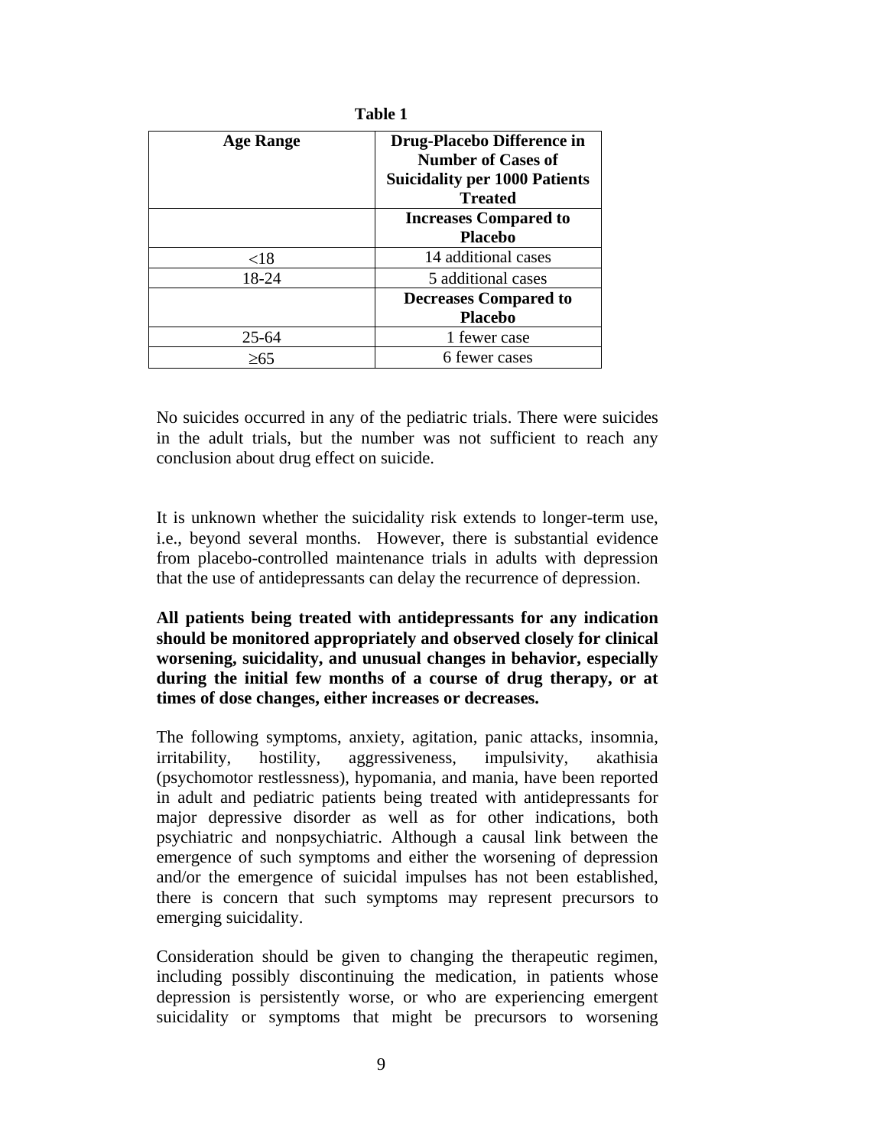| Table 1          |                                      |  |  |
|------------------|--------------------------------------|--|--|
| <b>Age Range</b> | <b>Drug-Placebo Difference in</b>    |  |  |
|                  | <b>Number of Cases of</b>            |  |  |
|                  | <b>Suicidality per 1000 Patients</b> |  |  |
|                  | <b>Treated</b>                       |  |  |
|                  | <b>Increases Compared to</b>         |  |  |
|                  | <b>Placebo</b>                       |  |  |
| ${<}18$          | 14 additional cases                  |  |  |
| 18-24            | 5 additional cases                   |  |  |
|                  | <b>Decreases Compared to</b>         |  |  |
|                  | <b>Placebo</b>                       |  |  |
| $25 - 64$        | 1 fewer case                         |  |  |
| $\geq 65$        | 6 fewer cases                        |  |  |

No suicides occurred in any of the pediatric trials. There were suicides in the adult trials, but the number was not sufficient to reach any conclusion about drug effect on suicide.

It is unknown whether the suicidality risk extends to longer-term use, i.e., beyond several months. However, there is substantial evidence from placebo-controlled maintenance trials in adults with depression that the use of antidepressants can delay the recurrence of depression.

#### **All patients being treated with antidepressants for any indication should be monitored appropriately and observed closely for clinical worsening, suicidality, and unusual changes in behavior, especially during the initial few months of a course of drug therapy, or at times of dose changes, either increases or decreases.**

The following symptoms, anxiety, agitation, panic attacks, insomnia, irritability, hostility, aggressiveness, impulsivity, akathisia (psychomotor restlessness), hypomania, and mania, have been reported in adult and pediatric patients being treated with antidepressants for major depressive disorder as well as for other indications, both psychiatric and nonpsychiatric. Although a causal link between the emergence of such symptoms and either the worsening of depression and/or the emergence of suicidal impulses has not been established, there is concern that such symptoms may represent precursors to emerging suicidality.

Consideration should be given to changing the therapeutic regimen, including possibly discontinuing the medication, in patients whose depression is persistently worse, or who are experiencing emergent suicidality or symptoms that might be precursors to worsening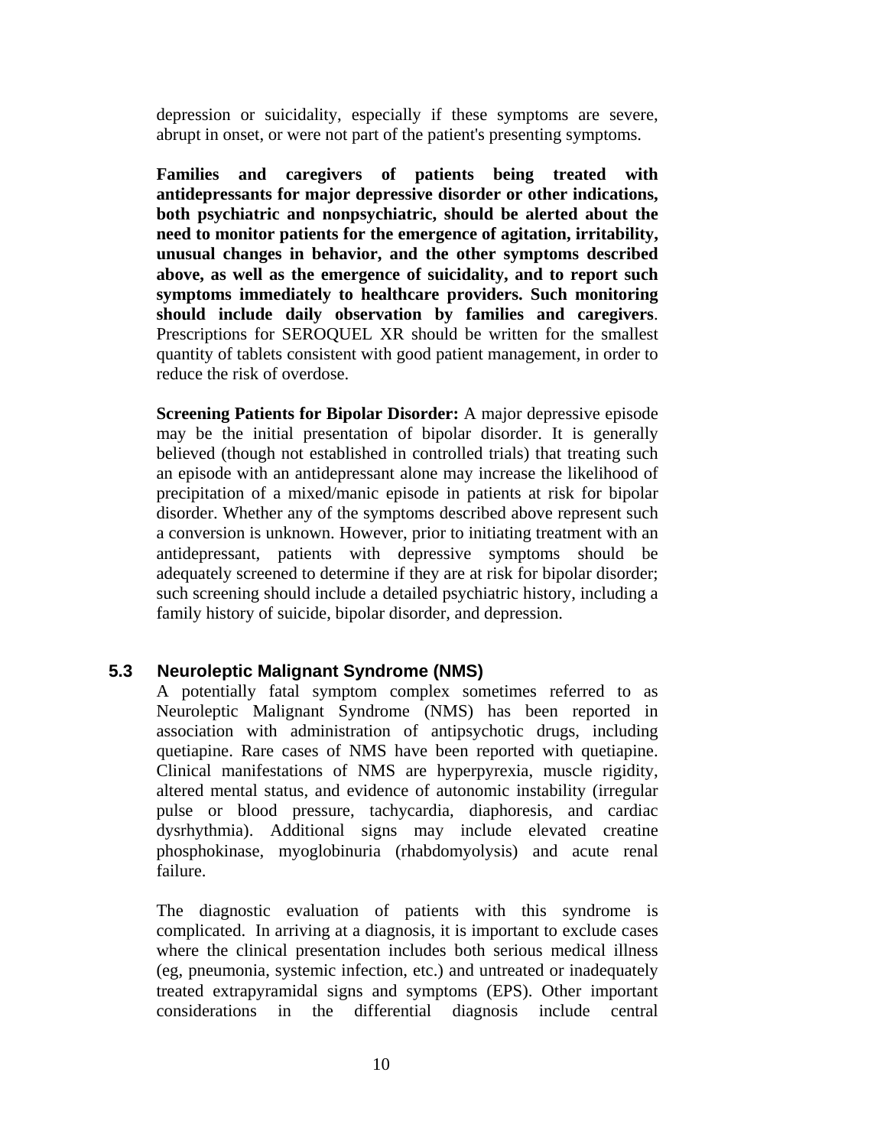depression or suicidality, especially if these symptoms are severe, abrupt in onset, or were not part of the patient's presenting symptoms.

**Families and caregivers of patients being treated with antidepressants for major depressive disorder or other indications, both psychiatric and nonpsychiatric, should be alerted about the need to monitor patients for the emergence of agitation, irritability, unusual changes in behavior, and the other symptoms described above, as well as the emergence of suicidality, and to report such symptoms immediately to healthcare providers. Such monitoring should include daily observation by families and caregivers**. Prescriptions for SEROQUEL XR should be written for the smallest quantity of tablets consistent with good patient management, in order to reduce the risk of overdose.

**Screening Patients for Bipolar Disorder:** A major depressive episode may be the initial presentation of bipolar disorder. It is generally believed (though not established in controlled trials) that treating such an episode with an antidepressant alone may increase the likelihood of precipitation of a mixed/manic episode in patients at risk for bipolar disorder. Whether any of the symptoms described above represent such a conversion is unknown. However, prior to initiating treatment with an antidepressant, patients with depressive symptoms should be adequately screened to determine if they are at risk for bipolar disorder; such screening should include a detailed psychiatric history, including a family history of suicide, bipolar disorder, and depression.

#### **5.3 Neuroleptic Malignant Syndrome (NMS)**

A potentially fatal symptom complex sometimes referred to as Neuroleptic Malignant Syndrome (NMS) has been reported in association with administration of antipsychotic drugs, including quetiapine. Rare cases of NMS have been reported with quetiapine. Clinical manifestations of NMS are hyperpyrexia, muscle rigidity, altered mental status, and evidence of autonomic instability (irregular pulse or blood pressure, tachycardia, diaphoresis, and cardiac dysrhythmia). Additional signs may include elevated creatine phosphokinase, myoglobinuria (rhabdomyolysis) and acute renal failure.

The diagnostic evaluation of patients with this syndrome is complicated. In arriving at a diagnosis, it is important to exclude cases where the clinical presentation includes both serious medical illness (eg, pneumonia, systemic infection, etc.) and untreated or inadequately treated extrapyramidal signs and symptoms (EPS). Other important considerations in the differential diagnosis include central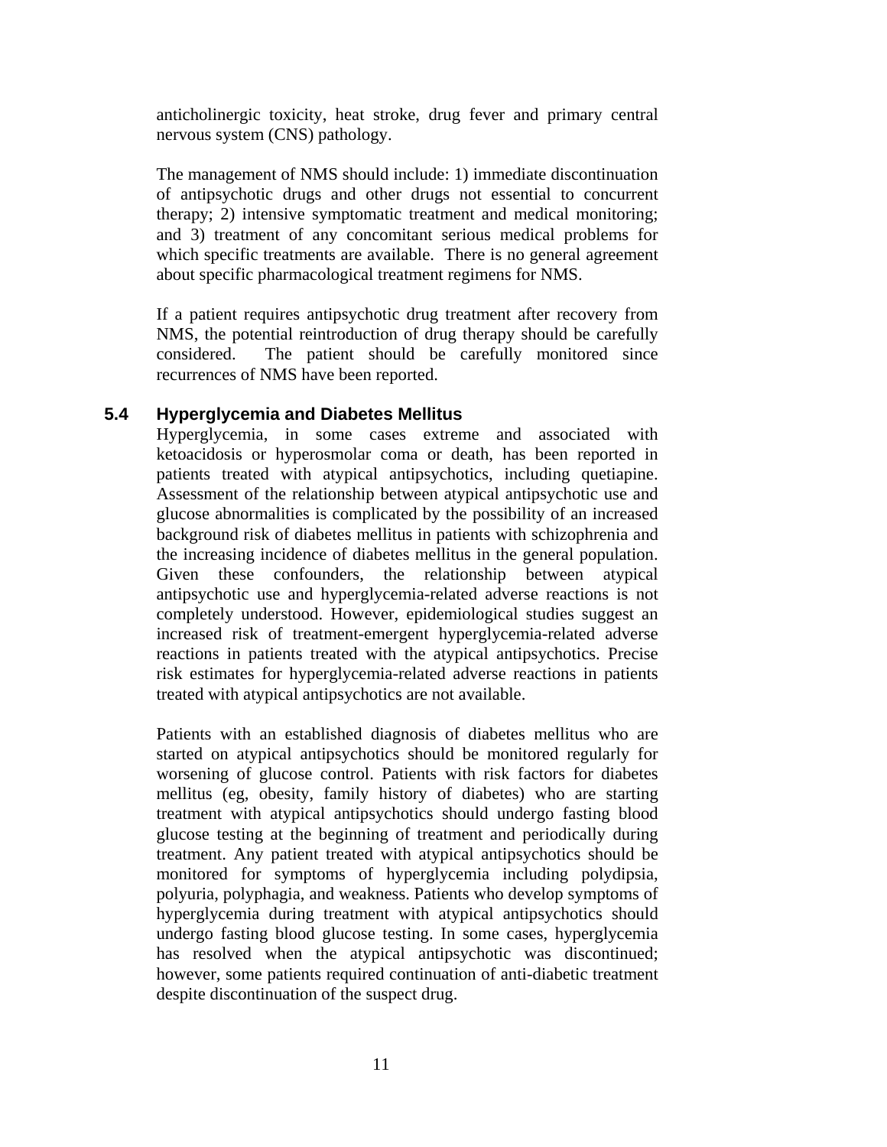anticholinergic toxicity, heat stroke, drug fever and primary central nervous system (CNS) pathology.

The management of NMS should include: 1) immediate discontinuation of antipsychotic drugs and other drugs not essential to concurrent therapy; 2) intensive symptomatic treatment and medical monitoring; and 3) treatment of any concomitant serious medical problems for which specific treatments are available. There is no general agreement about specific pharmacological treatment regimens for NMS.

If a patient requires antipsychotic drug treatment after recovery from NMS, the potential reintroduction of drug therapy should be carefully considered. The patient should be carefully monitored since recurrences of NMS have been reported.

### **5.4 Hyperglycemia and Diabetes Mellitus**

Hyperglycemia, in some cases extreme and associated with ketoacidosis or hyperosmolar coma or death, has been reported in patients treated with atypical antipsychotics, including quetiapine. Assessment of the relationship between atypical antipsychotic use and glucose abnormalities is complicated by the possibility of an increased background risk of diabetes mellitus in patients with schizophrenia and the increasing incidence of diabetes mellitus in the general population. Given these confounders, the relationship between atypical antipsychotic use and hyperglycemia-related adverse reactions is not completely understood. However, epidemiological studies suggest an increased risk of treatment-emergent hyperglycemia-related adverse reactions in patients treated with the atypical antipsychotics. Precise risk estimates for hyperglycemia-related adverse reactions in patients treated with atypical antipsychotics are not available.

Patients with an established diagnosis of diabetes mellitus who are started on atypical antipsychotics should be monitored regularly for worsening of glucose control. Patients with risk factors for diabetes mellitus (eg, obesity, family history of diabetes) who are starting treatment with atypical antipsychotics should undergo fasting blood glucose testing at the beginning of treatment and periodically during treatment. Any patient treated with atypical antipsychotics should be monitored for symptoms of hyperglycemia including polydipsia, polyuria, polyphagia, and weakness. Patients who develop symptoms of hyperglycemia during treatment with atypical antipsychotics should undergo fasting blood glucose testing. In some cases, hyperglycemia has resolved when the atypical antipsychotic was discontinued; however, some patients required continuation of anti-diabetic treatment despite discontinuation of the suspect drug.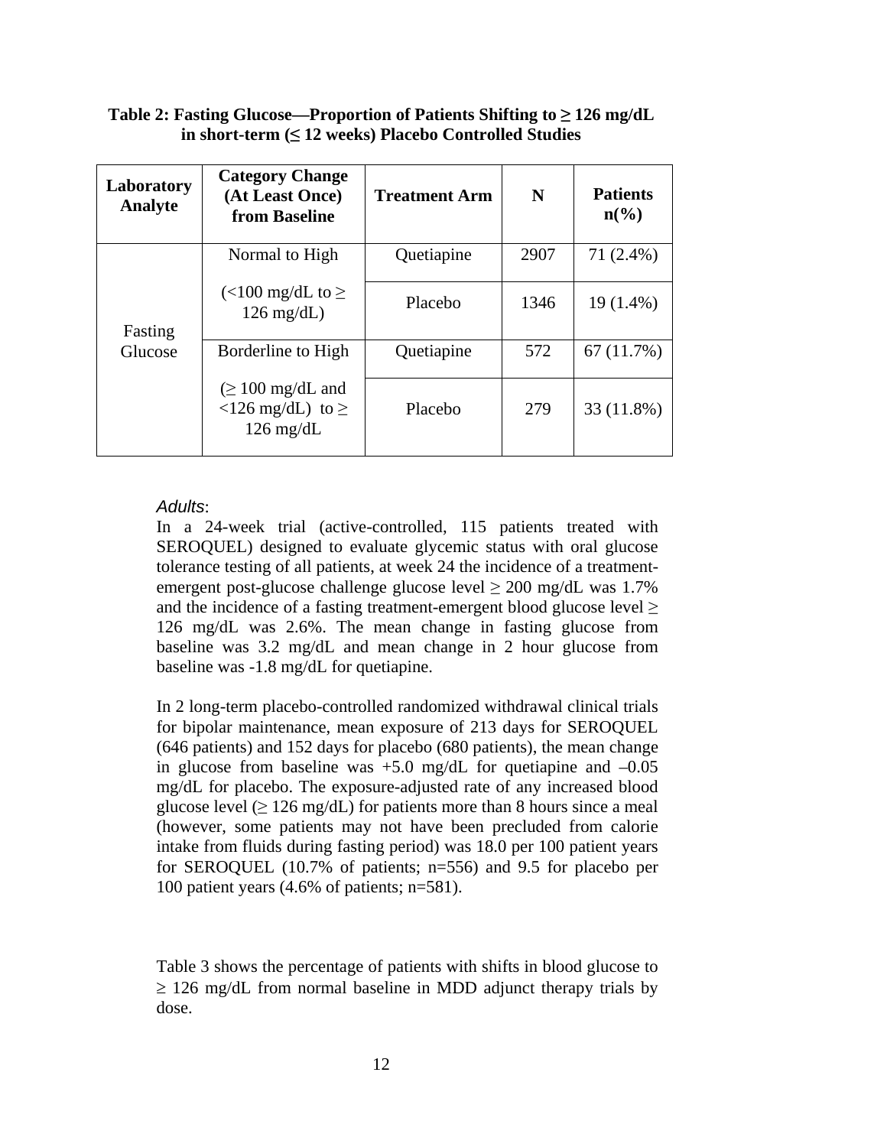#### **Table 2: Fasting Glucose—Proportion of Patients Shifting to ≥ 126 mg/dL in short-term (≤ 12 weeks) Placebo Controlled Studies**

| Laboratory<br>Analyte | <b>Category Change</b><br>(At Least Once)<br>from Baseline                  | <b>Treatment Arm</b> | N    | <b>Patients</b><br>$n\binom{0}{0}$ |
|-----------------------|-----------------------------------------------------------------------------|----------------------|------|------------------------------------|
|                       | Normal to High                                                              | Quetiapine           | 2907 | 71 $(2.4\%)$                       |
| Fasting               | $\left($ <100 mg/dL to $\geq$<br>$126 \text{ mg/dL}$                        | Placebo              | 1346 | 19 (1.4%)                          |
| Glucose               | Borderline to High                                                          | Quetiapine           | 572  | 67(11.7%)                          |
|                       | $\geq 100 \text{ mg/dL}$ and<br><126 mg/dL) to $\ge$<br>$126 \text{ mg/dL}$ | Placebo              | 279  | 33 (11.8%)                         |

#### *Adults*:

In a 24-week trial (active-controlled, 115 patients treated with SEROQUEL) designed to evaluate glycemic status with oral glucose tolerance testing of all patients, at week 24 the incidence of a treatmentemergent post-glucose challenge glucose level  $\geq 200$  mg/dL was 1.7% and the incidence of a fasting treatment-emergent blood glucose level  $\geq$ 126 mg/dL was 2.6%. The mean change in fasting glucose from baseline was 3.2 mg/dL and mean change in 2 hour glucose from baseline was -1.8 mg/dL for quetiapine.

In 2 long-term placebo-controlled randomized withdrawal clinical trials for bipolar maintenance, mean exposure of 213 days for SEROQUEL (646 patients) and 152 days for placebo (680 patients), the mean change in glucose from baseline was  $+5.0$  mg/dL for quetiapine and  $-0.05$ mg/dL for placebo. The exposure-adjusted rate of any increased blood glucose level ( $\geq 126$  mg/dL) for patients more than 8 hours since a meal (however, some patients may not have been precluded from calorie intake from fluids during fasting period) was 18.0 per 100 patient years for SEROQUEL (10.7% of patients; n=556) and 9.5 for placebo per 100 patient years (4.6% of patients; n=581).

Table 3 shows the percentage of patients with shifts in blood glucose to  $\geq$  126 mg/dL from normal baseline in MDD adjunct therapy trials by dose.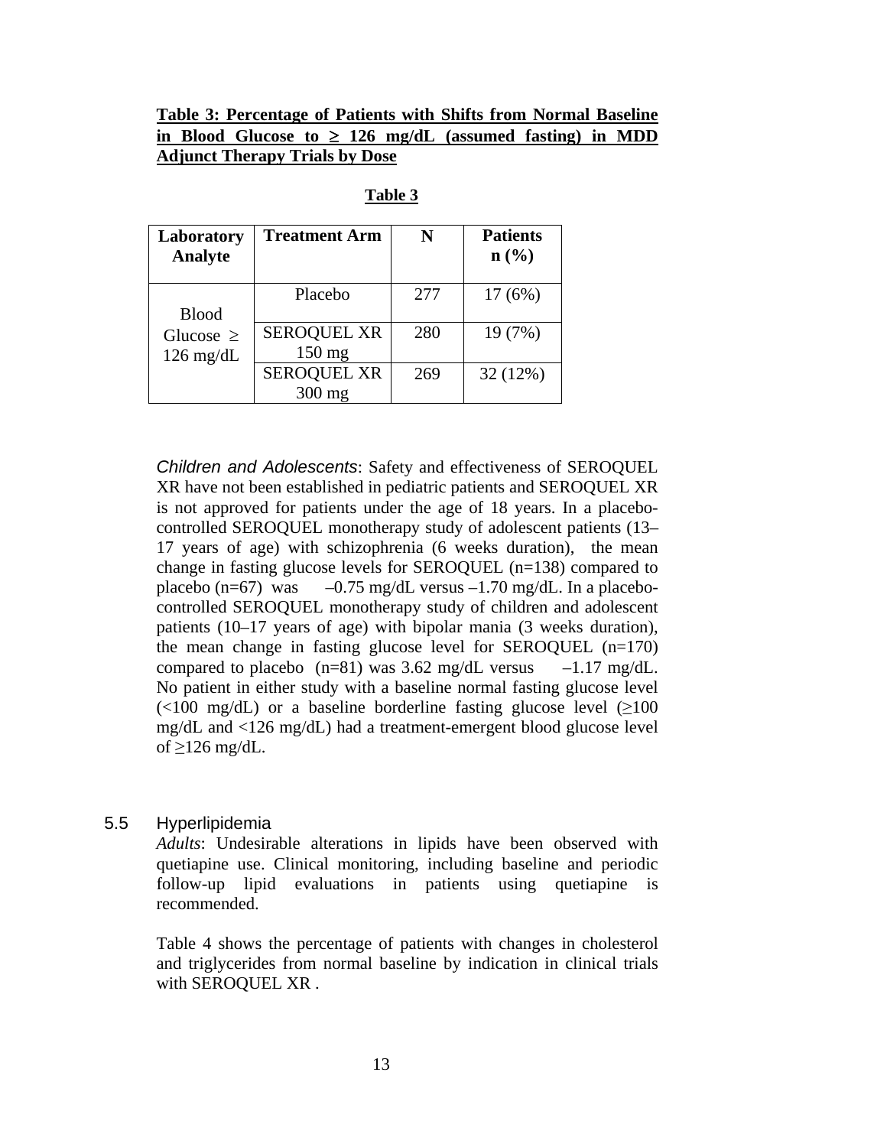#### **Table 3: Percentage of Patients with Shifts from Normal Baseline in Blood Glucose to** ≥ **126 mg/dL (assumed fasting) in MDD Adjunct Therapy Trials by Dose**

| Laboratory<br><b>Analyte</b>          | <b>Treatment Arm</b>                   | N   | <b>Patients</b><br>$n\left(\frac{0}{0}\right)$ |
|---------------------------------------|----------------------------------------|-----|------------------------------------------------|
| <b>Blood</b>                          | Placebo                                | 277 | 17(6%)                                         |
| Glucose $\geq$<br>$126 \text{ mg/dL}$ | <b>SEROQUEL XR</b><br>$150 \text{ mg}$ | 280 | 19 (7%)                                        |
|                                       | <b>SEROQUEL XR</b><br>$300$ mg         | 269 | 32(12%)                                        |

**Table 3** 

*Children and Adolescents*: Safety and effectiveness of SEROQUEL XR have not been established in pediatric patients and SEROQUEL XR is not approved for patients under the age of 18 years. In a placebocontrolled SEROQUEL monotherapy study of adolescent patients (13– 17 years of age) with schizophrenia (6 weeks duration), the mean change in fasting glucose levels for SEROQUEL (n=138) compared to placebo (n=67) was  $-0.75 \text{ mg/dL}$  versus  $-1.70 \text{ mg/dL}$ . In a placebocontrolled SEROQUEL monotherapy study of children and adolescent patients (10–17 years of age) with bipolar mania (3 weeks duration), the mean change in fasting glucose level for SEROQUEL (n=170) compared to placebo  $(n=81)$  was 3.62 mg/dL versus  $-1.17$  mg/dL. No patient in either study with a baseline normal fasting glucose level  $\left(\frac{100 \text{ mg}}{d} \right)$  or a baseline borderline fasting glucose level  $\left(\geq 100\right)$ mg/dL and <126 mg/dL) had a treatment-emergent blood glucose level of  $\geq$ 126 mg/dL.

#### 5.5 Hyperlipidemia

*Adults*: Undesirable alterations in lipids have been observed with quetiapine use. Clinical monitoring, including baseline and periodic follow-up lipid evaluations in patients using quetiapine is recommended.

Table 4 shows the percentage of patients with changes in cholesterol and triglycerides from normal baseline by indication in clinical trials with SEROQUEL XR .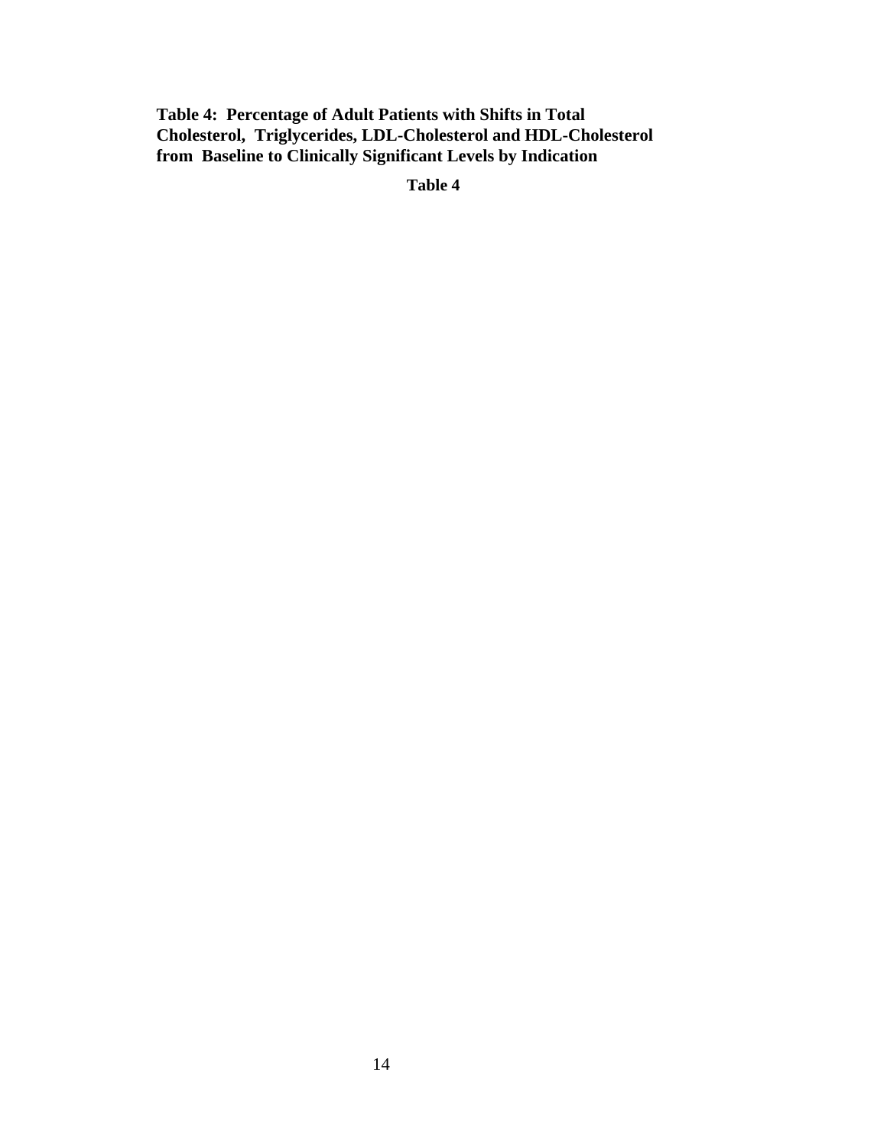**Table 4: Percentage of Adult Patients with Shifts in Total Cholesterol, Triglycerides, LDL-Cholesterol and HDL-Cholesterol from Baseline to Clinically Significant Levels by Indication** 

**Table 4**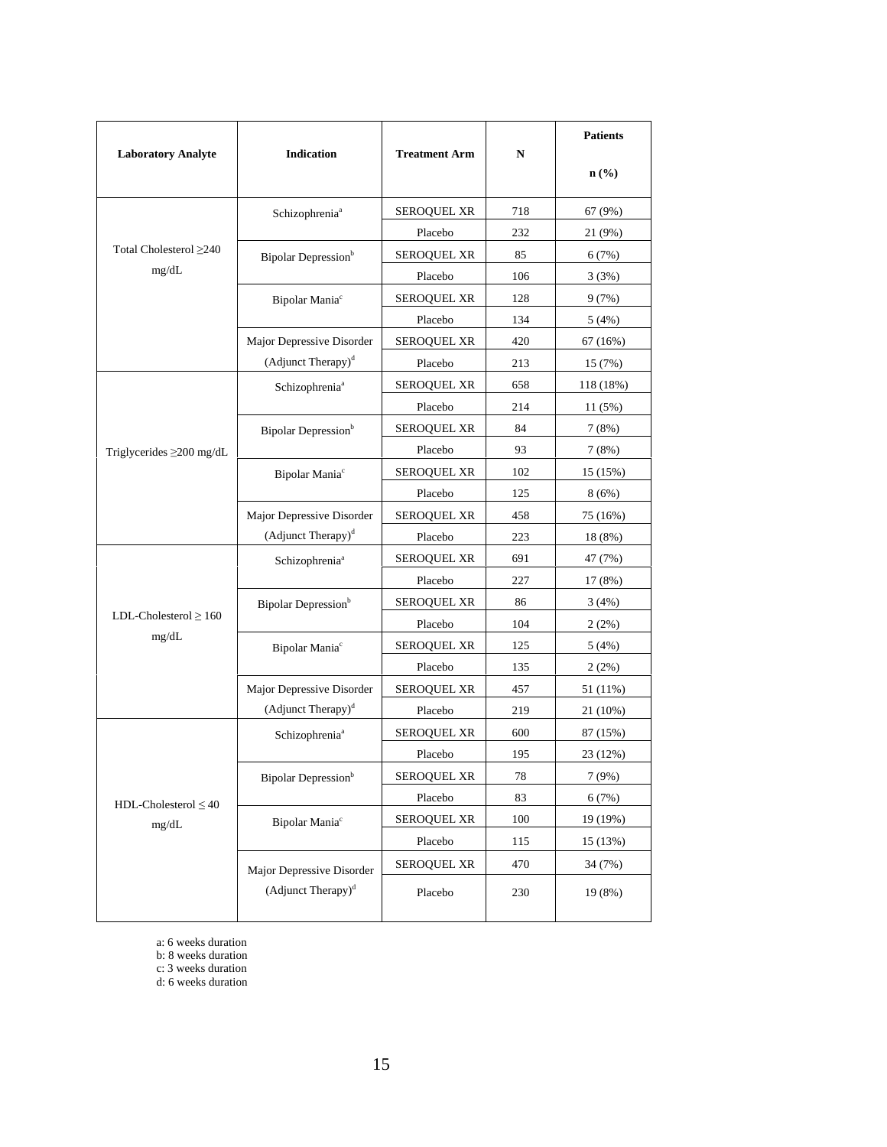| <b>Laboratory Analyte</b>      | <b>Indication</b>                      | <b>Treatment Arm</b> | N   | <b>Patients</b><br>n(%) |
|--------------------------------|----------------------------------------|----------------------|-----|-------------------------|
|                                | Schizophrenia <sup>a</sup>             | <b>SEROQUEL XR</b>   | 718 | 67 (9%)                 |
|                                |                                        | Placebo              | 232 | 21 (9%)                 |
| Total Cholesterol ≥240         | Bipolar Depression <sup>b</sup>        | <b>SEROQUEL XR</b>   | 85  | 6(7%)                   |
| mg/dL                          |                                        | Placebo              | 106 | 3(3%)                   |
|                                | Bipolar Mania <sup>c</sup>             | <b>SEROQUEL XR</b>   | 128 | 9(7%)                   |
|                                |                                        | Placebo              | 134 | 5(4%)                   |
|                                | Major Depressive Disorder              | <b>SEROQUEL XR</b>   | 420 | 67 (16%)                |
|                                | (Adjunct Therapy) <sup>d</sup>         | Placebo              | 213 | 15 (7%)                 |
|                                | Schizophrenia <sup>a</sup>             | <b>SEROQUEL XR</b>   | 658 | 118 (18%)               |
|                                |                                        | Placebo              | 214 | 11 (5%)                 |
|                                | Bipolar Depression <sup>b</sup>        | <b>SEROQUEL XR</b>   | 84  | 7(8%)                   |
| Triglycerides $\geq$ 200 mg/dL |                                        | Placebo              | 93  | 7(8%)                   |
|                                | Bipolar Mania <sup>c</sup>             | <b>SEROQUEL XR</b>   | 102 | 15 (15%)                |
|                                |                                        | Placebo              | 125 | 8(6%)                   |
|                                | Major Depressive Disorder              | <b>SEROQUEL XR</b>   | 458 | 75 (16%)                |
|                                | (Adjunct Therapy) <sup>d</sup>         | Placebo              | 223 | 18 (8%)                 |
|                                | Schizophrenia <sup>a</sup>             | <b>SEROQUEL XR</b>   | 691 | 47 (7%)                 |
|                                |                                        | Placebo              | 227 | 17 (8%)                 |
|                                | Bipolar Depression <sup>b</sup>        | <b>SEROQUEL XR</b>   | 86  | 3(4%)                   |
| LDL-Cholesterol $\geq 160$     |                                        | Placebo              | 104 | 2(2%)                   |
| mg/dL                          | Bipolar Mania <sup>c</sup>             | <b>SEROQUEL XR</b>   | 125 | 5(4%)                   |
|                                |                                        | Placebo              | 135 | 2(2%)                   |
|                                | Major Depressive Disorder              | <b>SEROQUEL XR</b>   | 457 | 51 (11%)                |
|                                | (Adjunct Therapy) <sup>d</sup>         | Placebo              | 219 | 21 (10%)                |
|                                | Schizophrenia <sup>a</sup>             | <b>SEROQUEL XR</b>   | 600 | 87 (15%)                |
|                                |                                        | Placebo              | 195 | 23 (12%)                |
|                                | <b>Bipolar Depression</b> <sup>b</sup> | <b>SEROQUEL XR</b>   | 78  | 7 (9%)                  |
| HDL-Cholesterol $\leq 40$      |                                        | Placebo              | 83  | 6(7%)                   |
| mg/dL                          | Bipolar Mania <sup>c</sup>             | <b>SEROQUEL XR</b>   | 100 | 19 (19%)                |
|                                |                                        | Placebo              | 115 | 15 (13%)                |
|                                | Major Depressive Disorder              | <b>SEROQUEL XR</b>   | 470 | 34 (7%)                 |
|                                | (Adjunct Therapy) <sup>d</sup>         | Placebo              | 230 | 19 (8%)                 |

a: 6 weeks duration

b: 8 weeks duration

c: 3 weeks duration

d: 6 weeks duration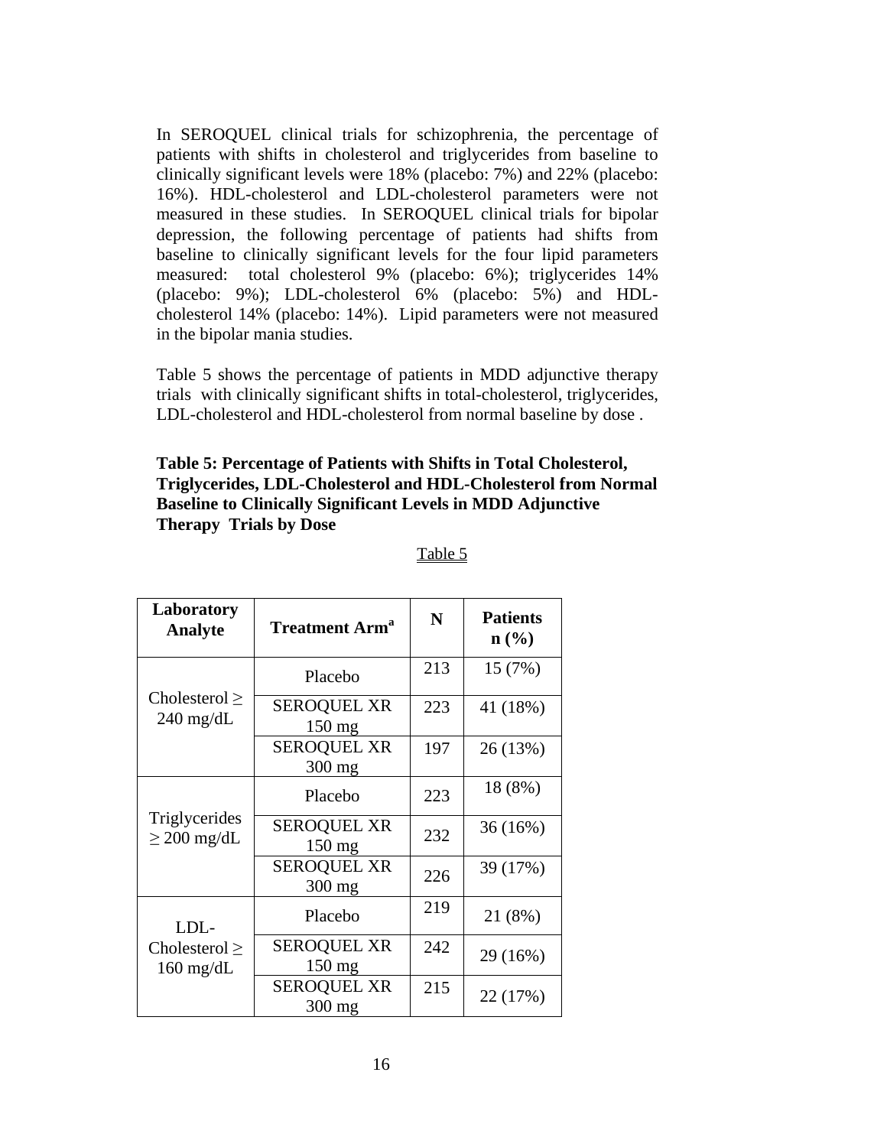In SEROQUEL clinical trials for schizophrenia, the percentage of patients with shifts in cholesterol and triglycerides from baseline to clinically significant levels were 18% (placebo: 7%) and 22% (placebo: 16%). HDL-cholesterol and LDL-cholesterol parameters were not measured in these studies. In SEROQUEL clinical trials for bipolar depression, the following percentage of patients had shifts from baseline to clinically significant levels for the four lipid parameters measured: total cholesterol 9% (placebo: 6%); triglycerides 14% (placebo: 9%); LDL-cholesterol 6% (placebo: 5%) and HDLcholesterol 14% (placebo: 14%). Lipid parameters were not measured in the bipolar mania studies.

Table 5 shows the percentage of patients in MDD adjunctive therapy trials with clinically significant shifts in total-cholesterol, triglycerides, LDL-cholesterol and HDL-cholesterol from normal baseline by dose .

#### **Table 5: Percentage of Patients with Shifts in Total Cholesterol, Triglycerides, LDL-Cholesterol and HDL-Cholesterol from Normal Baseline to Clinically Significant Levels in MDD Adjunctive Therapy Trials by Dose**

| Laboratory<br><b>Analyte</b>              | <b>Treatment Arm<sup>a</sup></b>       | N   | <b>Patients</b><br>$\mathbf{n}(\%)$ |
|-------------------------------------------|----------------------------------------|-----|-------------------------------------|
|                                           | Placebo                                | 213 | 15 (7%)                             |
| Cholesterol $\geq$<br>$240$ mg/dL         | <b>SEROQUEL XR</b><br>$150$ mg         | 223 | 41 (18%)                            |
|                                           | <b>SEROQUEL XR</b><br>$300$ mg         | 197 | 26 (13%)                            |
|                                           | Placebo                                | 223 | 18 (8%)                             |
| Triglycerides<br>$\geq$ 200 mg/dL         | <b>SEROQUEL XR</b><br>$150$ mg         | 232 | 36(16%)                             |
|                                           | <b>SEROQUEL XR</b><br>$300$ mg         | 226 | 39 (17%)                            |
| LDL-                                      | Placebo                                | 219 | 21 (8%)                             |
| Cholesterol $\geq$<br>$160 \text{ mg/dL}$ | <b>SEROQUEL XR</b><br>$150 \text{ mg}$ | 242 | 29 (16%)                            |
|                                           | <b>SEROQUEL XR</b><br>$300$ mg         | 215 | 22 (17%)                            |

#### Table 5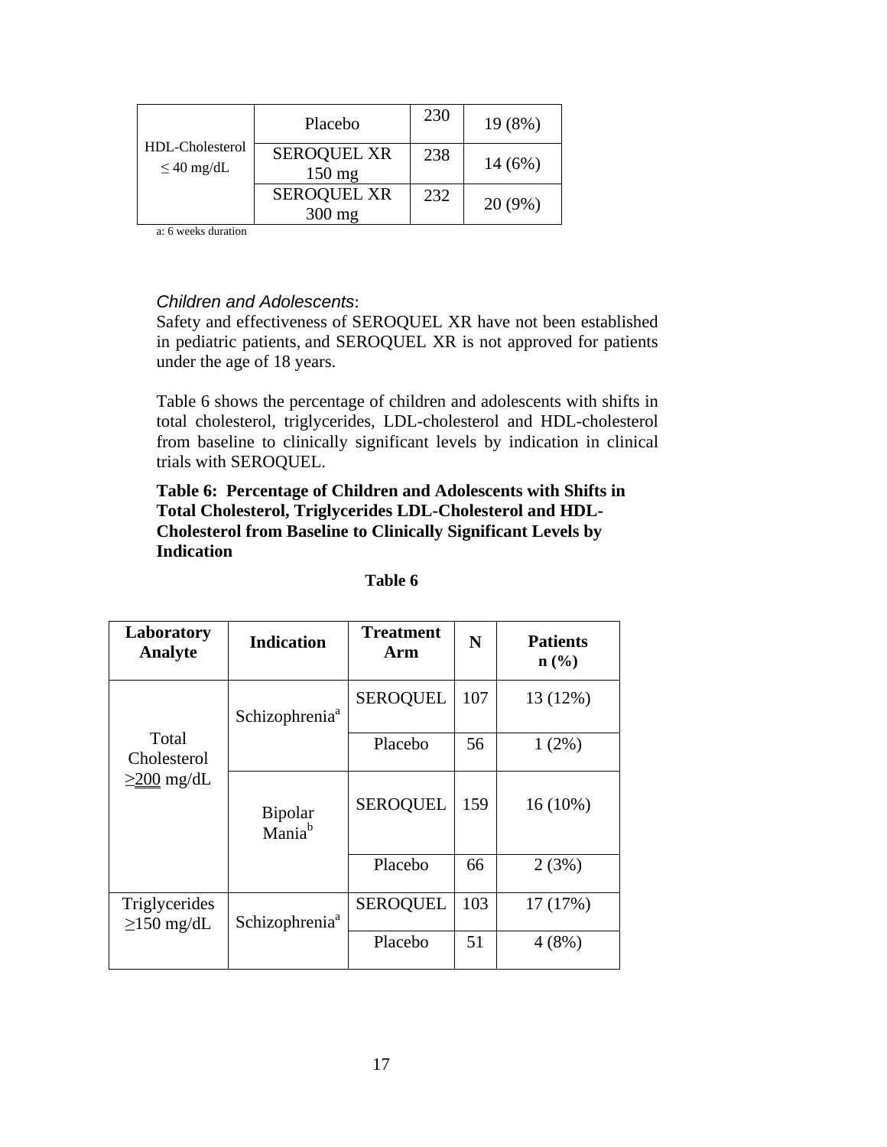|                                    | Placebo                                | 230 | 19 (8%)   |
|------------------------------------|----------------------------------------|-----|-----------|
| HDL-Cholesterol<br>$\leq$ 40 mg/dL | <b>SEROQUEL XR</b><br>$150 \text{ mg}$ | 238 | 14(6%)    |
|                                    | <b>SEROQUEL XR</b><br>$300$ mg         | 232 | $20(9\%)$ |

a: 6 weeks duration

### *Children and Adolescents*:

Safety and effectiveness of SEROQUEL XR have not been established in pediatric patients, and SEROQUEL XR is not approved for patients under the age of 18 years.

Table 6 shows the percentage of children and adolescents with shifts in total cholesterol, triglycerides, LDL-cholesterol and HDL-cholesterol from baseline to clinically significant levels by indication in clinical trials with SEROQUEL.

**Table 6: Percentage of Children and Adolescents with Shifts in Total Cholesterol, Triglycerides LDL-Cholesterol and HDL-Cholesterol from Baseline to Clinically Significant Levels by Indication** 

| Laboratory<br>Analyte             | <b>Indication</b>             | <b>Treatment</b><br>Arm | N   | <b>Patients</b><br>$n$ (%) |
|-----------------------------------|-------------------------------|-------------------------|-----|----------------------------|
|                                   | Schizophrenia <sup>a</sup>    | <b>SEROQUEL</b>         | 107 | 13 (12%)                   |
| Total<br>Cholesterol              |                               | Placebo                 | 56  | $1(2\%)$                   |
| $\geq$ 200 mg/dL                  | Bipolar<br>Mania <sup>b</sup> | <b>SEROQUEL</b>         | 159 | $16(10\%)$                 |
|                                   |                               | Placebo                 | 66  | 2(3%)                      |
| Triglycerides<br>$\geq$ 150 mg/dL | Schizophrenia <sup>a</sup>    | <b>SEROQUEL</b>         | 103 | 17(17%)                    |
|                                   |                               | Placebo                 | 51  | 4(8%)                      |

### **Table 6**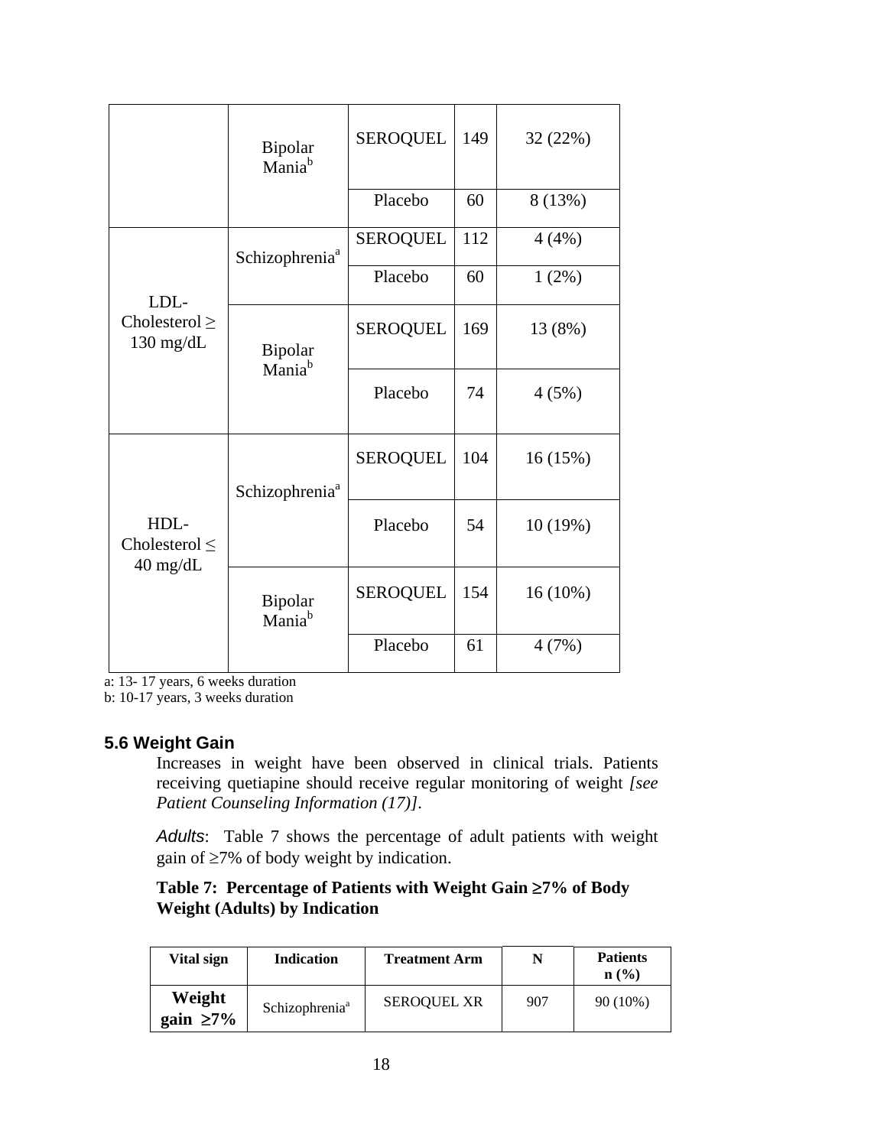|                                           | Bipolar<br>Mania <sup>b</sup> | <b>SEROQUEL</b>                                                                       | 149 | 32 (22%) |
|-------------------------------------------|-------------------------------|---------------------------------------------------------------------------------------|-----|----------|
|                                           |                               | Placebo                                                                               | 60  | 8 (13%)  |
|                                           | Schizophrenia <sup>a</sup>    | <b>SEROQUEL</b>                                                                       | 112 | 4(4%)    |
| LDL-                                      |                               | Placebo                                                                               | 60  | 1(2%)    |
| Cholesterol $\geq$<br>$130 \text{ mg/dL}$ | Bipolar<br>Maniab             | <b>SEROQUEL</b>                                                                       | 169 | 13 (8%)  |
|                                           |                               | Placebo<br>74<br><b>SEROQUEL</b><br>Placebo<br>54<br><b>SEROQUEL</b><br>Placebo<br>61 |     | 4(5%)    |
|                                           | Schizophrenia <sup>a</sup>    |                                                                                       | 104 | 16(15%)  |
| HDL-<br>Cholesterol $\leq$<br>$40$ mg/dL  |                               |                                                                                       |     | 10 (19%) |
|                                           | Bipolar<br>Mania <sup>b</sup> |                                                                                       | 154 | 16 (10%) |
|                                           |                               |                                                                                       |     | 4(7%)    |

a: 13- 17 years, 6 weeks duration

b: 10-17 years, 3 weeks duration

### **5.6 Weight Gain**

Increases in weight have been observed in clinical trials. Patients receiving quetiapine should receive regular monitoring of weight *[see Patient Counseling Information (17)]*.

*Adults*: Table 7 shows the percentage of adult patients with weight gain of ≥7% of body weight by indication.

### **Table 7: Percentage of Patients with Weight Gain** ≥**7% of Body Weight (Adults) by Indication**

| Vital sign                | <b>Indication</b>          | <b>Treatment Arm</b> | N   | <b>Patients</b><br>n (%) |
|---------------------------|----------------------------|----------------------|-----|--------------------------|
| Weight<br>gain $\geq 7\%$ | Schizophrenia <sup>a</sup> | <b>SEROQUEL XR</b>   | 907 | $90(10\%)$               |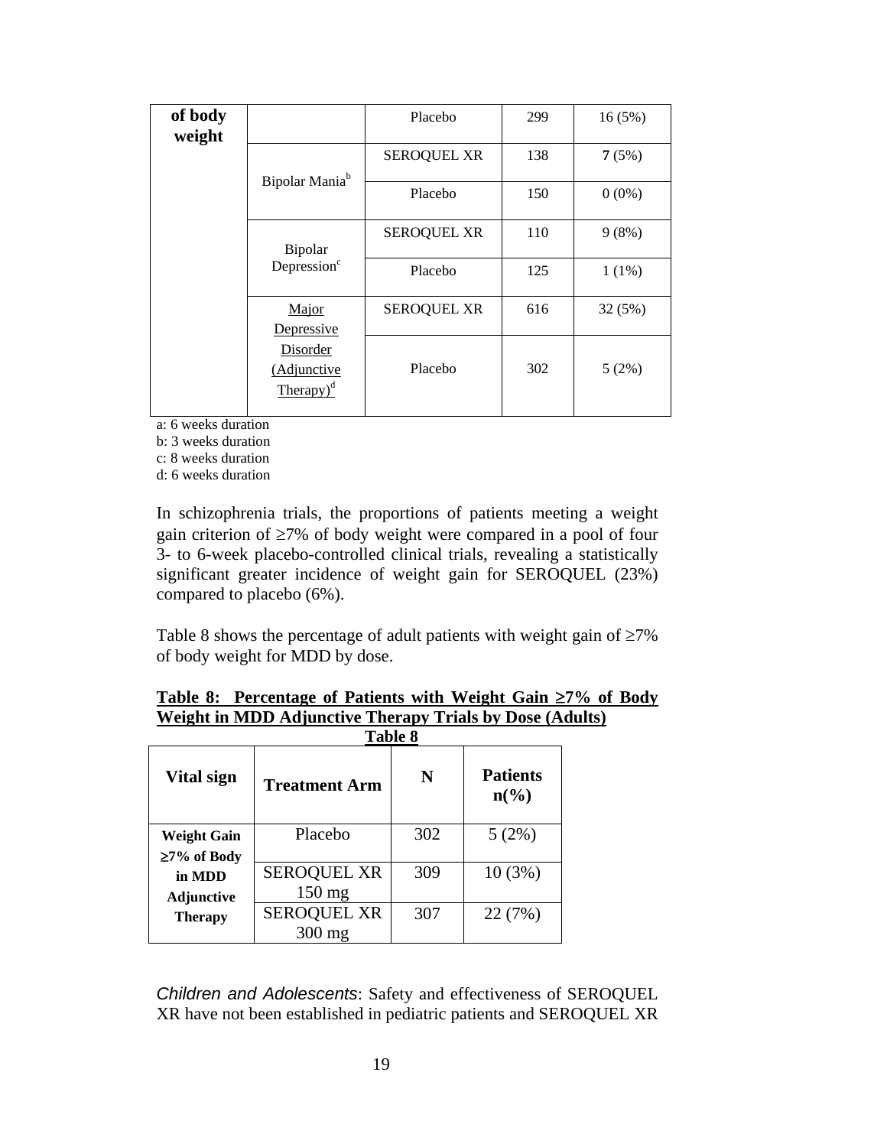| of body<br>weight |                                          | Placebo            | 299 | 16(5%)   |
|-------------------|------------------------------------------|--------------------|-----|----------|
|                   | Bipolar Mania <sup>b</sup>               | <b>SEROQUEL XR</b> | 138 | 7(5%)    |
|                   |                                          | Placebo            | 150 | $0(0\%)$ |
|                   | Bipolar                                  | <b>SEROQUEL XR</b> | 110 | 9(8%)    |
|                   | Depression <sup>c</sup>                  | Placebo            | 125 | $1(1\%)$ |
|                   | Major<br>Depressive                      | <b>SEROQUEL XR</b> | 616 | 32(5%)   |
|                   | Disorder<br>(Adjunctive<br>$(Therapy)^d$ | Placebo            | 302 | 5(2%)    |

a: 6 weeks duration

b: 3 weeks duration

c: 8 weeks duration

d: 6 weeks duration

In schizophrenia trials, the proportions of patients meeting a weight gain criterion of ≥7% of body weight were compared in a pool of four 3- to 6-week placebo-controlled clinical trials, revealing a statistically significant greater incidence of weight gain for SEROQUEL (23%) compared to placebo (6%).

Table 8 shows the percentage of adult patients with weight gain of  $\geq 7\%$ of body weight for MDD by dose.

|                    | <b>Table 8</b>       |     |                                    |  |
|--------------------|----------------------|-----|------------------------------------|--|
| Vital sign         | <b>Treatment Arm</b> | N   | <b>Patients</b><br>$n\binom{0}{0}$ |  |
| <b>Weight Gain</b> | Placebo              | 302 | 5(2%)                              |  |
| $\geq$ 7% of Body  |                      |     |                                    |  |
| in MDD             | <b>SEROQUEL XR</b>   | 309 | 10(3%)                             |  |
| Adjunctive         | $150$ mg             |     |                                    |  |
| <b>Therapy</b>     | <b>SEROQUEL XR</b>   | 307 | 22 (7%)                            |  |
|                    | $300$ mg             |     |                                    |  |

**Table 8: Percentage of Patients with Weight Gain** ≥**7% of Body Weight in MDD Adjunctive Therapy Trials by Dose (Adults)** 

*Children and Adolescents*: Safety and effectiveness of SEROQUEL XR have not been established in pediatric patients and SEROQUEL XR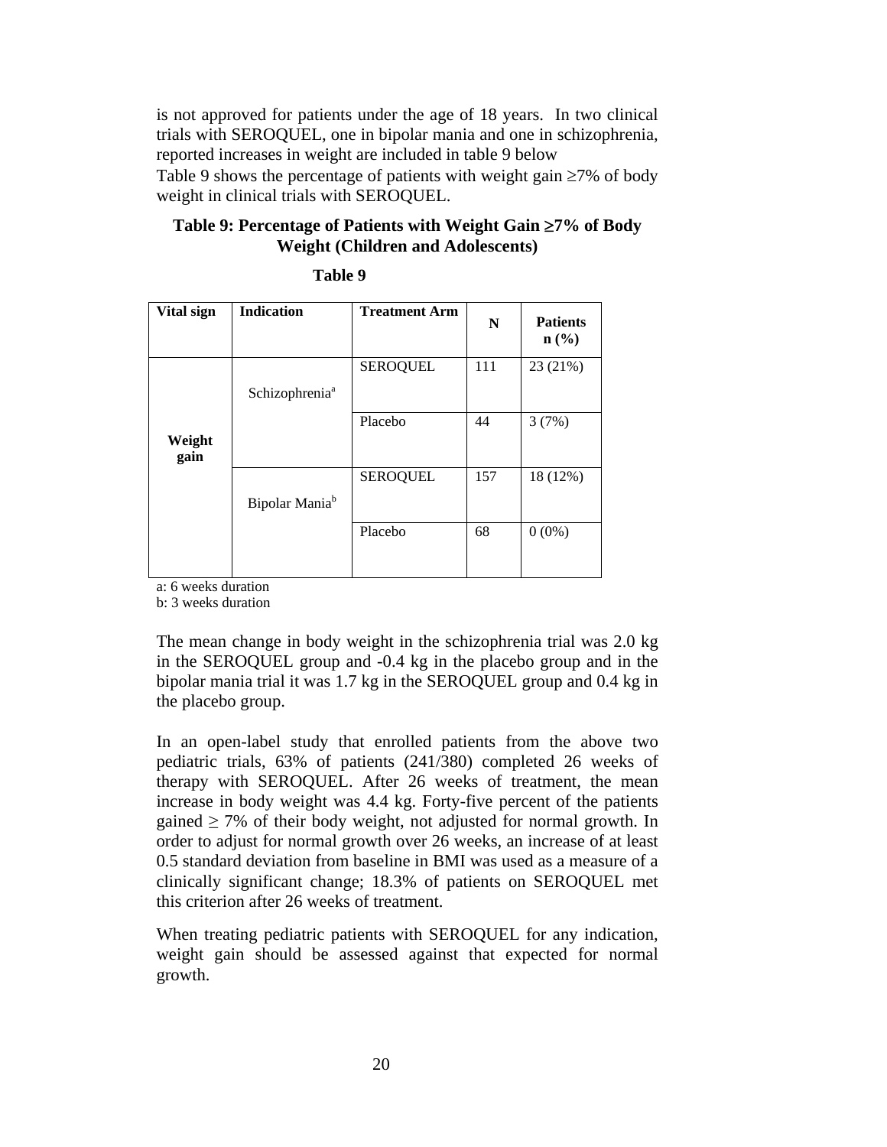is not approved for patients under the age of 18 years. In two clinical trials with SEROQUEL, one in bipolar mania and one in schizophrenia, reported increases in weight are included in table 9 below Table 9 shows the percentage of patients with weight gain  $\geq 7\%$  of body

weight in clinical trials with SEROQUEL.

### **Table 9: Percentage of Patients with Weight Gain** ≥**7% of Body Weight (Children and Adolescents)**

| Vital sign     | <b>Indication</b>          | <b>Treatment Arm</b> | N   | <b>Patients</b><br>$n$ (%) |
|----------------|----------------------------|----------------------|-----|----------------------------|
|                | Schizophrenia <sup>a</sup> | <b>SEROQUEL</b>      | 111 | 23 (21%)                   |
| Weight<br>gain |                            | Placebo              | 44  | 3(7%)                      |
|                | Bipolar Mania <sup>b</sup> | <b>SEROQUEL</b>      | 157 | 18 (12%)                   |
|                |                            | Placebo              | 68  | $0(0\%)$                   |

**Table 9** 

a: 6 weeks duration

b: 3 weeks duration

The mean change in body weight in the schizophrenia trial was 2.0 kg in the SEROQUEL group and -0.4 kg in the placebo group and in the bipolar mania trial it was 1.7 kg in the SEROQUEL group and 0.4 kg in the placebo group.

In an open-label study that enrolled patients from the above two pediatric trials, 63% of patients (241/380) completed 26 weeks of therapy with SEROQUEL. After 26 weeks of treatment, the mean increase in body weight was 4.4 kg. Forty-five percent of the patients gained  $\geq$  7% of their body weight, not adjusted for normal growth. In order to adjust for normal growth over 26 weeks, an increase of at least 0.5 standard deviation from baseline in BMI was used as a measure of a clinically significant change; 18.3% of patients on SEROQUEL met this criterion after 26 weeks of treatment.

When treating pediatric patients with SEROQUEL for any indication, weight gain should be assessed against that expected for normal growth.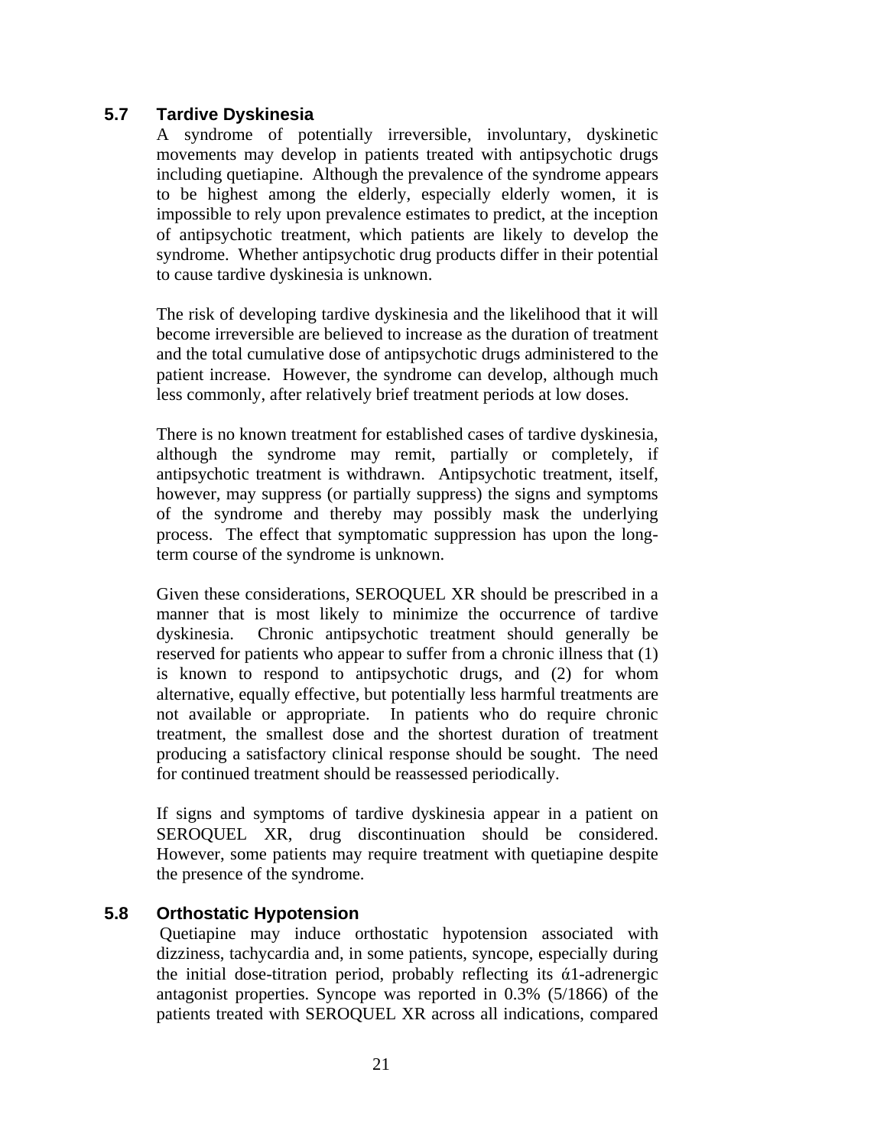### **5.7 Tardive Dyskinesia**

A syndrome of potentially irreversible, involuntary, dyskinetic movements may develop in patients treated with antipsychotic drugs including quetiapine. Although the prevalence of the syndrome appears to be highest among the elderly, especially elderly women, it is impossible to rely upon prevalence estimates to predict, at the inception of antipsychotic treatment, which patients are likely to develop the syndrome. Whether antipsychotic drug products differ in their potential to cause tardive dyskinesia is unknown.

The risk of developing tardive dyskinesia and the likelihood that it will become irreversible are believed to increase as the duration of treatment and the total cumulative dose of antipsychotic drugs administered to the patient increase. However, the syndrome can develop, although much less commonly, after relatively brief treatment periods at low doses.

There is no known treatment for established cases of tardive dyskinesia, although the syndrome may remit, partially or completely, if antipsychotic treatment is withdrawn. Antipsychotic treatment, itself, however, may suppress (or partially suppress) the signs and symptoms of the syndrome and thereby may possibly mask the underlying process. The effect that symptomatic suppression has upon the longterm course of the syndrome is unknown.

Given these considerations, SEROQUEL XR should be prescribed in a manner that is most likely to minimize the occurrence of tardive dyskinesia. Chronic antipsychotic treatment should generally be reserved for patients who appear to suffer from a chronic illness that (1) is known to respond to antipsychotic drugs, and (2) for whom alternative, equally effective, but potentially less harmful treatments are not available or appropriate. In patients who do require chronic treatment, the smallest dose and the shortest duration of treatment producing a satisfactory clinical response should be sought. The need for continued treatment should be reassessed periodically.

If signs and symptoms of tardive dyskinesia appear in a patient on SEROQUEL XR, drug discontinuation should be considered. However, some patients may require treatment with quetiapine despite the presence of the syndrome.

### **5.8 Orthostatic Hypotension**

Quetiapine may induce orthostatic hypotension associated with dizziness, tachycardia and, in some patients, syncope, especially during the initial dose-titration period, probably reflecting its  $\alpha$ 1-adrenergic antagonist properties. Syncope was reported in 0.3% (5/1866) of the patients treated with SEROQUEL XR across all indications, compared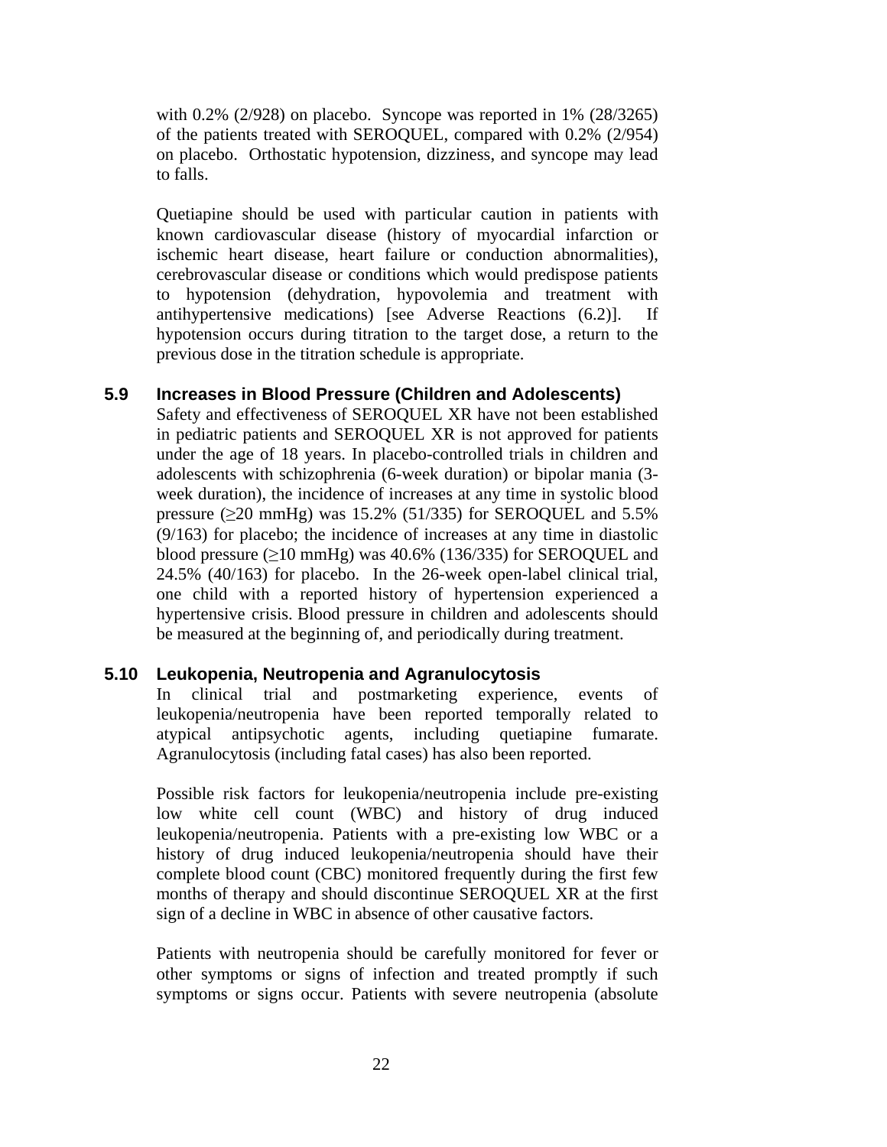with 0.2% (2/928) on placebo. Syncope was reported in 1% (28/3265) of the patients treated with SEROQUEL, compared with 0.2% (2/954) on placebo. Orthostatic hypotension, dizziness, and syncope may lead to falls.

Quetiapine should be used with particular caution in patients with known cardiovascular disease (history of myocardial infarction or ischemic heart disease, heart failure or conduction abnormalities), cerebrovascular disease or conditions which would predispose patients to hypotension (dehydration, hypovolemia and treatment with antihypertensive medications) [see Adverse Reactions (6.2)]. If hypotension occurs during titration to the target dose, a return to the previous dose in the titration schedule is appropriate.

### **5.9 Increases in Blood Pressure (Children and Adolescents)**

Safety and effectiveness of SEROQUEL XR have not been established in pediatric patients and SEROQUEL XR is not approved for patients under the age of 18 years. In placebo-controlled trials in children and adolescents with schizophrenia (6-week duration) or bipolar mania (3 week duration), the incidence of increases at any time in systolic blood pressure  $(\geq 20 \text{ mmHg})$  was 15.2% (51/335) for SEROQUEL and 5.5% (9/163) for placebo; the incidence of increases at any time in diastolic blood pressure  $(\geq 10 \text{ mmHg})$  was 40.6% (136/335) for SEROQUEL and 24.5% (40/163) for placebo. In the 26-week open-label clinical trial, one child with a reported history of hypertension experienced a hypertensive crisis. Blood pressure in children and adolescents should be measured at the beginning of, and periodically during treatment.

#### **5.10 Leukopenia, Neutropenia and Agranulocytosis**

In clinical trial and postmarketing experience, events of leukopenia/neutropenia have been reported temporally related to atypical antipsychotic agents, including quetiapine fumarate. Agranulocytosis (including fatal cases) has also been reported.

Possible risk factors for leukopenia/neutropenia include pre-existing low white cell count (WBC) and history of drug induced leukopenia/neutropenia. Patients with a pre-existing low WBC or a history of drug induced leukopenia/neutropenia should have their complete blood count (CBC) monitored frequently during the first few months of therapy and should discontinue SEROQUEL XR at the first sign of a decline in WBC in absence of other causative factors.

Patients with neutropenia should be carefully monitored for fever or other symptoms or signs of infection and treated promptly if such symptoms or signs occur. Patients with severe neutropenia (absolute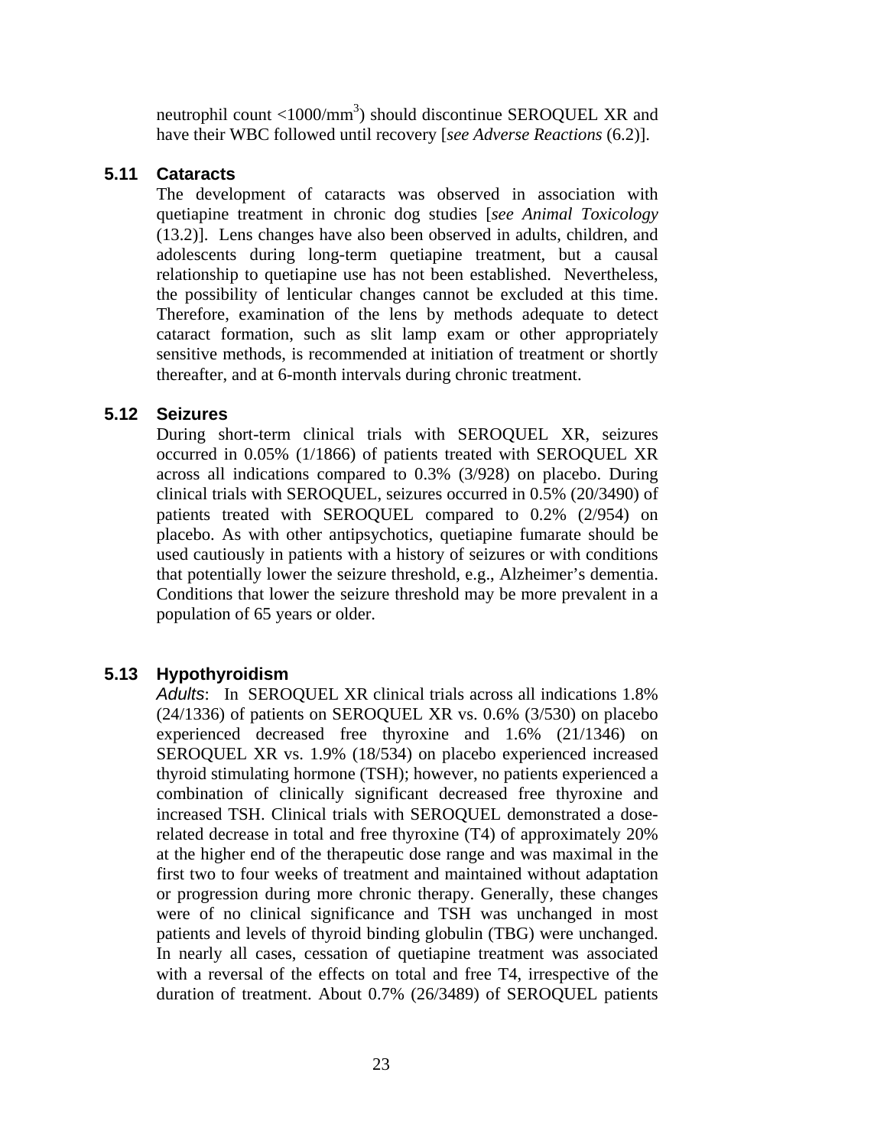neutrophil count  $\langle 1000/\text{mm}^3 \rangle$  should discontinue SEROQUEL XR and have their WBC followed until recovery [*see Adverse Reactions* (6.2)].

#### **5.11 Cataracts**

The development of cataracts was observed in association with quetiapine treatment in chronic dog studies [*see Animal Toxicology*  (13.2)]. Lens changes have also been observed in adults, children, and adolescents during long-term quetiapine treatment, but a causal relationship to quetiapine use has not been established. Nevertheless, the possibility of lenticular changes cannot be excluded at this time. Therefore, examination of the lens by methods adequate to detect cataract formation, such as slit lamp exam or other appropriately sensitive methods, is recommended at initiation of treatment or shortly thereafter, and at 6-month intervals during chronic treatment.

#### **5.12 Seizures**

During short-term clinical trials with SEROQUEL XR, seizures occurred in 0.05% (1/1866) of patients treated with SEROQUEL XR across all indications compared to 0.3% (3/928) on placebo. During clinical trials with SEROQUEL, seizures occurred in 0.5% (20/3490) of patients treated with SEROQUEL compared to 0.2% (2/954) on placebo. As with other antipsychotics, quetiapine fumarate should be used cautiously in patients with a history of seizures or with conditions that potentially lower the seizure threshold, e.g., Alzheimer's dementia. Conditions that lower the seizure threshold may be more prevalent in a population of 65 years or older.

#### **5.13 Hypothyroidism**

 *Adults*: In SEROQUEL XR clinical trials across all indications 1.8% (24/1336) of patients on SEROQUEL XR vs. 0.6% (3/530) on placebo experienced decreased free thyroxine and 1.6% (21/1346) on SEROQUEL XR vs. 1.9% (18/534) on placebo experienced increased thyroid stimulating hormone (TSH); however, no patients experienced a combination of clinically significant decreased free thyroxine and increased TSH. Clinical trials with SEROQUEL demonstrated a doserelated decrease in total and free thyroxine (T4) of approximately 20% at the higher end of the therapeutic dose range and was maximal in the first two to four weeks of treatment and maintained without adaptation or progression during more chronic therapy. Generally, these changes were of no clinical significance and TSH was unchanged in most patients and levels of thyroid binding globulin (TBG) were unchanged. In nearly all cases, cessation of quetiapine treatment was associated with a reversal of the effects on total and free T4, irrespective of the duration of treatment. About 0.7% (26/3489) of SEROQUEL patients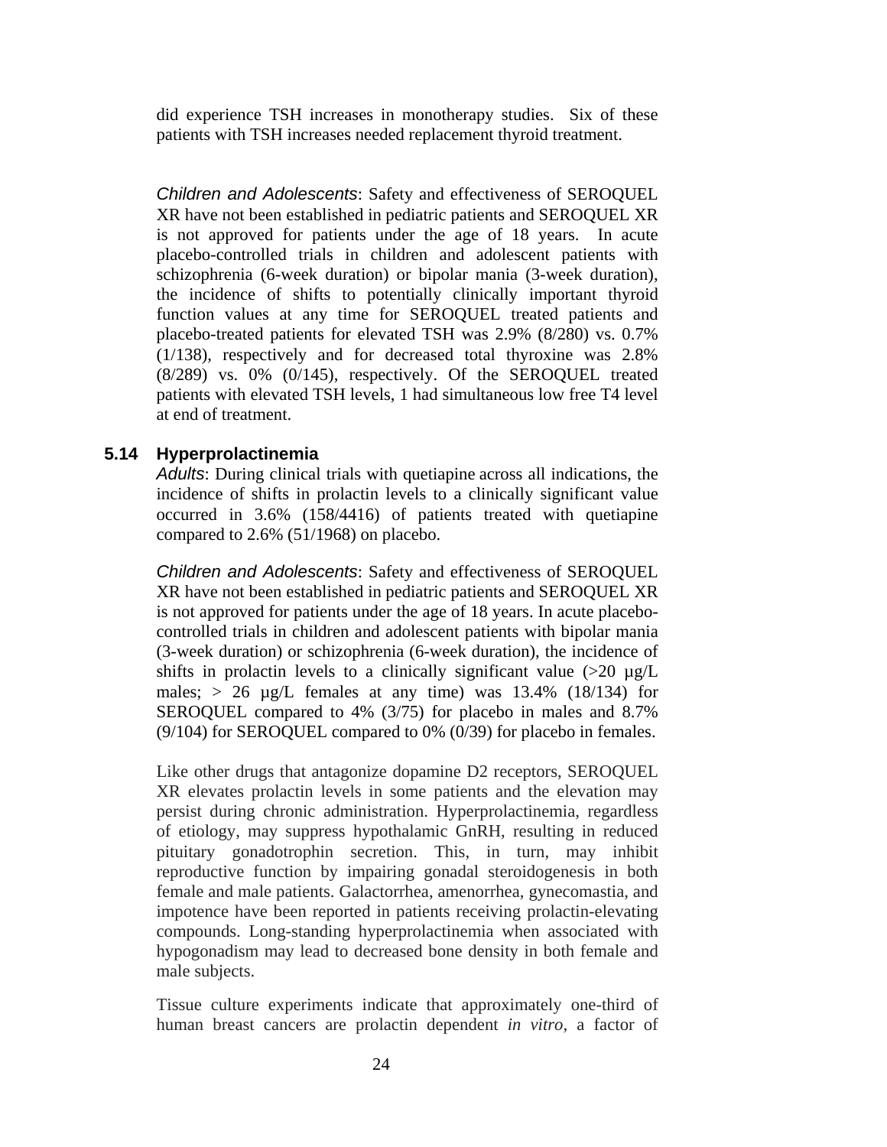did experience TSH increases in monotherapy studies. Six of these patients with TSH increases needed replacement thyroid treatment.

*Children and Adolescents*: Safety and effectiveness of SEROQUEL XR have not been established in pediatric patients and SEROQUEL XR is not approved for patients under the age of 18 years. In acute placebo-controlled trials in children and adolescent patients with schizophrenia (6-week duration) or bipolar mania (3-week duration), the incidence of shifts to potentially clinically important thyroid function values at any time for SEROQUEL treated patients and placebo-treated patients for elevated TSH was 2.9% (8/280) vs. 0.7% (1/138), respectively and for decreased total thyroxine was 2.8% (8/289) vs. 0% (0/145), respectively. Of the SEROQUEL treated patients with elevated TSH levels, 1 had simultaneous low free T4 level at end of treatment.

#### **5.14 Hyperprolactinemia**

*Adults*: During clinical trials with quetiapine across all indications, the incidence of shifts in prolactin levels to a clinically significant value occurred in 3.6% (158/4416) of patients treated with quetiapine compared to 2.6% (51/1968) on placebo.

*Children and Adolescents*: Safety and effectiveness of SEROQUEL XR have not been established in pediatric patients and SEROQUEL XR is not approved for patients under the age of 18 years. In acute placebocontrolled trials in children and adolescent patients with bipolar mania (3-week duration) or schizophrenia (6-week duration), the incidence of shifts in prolactin levels to a clinically significant value  $\geq 20 \mu g/L$ males;  $> 26 \mu g/L$  females at any time) was 13.4% (18/134) for SEROQUEL compared to 4% (3/75) for placebo in males and 8.7% (9/104) for SEROQUEL compared to 0% (0/39) for placebo in females.

Like other drugs that antagonize dopamine D2 receptors, SEROQUEL XR elevates prolactin levels in some patients and the elevation may persist during chronic administration. Hyperprolactinemia, regardless of etiology, may suppress hypothalamic GnRH, resulting in reduced pituitary gonadotrophin secretion. This, in turn, may inhibit reproductive function by impairing gonadal steroidogenesis in both female and male patients. Galactorrhea, amenorrhea, gynecomastia, and impotence have been reported in patients receiving prolactin-elevating compounds. Long-standing hyperprolactinemia when associated with hypogonadism may lead to decreased bone density in both female and male subjects.

Tissue culture experiments indicate that approximately one-third of human breast cancers are prolactin dependent *in vitro*, a factor of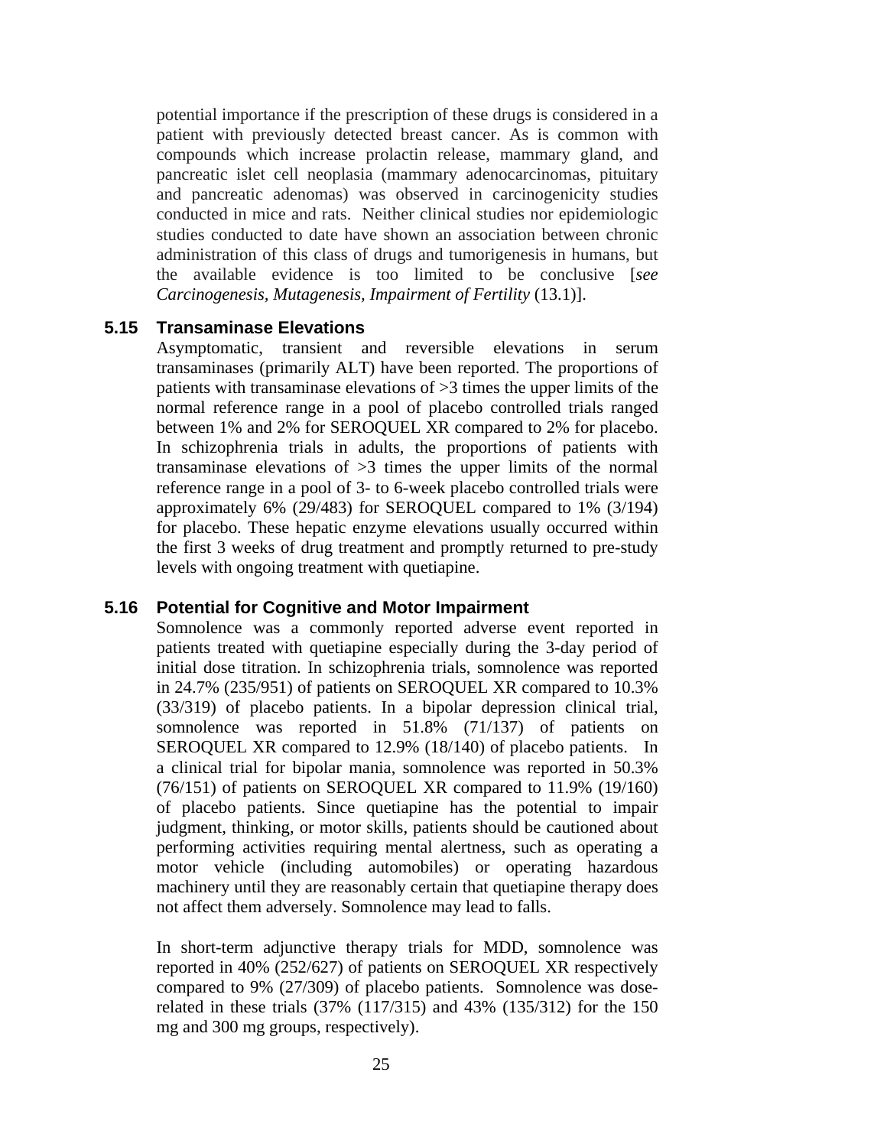potential importance if the prescription of these drugs is considered in a patient with previously detected breast cancer. As is common with compounds which increase prolactin release, mammary gland, and pancreatic islet cell neoplasia (mammary adenocarcinomas, pituitary and pancreatic adenomas) was observed in carcinogenicity studies conducted in mice and rats. Neither clinical studies nor epidemiologic studies conducted to date have shown an association between chronic administration of this class of drugs and tumorigenesis in humans, but the available evidence is too limited to be conclusive [*see Carcinogenesis, Mutagenesis, Impairment of Fertility* (13.1)].

#### **5.15 Transaminase Elevations**

Asymptomatic, transient and reversible elevations in serum transaminases (primarily ALT) have been reported. The proportions of patients with transaminase elevations of >3 times the upper limits of the normal reference range in a pool of placebo controlled trials ranged between 1% and 2% for SEROQUEL XR compared to 2% for placebo. In schizophrenia trials in adults, the proportions of patients with transaminase elevations of >3 times the upper limits of the normal reference range in a pool of 3- to 6-week placebo controlled trials were approximately 6% (29/483) for SEROQUEL compared to 1% (3/194) for placebo. These hepatic enzyme elevations usually occurred within the first 3 weeks of drug treatment and promptly returned to pre-study levels with ongoing treatment with quetiapine.

### **5.16 Potential for Cognitive and Motor Impairment**

Somnolence was a commonly reported adverse event reported in patients treated with quetiapine especially during the 3-day period of initial dose titration. In schizophrenia trials, somnolence was reported in 24.7% (235/951) of patients on SEROQUEL XR compared to 10.3% (33/319) of placebo patients. In a bipolar depression clinical trial, somnolence was reported in 51.8% (71/137) of patients on SEROQUEL XR compared to 12.9% (18/140) of placebo patients. In a clinical trial for bipolar mania, somnolence was reported in 50.3% (76/151) of patients on SEROQUEL XR compared to 11.9% (19/160) of placebo patients. Since quetiapine has the potential to impair judgment, thinking, or motor skills, patients should be cautioned about performing activities requiring mental alertness, such as operating a motor vehicle (including automobiles) or operating hazardous machinery until they are reasonably certain that quetiapine therapy does not affect them adversely. Somnolence may lead to falls.

In short-term adjunctive therapy trials for MDD, somnolence was reported in 40% (252/627) of patients on SEROQUEL XR respectively compared to 9% (27/309) of placebo patients. Somnolence was doserelated in these trials (37% (117/315) and 43% (135/312) for the 150 mg and 300 mg groups, respectively).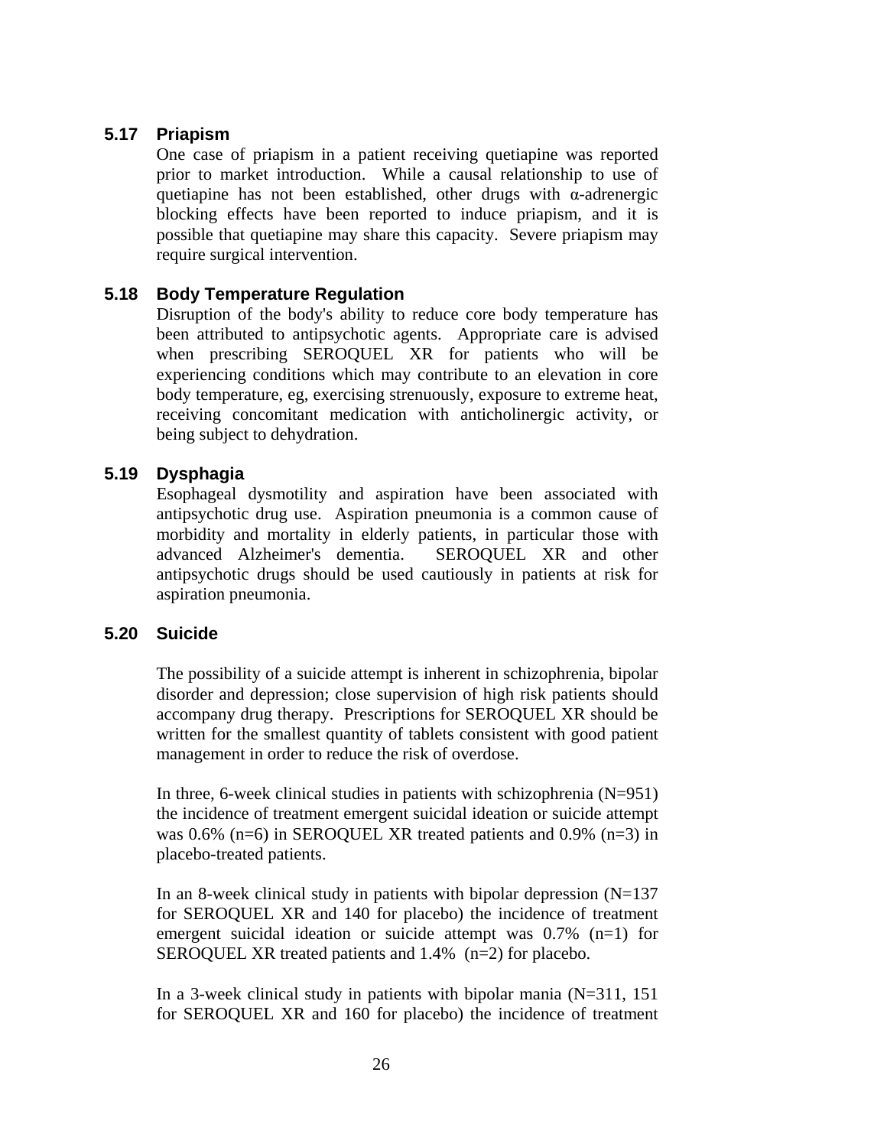### **5.17 Priapism**

One case of priapism in a patient receiving quetiapine was reported prior to market introduction. While a causal relationship to use of quetiapine has not been established, other drugs with  $\alpha$ -adrenergic blocking effects have been reported to induce priapism, and it is possible that quetiapine may share this capacity. Severe priapism may require surgical intervention.

### **5.18 Body Temperature Regulation**

Disruption of the body's ability to reduce core body temperature has been attributed to antipsychotic agents. Appropriate care is advised when prescribing SEROQUEL XR for patients who will be experiencing conditions which may contribute to an elevation in core body temperature, eg, exercising strenuously, exposure to extreme heat, receiving concomitant medication with anticholinergic activity, or being subject to dehydration.

### **5.19 Dysphagia**

Esophageal dysmotility and aspiration have been associated with antipsychotic drug use. Aspiration pneumonia is a common cause of morbidity and mortality in elderly patients, in particular those with advanced Alzheimer's dementia. SEROQUEL XR and other antipsychotic drugs should be used cautiously in patients at risk for aspiration pneumonia.

### **5.20 Suicide**

The possibility of a suicide attempt is inherent in schizophrenia, bipolar disorder and depression; close supervision of high risk patients should accompany drug therapy. Prescriptions for SEROQUEL XR should be written for the smallest quantity of tablets consistent with good patient management in order to reduce the risk of overdose.

In three, 6-week clinical studies in patients with schizophrenia  $(N=951)$ the incidence of treatment emergent suicidal ideation or suicide attempt was  $0.6\%$  (n=6) in SEROQUEL XR treated patients and  $0.9\%$  (n=3) in placebo-treated patients.

In an 8-week clinical study in patients with bipolar depression  $(N=137)$ for SEROQUEL XR and 140 for placebo) the incidence of treatment emergent suicidal ideation or suicide attempt was  $0.7\%$  (n=1) for SEROQUEL XR treated patients and 1.4% (n=2) for placebo.

In a 3-week clinical study in patients with bipolar mania  $(N=311, 151)$ for SEROQUEL XR and 160 for placebo) the incidence of treatment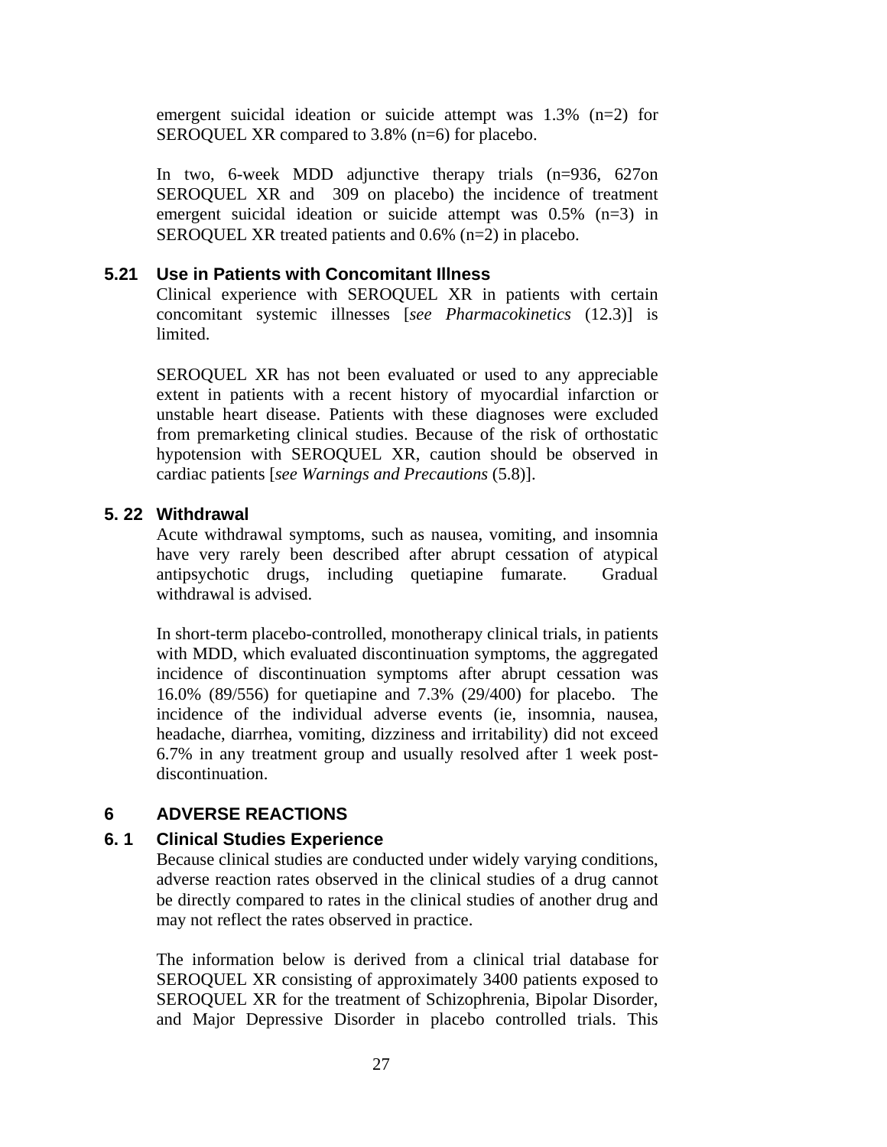emergent suicidal ideation or suicide attempt was 1.3% (n=2) for SEROQUEL XR compared to 3.8% (n=6) for placebo.

 SEROQUEL XR treated patients and 0.6% (n=2) in placebo. In two, 6-week MDD adjunctive therapy trials (n=936, 627on SEROQUEL XR and 309 on placebo) the incidence of treatment emergent suicidal ideation or suicide attempt was 0.5% (n=3) in

#### **5.21 Use in Patients with Concomitant Illness**

Clinical experience with SEROQUEL XR in patients with certain concomitant systemic illnesses [*see Pharmacokinetics* (12.3)] is limited.

SEROQUEL XR has not been evaluated or used to any appreciable extent in patients with a recent history of myocardial infarction or unstable heart disease. Patients with these diagnoses were excluded from premarketing clinical studies. Because of the risk of orthostatic hypotension with SEROQUEL XR, caution should be observed in cardiac patients [*see Warnings and Precautions* (5.8)].

#### **5. 22 Withdrawal**

Acute withdrawal symptoms, such as nausea, vomiting, and insomnia have very rarely been described after abrupt cessation of atypical antipsychotic drugs, including quetiapine fumarate. Gradual withdrawal is advised.

In short-term placebo-controlled, monotherapy clinical trials, in patients with MDD, which evaluated discontinuation symptoms, the aggregated incidence of discontinuation symptoms after abrupt cessation was 16.0% (89/556) for quetiapine and 7.3% (29/400) for placebo. The incidence of the individual adverse events (ie, insomnia, nausea, headache, diarrhea, vomiting, dizziness and irritability) did not exceed 6.7% in any treatment group and usually resolved after 1 week postdiscontinuation.

#### **6 ADVERSE REACTIONS**

#### **6. 1 Clinical Studies Experience**

Because clinical studies are conducted under widely varying conditions, adverse reaction rates observed in the clinical studies of a drug cannot be directly compared to rates in the clinical studies of another drug and may not reflect the rates observed in practice.

The information below is derived from a clinical trial database for SEROQUEL XR consisting of approximately 3400 patients exposed to SEROQUEL XR for the treatment of Schizophrenia, Bipolar Disorder, and Major Depressive Disorder in placebo controlled trials. This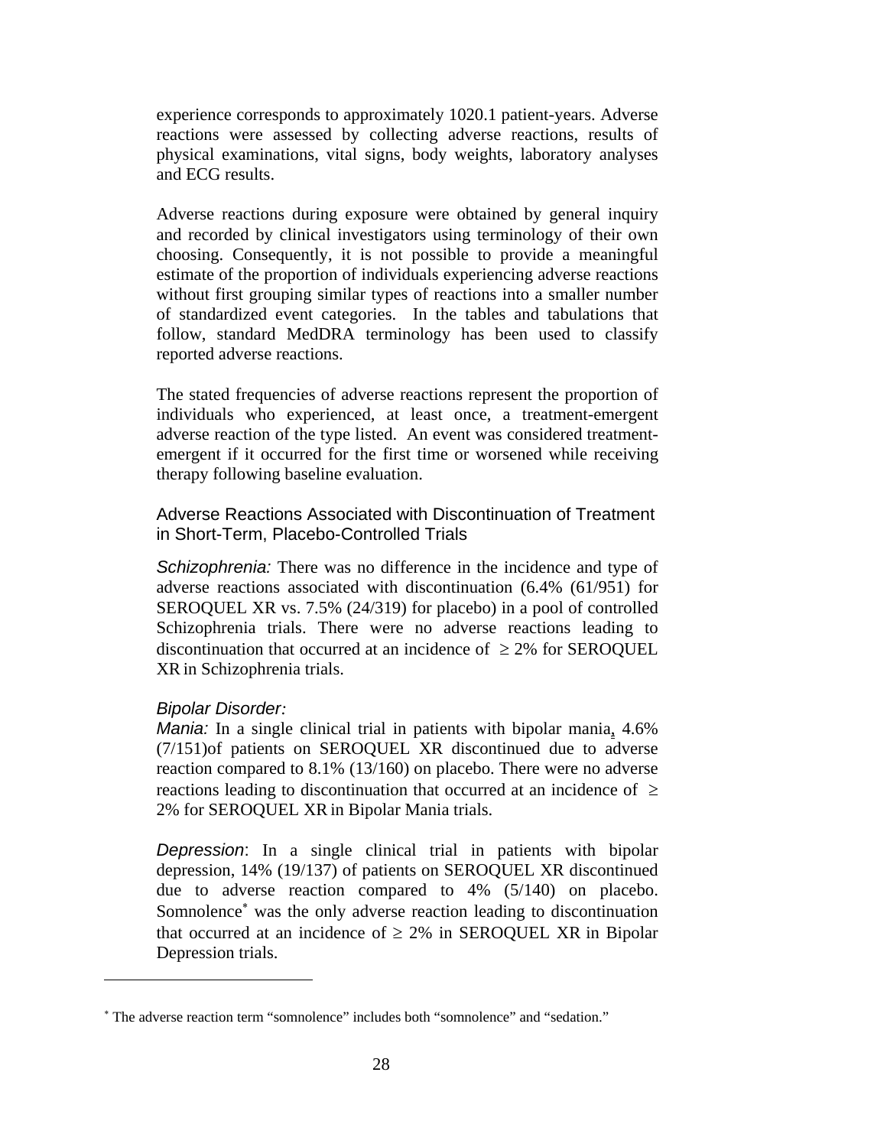experience corresponds to approximately 1020.1 patient-years. Adverse reactions were assessed by collecting adverse reactions, results of physical examinations, vital signs, body weights, laboratory analyses and ECG results.

Adverse reactions during exposure were obtained by general inquiry and recorded by clinical investigators using terminology of their own choosing. Consequently, it is not possible to provide a meaningful estimate of the proportion of individuals experiencing adverse reactions without first grouping similar types of reactions into a smaller number of standardized event categories. In the tables and tabulations that follow, standard MedDRA terminology has been used to classify reported adverse reactions.

The stated frequencies of adverse reactions represent the proportion of individuals who experienced, at least once, a treatment-emergent adverse reaction of the type listed. An event was considered treatmentemergent if it occurred for the first time or worsened while receiving therapy following baseline evaluation.

Adverse Reactions Associated with Discontinuation of Treatment in Short-Term, Placebo-Controlled Trials

*Schizophrenia:* There was no difference in the incidence and type of adverse reactions associated with discontinuation (6.4% (61/951) for SEROQUEL XR vs. 7.5% (24/319) for placebo) in a pool of controlled Schizophrenia trials. There were no adverse reactions leading to discontinuation that occurred at an incidence of  $\geq$  2% for SEROQUEL XR in Schizophrenia trials.

#### *Bipolar Disorder:*

 $\overline{a}$ 

*Mania:* In a single clinical trial in patients with bipolar mania, 4.6% (7/151)of patients on SEROQUEL XR discontinued due to adverse reaction compared to 8.1% (13/160) on placebo. There were no adverse reactions leading to discontinuation that occurred at an incidence of  $\geq$ 2% for SEROQUEL XR in Bipolar Mania trials.

*Depression*: In a single clinical trial in patients with bipolar depression, 14% (19/137) of patients on SEROQUEL XR discontinued due to adverse reaction compared to 4% (5/140) on placebo. Somnolence<sup>∗</sup> was the only adverse reaction leading to discontinuation that occurred at an incidence of  $\geq$  2% in SEROQUEL XR in Bipolar Depression trials.

<sup>∗</sup> The adverse reaction term "somnolence" includes both "somnolence" and "sedation."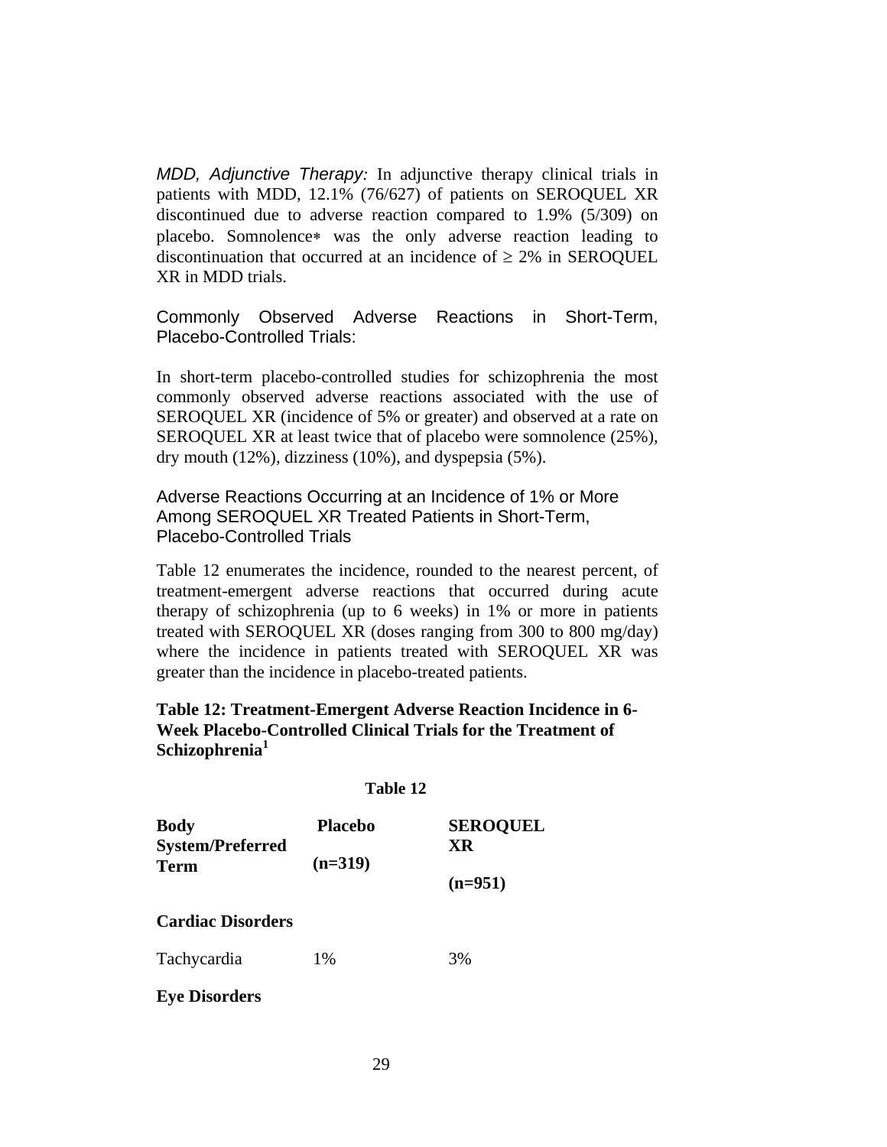*MDD, Adjunctive Therapy:* In adjunctive therapy clinical trials in patients with MDD, 12.1% (76/627) of patients on SEROQUEL XR discontinued due to adverse reaction compared to 1.9% (5/309) on placebo. Somnolence∗ was the only adverse reaction leading to discontinuation that occurred at an incidence of  $\geq 2\%$  in SEROQUEL XR in MDD trials.

Commonly Observed Adverse Reactions in Short-Term, Placebo-Controlled Trials:

In short-term placebo-controlled studies for schizophrenia the most commonly observed adverse reactions associated with the use of SEROQUEL XR (incidence of 5% or greater) and observed at a rate on SEROQUEL XR at least twice that of placebo were somnolence (25%), dry mouth (12%), dizziness (10%), and dyspepsia (5%).

Adverse Reactions Occurring at an Incidence of 1% or More Among SEROQUEL XR Treated Patients in Short-Term, Placebo-Controlled Trials

Table 12 enumerates the incidence, rounded to the nearest percent, of treatment-emergent adverse reactions that occurred during acute therapy of schizophrenia (up to 6 weeks) in 1% or more in patients treated with SEROQUEL XR (doses ranging from 300 to 800 mg/day) where the incidence in patients treated with SEROQUEL XR was greater than the incidence in placebo-treated patients.

### **Table 12: Treatment-Emergent Adverse Reaction Incidence in 6- Week Placebo-Controlled Clinical Trials for the Treatment of Schizophrenia1**

|                                                       | Table 12                    |                                    |
|-------------------------------------------------------|-----------------------------|------------------------------------|
| <b>Body</b><br><b>System/Preferred</b><br><b>Term</b> | <b>Placebo</b><br>$(n=319)$ | <b>SEROQUEL</b><br>XR<br>$(n=951)$ |
| <b>Cardiac Disorders</b>                              |                             |                                    |
| Tachycardia                                           | 1%                          | 3%                                 |
|                                                       |                             |                                    |

**Eye Disorders**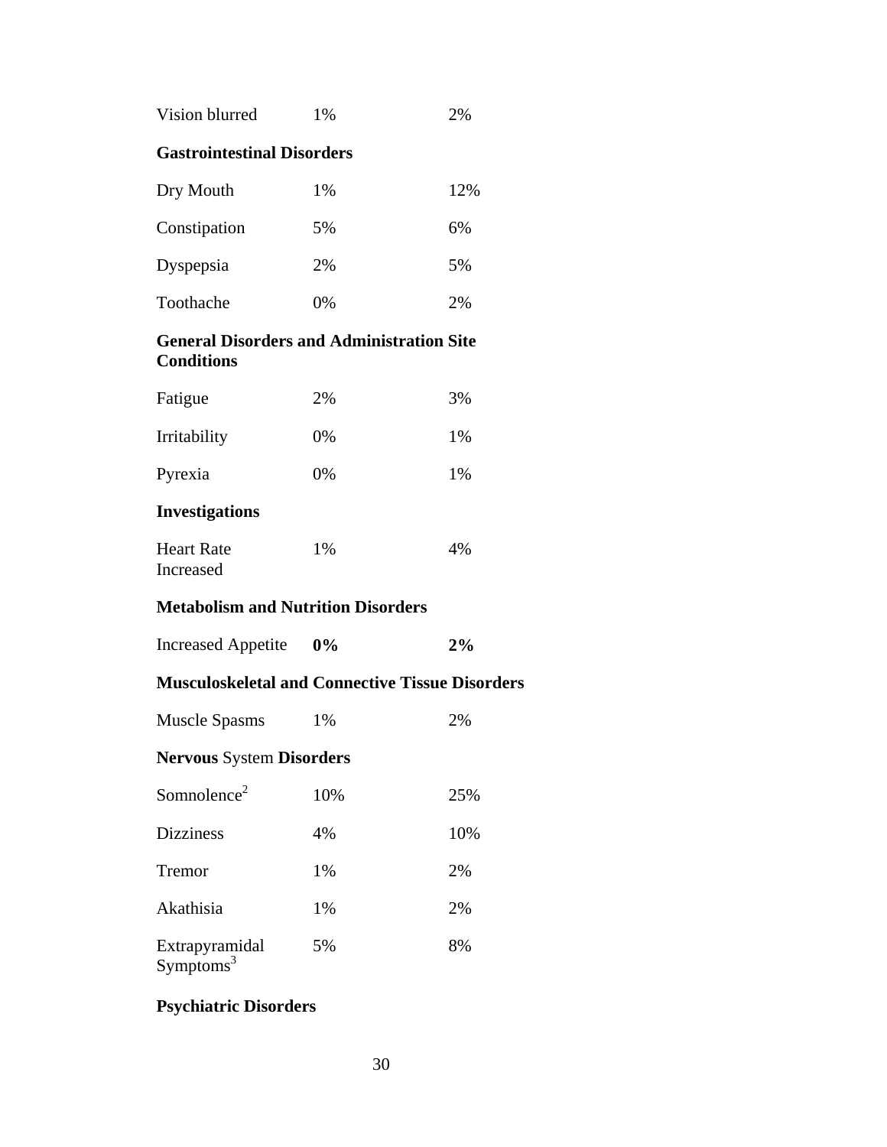| <b>Gastrointestinal Disorders</b><br>Dry Mouth<br>1%<br>12%<br>Constipation<br>6%<br>5%<br>Dyspepsia<br>2%<br>5%<br>0%<br>Toothache<br>2%<br><b>General Disorders and Administration Site</b><br><b>Conditions</b><br>Fatigue<br>2%<br>3%<br>Irritability<br>0%<br>1%<br>Pyrexia<br>0%<br>1%<br><b>Investigations</b><br><b>Heart Rate</b><br>1%<br>4%<br>Increased<br><b>Metabolism and Nutrition Disorders</b><br>Increased Appetite 0%<br>2%<br><b>Musculoskeletal and Connective Tissue Disorders</b><br><b>Muscle Spasms</b><br>1%<br>2%<br><b>Nervous System Disorders</b><br>Somnolence <sup>2</sup><br>10%<br>25%<br><b>Dizziness</b><br>4%<br>10%<br>Tremor<br>1%<br>2%<br>Akathisia<br>1%<br>2%<br>8%<br>Extrapyramidal<br>5%<br>Symptoms <sup>3</sup> | Vision blurred | 1% | 2% |
|------------------------------------------------------------------------------------------------------------------------------------------------------------------------------------------------------------------------------------------------------------------------------------------------------------------------------------------------------------------------------------------------------------------------------------------------------------------------------------------------------------------------------------------------------------------------------------------------------------------------------------------------------------------------------------------------------------------------------------------------------------------|----------------|----|----|
|                                                                                                                                                                                                                                                                                                                                                                                                                                                                                                                                                                                                                                                                                                                                                                  |                |    |    |
|                                                                                                                                                                                                                                                                                                                                                                                                                                                                                                                                                                                                                                                                                                                                                                  |                |    |    |
|                                                                                                                                                                                                                                                                                                                                                                                                                                                                                                                                                                                                                                                                                                                                                                  |                |    |    |
|                                                                                                                                                                                                                                                                                                                                                                                                                                                                                                                                                                                                                                                                                                                                                                  |                |    |    |
|                                                                                                                                                                                                                                                                                                                                                                                                                                                                                                                                                                                                                                                                                                                                                                  |                |    |    |
|                                                                                                                                                                                                                                                                                                                                                                                                                                                                                                                                                                                                                                                                                                                                                                  |                |    |    |
|                                                                                                                                                                                                                                                                                                                                                                                                                                                                                                                                                                                                                                                                                                                                                                  |                |    |    |
|                                                                                                                                                                                                                                                                                                                                                                                                                                                                                                                                                                                                                                                                                                                                                                  |                |    |    |
|                                                                                                                                                                                                                                                                                                                                                                                                                                                                                                                                                                                                                                                                                                                                                                  |                |    |    |
|                                                                                                                                                                                                                                                                                                                                                                                                                                                                                                                                                                                                                                                                                                                                                                  |                |    |    |
|                                                                                                                                                                                                                                                                                                                                                                                                                                                                                                                                                                                                                                                                                                                                                                  |                |    |    |
|                                                                                                                                                                                                                                                                                                                                                                                                                                                                                                                                                                                                                                                                                                                                                                  |                |    |    |
|                                                                                                                                                                                                                                                                                                                                                                                                                                                                                                                                                                                                                                                                                                                                                                  |                |    |    |
|                                                                                                                                                                                                                                                                                                                                                                                                                                                                                                                                                                                                                                                                                                                                                                  |                |    |    |
|                                                                                                                                                                                                                                                                                                                                                                                                                                                                                                                                                                                                                                                                                                                                                                  |                |    |    |
|                                                                                                                                                                                                                                                                                                                                                                                                                                                                                                                                                                                                                                                                                                                                                                  |                |    |    |
|                                                                                                                                                                                                                                                                                                                                                                                                                                                                                                                                                                                                                                                                                                                                                                  |                |    |    |
|                                                                                                                                                                                                                                                                                                                                                                                                                                                                                                                                                                                                                                                                                                                                                                  |                |    |    |
|                                                                                                                                                                                                                                                                                                                                                                                                                                                                                                                                                                                                                                                                                                                                                                  |                |    |    |
|                                                                                                                                                                                                                                                                                                                                                                                                                                                                                                                                                                                                                                                                                                                                                                  |                |    |    |
|                                                                                                                                                                                                                                                                                                                                                                                                                                                                                                                                                                                                                                                                                                                                                                  |                |    |    |

# **Psychiatric Disorders**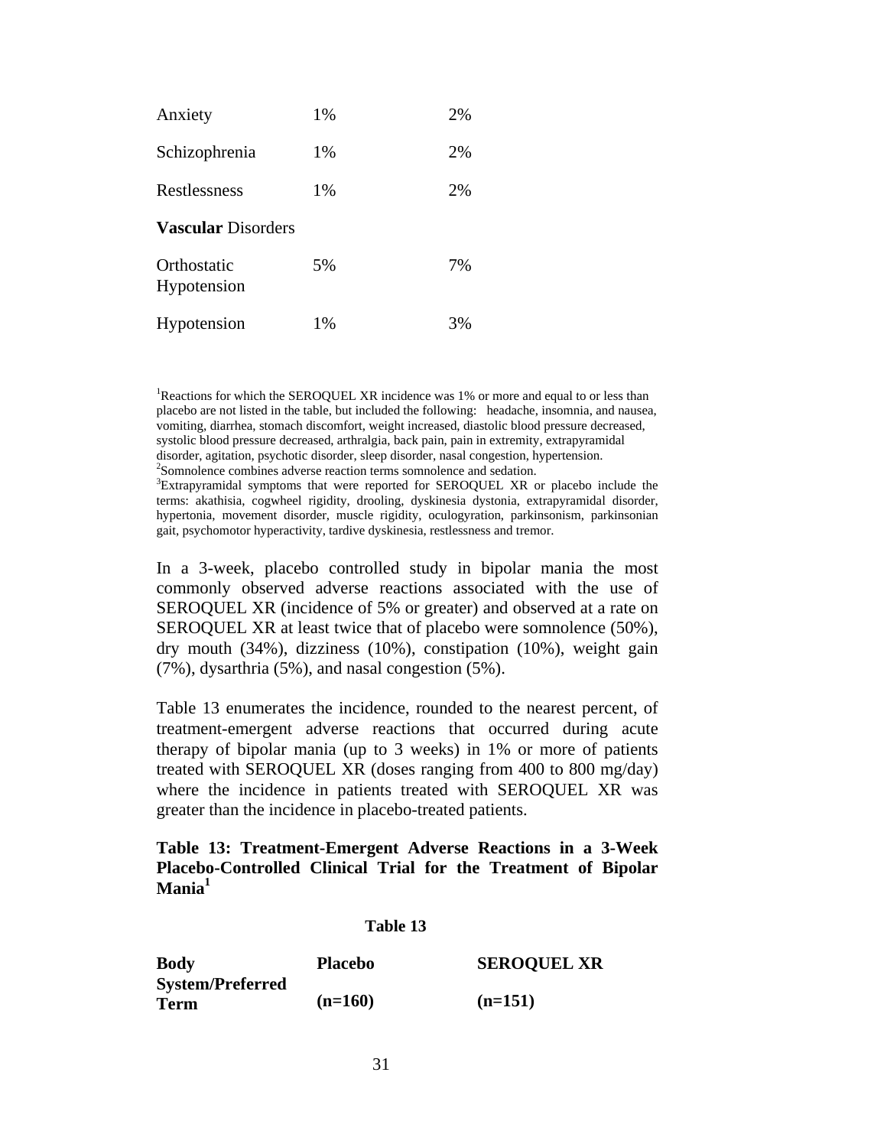| Anxiety                    | 1%    | 2% |
|----------------------------|-------|----|
| Schizophrenia              | 1%    | 2% |
| Restlessness               | 1%    | 2% |
| <b>Vascular</b> Disorders  |       |    |
| Orthostatic<br>Hypotension | 5%    | 7% |
| Hypotension                | $1\%$ | 3% |

<sup>1</sup>Reactions for which the SEROQUEL XR incidence was 1% or more and equal to or less than placebo are not listed in the table, but included the following: headache, insomnia, and nausea, vomiting, diarrhea, stomach discomfort, weight increased, diastolic blood pressure decreased, systolic blood pressure decreased, arthralgia, back pain, pain in extremity, extrapyramidal disorder, agitation, psychotic disorder, sleep disorder, nasal congestion, hypertension. <sup>2</sup>Somnolence combines adverse reaction terms somnolence and sedation.

 gait, psychomotor hyperactivity, tardive dyskinesia, restlessness and tremor. <sup>3</sup>Extrapyramidal symptoms that were reported for SEROQUEL XR or placebo include the terms: akathisia, cogwheel rigidity, drooling, dyskinesia dystonia, extrapyramidal disorder, hypertonia, movement disorder, muscle rigidity, oculogyration, parkinsonism, parkinsonian

In a 3-week, placebo controlled study in bipolar mania the most commonly observed adverse reactions associated with the use of SEROQUEL XR (incidence of 5% or greater) and observed at a rate on SEROQUEL XR at least twice that of placebo were somnolence (50%), dry mouth (34%), dizziness (10%), constipation (10%), weight gain (7%), dysarthria (5%), and nasal congestion (5%).

Table 13 enumerates the incidence, rounded to the nearest percent, of treatment-emergent adverse reactions that occurred during acute therapy of bipolar mania (up to 3 weeks) in 1% or more of patients treated with SEROQUEL XR (doses ranging from 400 to 800 mg/day) where the incidence in patients treated with SEROQUEL XR was greater than the incidence in placebo-treated patients.

**Table 13: Treatment-Emergent Adverse Reactions in a 3-Week Placebo-Controlled Clinical Trial for the Treatment of Bipolar Mania1** 

**Table 13** 

| <b>Body</b>             | <b>Placebo</b> | <b>SEROQUEL XR</b> |
|-------------------------|----------------|--------------------|
| <b>System/Preferred</b> |                |                    |
| <b>Term</b>             | $(n=160)$      | $(n=151)$          |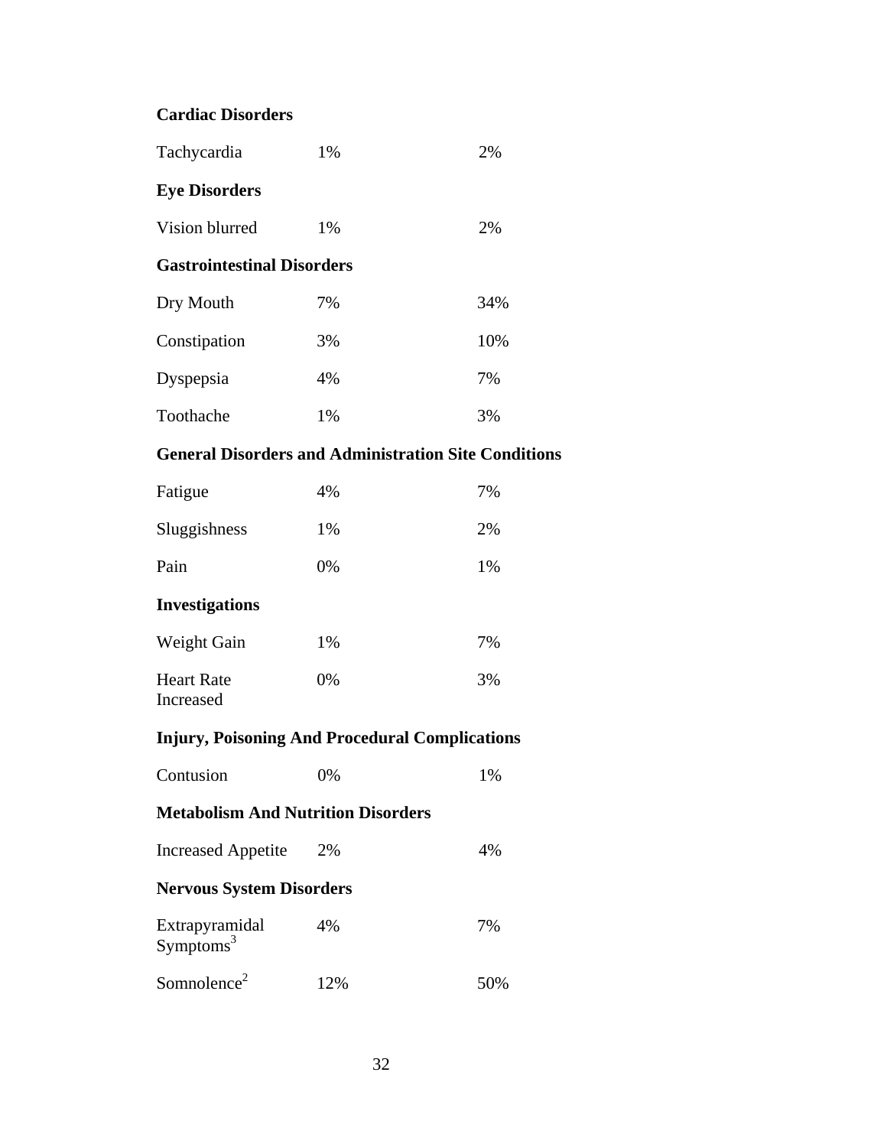### **Cardiac Disorders**

| Tachycardia                       | 1% | 2%  |
|-----------------------------------|----|-----|
| <b>Eye Disorders</b>              |    |     |
| Vision blurred                    | 1% | 2%  |
| <b>Gastrointestinal Disorders</b> |    |     |
| Dry Mouth                         | 7% | 34% |
| Constipation                      | 3% | 10% |
| Dyspepsia                         | 4% | 7%  |
| Toothache                         | 1% | 3%  |

## **General Disorders and Administration Site Conditions**

| Fatigue                        | 4% | 7% |
|--------------------------------|----|----|
| Sluggishness                   | 1% | 2% |
| Pain                           | 0% | 1% |
| <b>Investigations</b>          |    |    |
| Weight Gain                    | 1% | 7% |
| <b>Heart Rate</b><br>Increased | 0% | 3% |

# **Injury, Poisoning And Procedural Complications**

| Contusion                                 | 0%  | 1%  |
|-------------------------------------------|-----|-----|
| <b>Metabolism And Nutrition Disorders</b> |     |     |
| Increased Appetite                        | 2%  | 4%  |
| <b>Nervous System Disorders</b>           |     |     |
| Extrapyramidal<br>Symptoms <sup>3</sup>   | 4%  | 7%  |
| Somnolence <sup>2</sup>                   | 12% | 50% |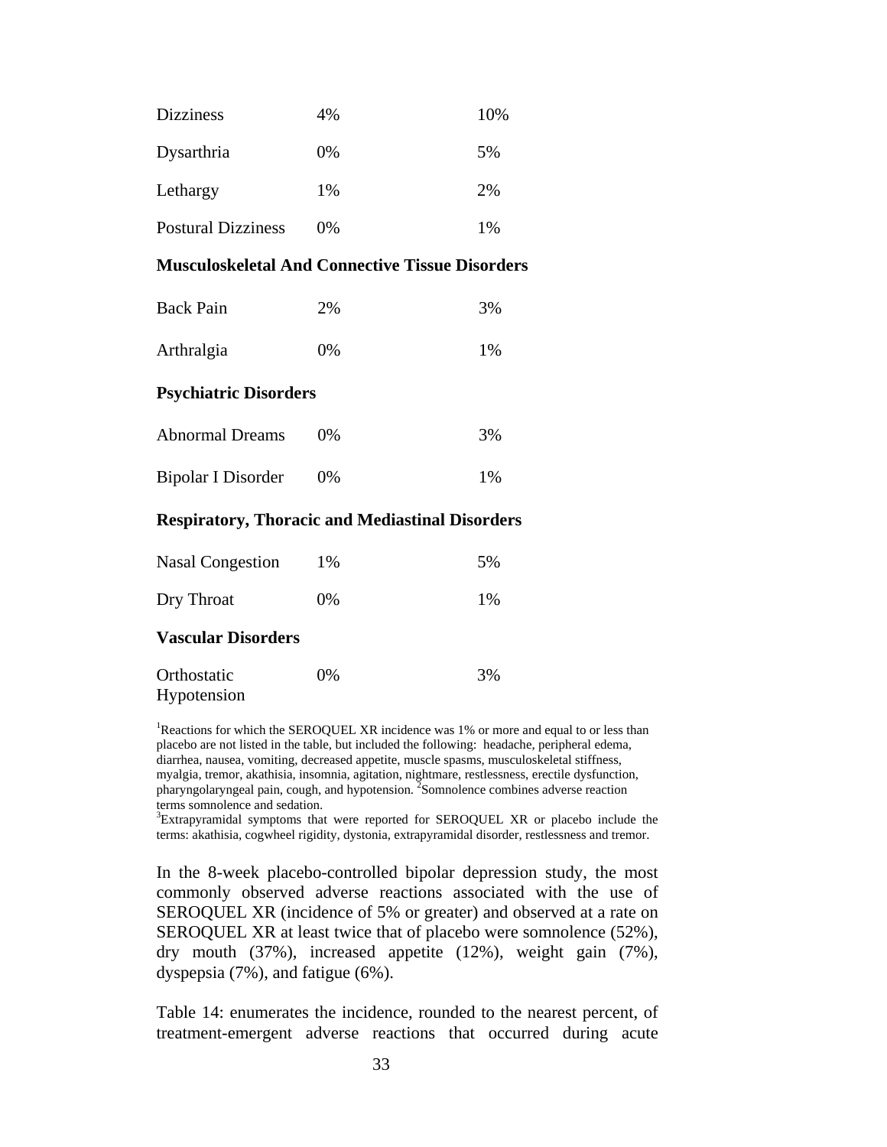| <b>Dizziness</b>          | 4%    | 10%   |
|---------------------------|-------|-------|
| Dysarthria                | $0\%$ | 5%    |
| Lethargy                  | 1%    | 2%    |
| <b>Postural Dizziness</b> | $0\%$ | $1\%$ |

#### **Musculoskeletal And Connective Tissue Disorders**

| <b>Psychiatric Disorders</b> |       |       |
|------------------------------|-------|-------|
| Arthralgia                   | $0\%$ | $1\%$ |
| <b>Back Pain</b>             | 2%    | 3%    |

| <b>Abnormal Dreams</b> | $0\%$ | 3% |
|------------------------|-------|----|
| Bipolar I Disorder     | $0\%$ | 1% |

#### **Respiratory, Thoracic and Mediastinal Disorders**

| <b>Nasal Congestion</b>    | 1%    | 5%    |
|----------------------------|-------|-------|
| Dry Throat                 | $0\%$ | $1\%$ |
| <b>Vascular Disorders</b>  |       |       |
| Orthostatic<br>Hypotension | $0\%$ | 3%    |

<sup>1</sup>Reactions for which the SEROQUEL XR incidence was 1% or more and equal to or less than placebo are not listed in the table, but included the following: headache, peripheral edema, diarrhea, nausea, vomiting, decreased appetite, muscle spasms, musculoskeletal stiffness, myalgia, tremor, akathisia, insomnia, agitation, nightmare, restlessness, erectile dysfunction, pharyngolaryngeal pain, cough, and hypotension. <sup>2</sup>Somnolence combines adverse reaction terms somnolence and sedation.<br><sup>3</sup>Extremyromidal symptoms that

<sup>3</sup>Extrapyramidal symptoms that were reported for SEROQUEL XR or placebo include the terms: akathisia, cogwheel rigidity, dystonia, extrapyramidal disorder, restlessness and tremor.

In the 8-week placebo-controlled bipolar depression study, the most commonly observed adverse reactions associated with the use of SEROQUEL XR (incidence of 5% or greater) and observed at a rate on SEROQUEL XR at least twice that of placebo were somnolence (52%), dry mouth (37%), increased appetite (12%), weight gain (7%), dyspepsia (7%), and fatigue (6%).

Table 14: enumerates the incidence, rounded to the nearest percent, of treatment-emergent adverse reactions that occurred during acute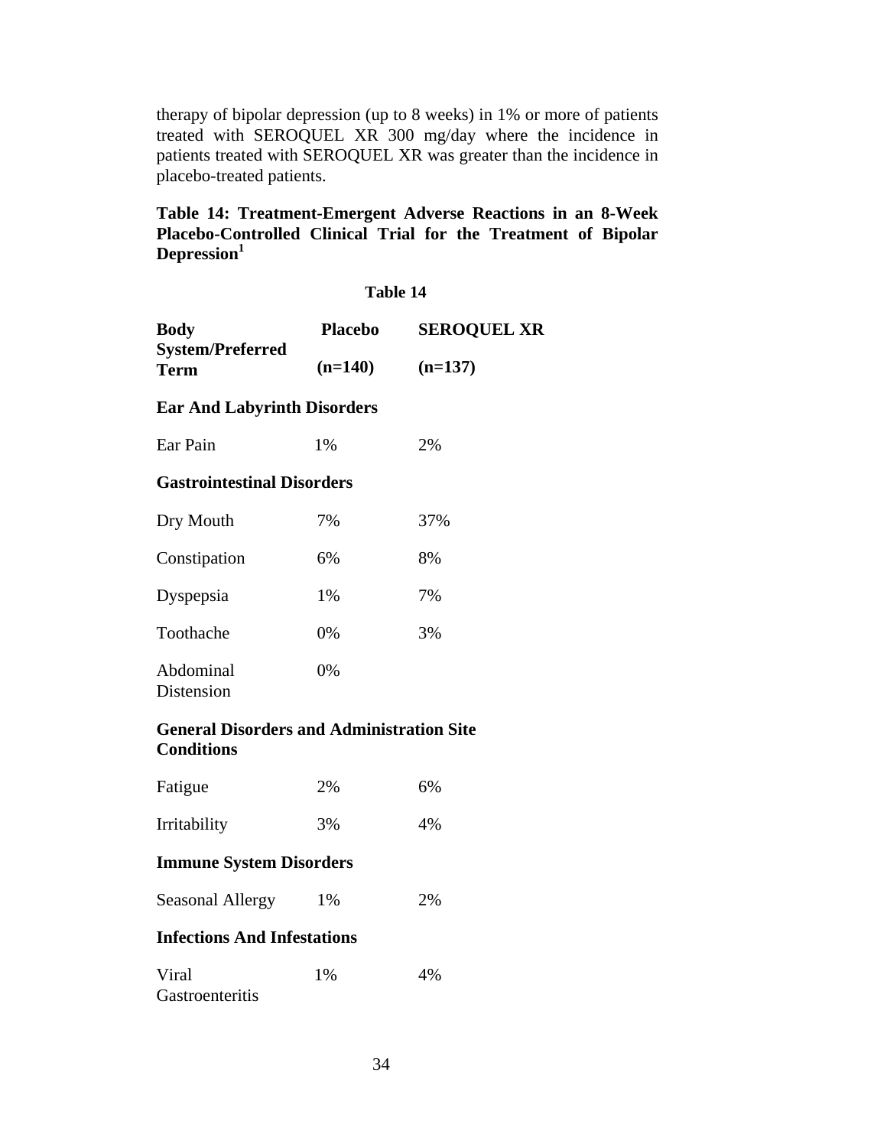therapy of bipolar depression (up to 8 weeks) in 1% or more of patients treated with SEROQUEL XR 300 mg/day where the incidence in patients treated with SEROQUEL XR was greater than the incidence in placebo-treated patients.

**Table 14: Treatment-Emergent Adverse Reactions in an 8-Week Placebo-Controlled Clinical Trial for the Treatment of Bipolar**  Depression<sup>1</sup>

#### **Table 14**

| <b>Body</b>                                                           | <b>Placebo</b> | <b>SEROQUEL XR</b> |  |
|-----------------------------------------------------------------------|----------------|--------------------|--|
| <b>System/Preferred</b><br><b>Term</b>                                | $(n=140)$      | $(n=137)$          |  |
| <b>Ear And Labyrinth Disorders</b>                                    |                |                    |  |
| Ear Pain                                                              | 1%             | 2%                 |  |
| <b>Gastrointestinal Disorders</b>                                     |                |                    |  |
| Dry Mouth                                                             | 7%             | 37%                |  |
| Constipation                                                          | 6%             | 8%                 |  |
| Dyspepsia                                                             | 1%             | 7%                 |  |
| Toothache                                                             | 0%             | 3%                 |  |
| Abdominal<br>Distension                                               | 0%             |                    |  |
| <b>General Disorders and Administration Site</b><br><b>Conditions</b> |                |                    |  |
| Fatigue                                                               | 2%             | 6%                 |  |
| Irritability                                                          | 3%             | 4%                 |  |
| <b>Immune System Disorders</b>                                        |                |                    |  |
| <b>Seasonal Allergy</b>                                               | 1%             | 2%                 |  |
| <b>Infections And Infestations</b>                                    |                |                    |  |
| Viral<br>Gastroenteritis                                              | 1%             | 4%                 |  |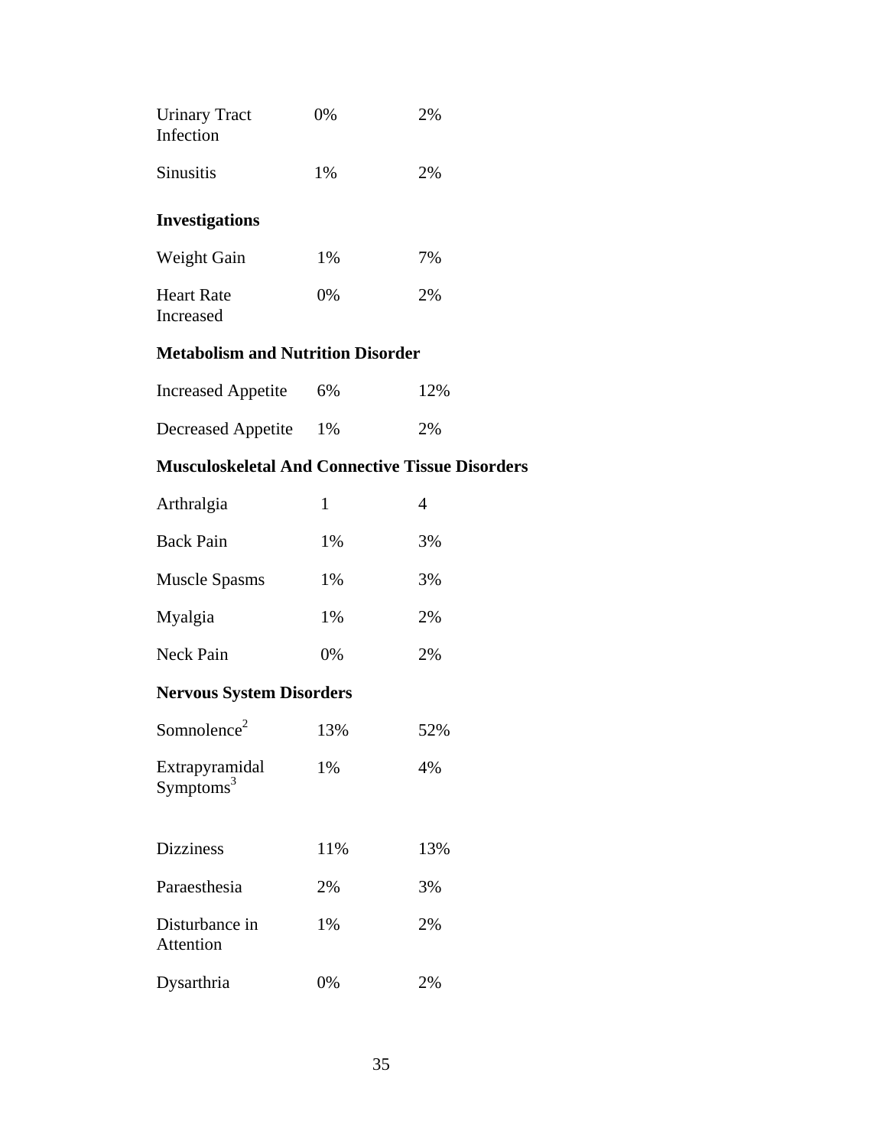| <b>Urinary Tract</b><br>Infection | 0%    | 2% |
|-----------------------------------|-------|----|
| <b>Sinusitis</b>                  | $1\%$ | 2% |
| <b>Investigations</b>             |       |    |
| Weight Gain                       | 1%    | 7% |
| <b>Heart Rate</b><br>Increased    | 0%    | 2% |

## **Metabolism and Nutrition Disorder**

| <b>Increased Appetite</b> | 6%    | 12% |
|---------------------------|-------|-----|
| <b>Decreased Appetite</b> | $1\%$ | 2%  |

# **Musculoskeletal And Connective Tissue Disorders**

| <b>Nervous System Disorders</b> |       |    |
|---------------------------------|-------|----|
| <b>Neck Pain</b>                | 0%    | 2% |
| Myalgia                         | 1%    | 2% |
| <b>Muscle Spasms</b>            | 1%    | 3% |
| <b>Back Pain</b>                | $1\%$ | 3% |
| Arthralgia                      | 1     |    |

| Somnolence <sup>2</sup>                 | 13%   | 52% |
|-----------------------------------------|-------|-----|
| Extrapyramidal<br>Symptoms <sup>3</sup> | $1\%$ | 4%  |
| <b>Dizziness</b>                        | 11%   | 13% |
| Paraesthesia                            | 2%    | 3%  |
| Disturbance in<br>Attention             | 1%    | 2%  |
| Dysarthria                              | 0%    | 2%  |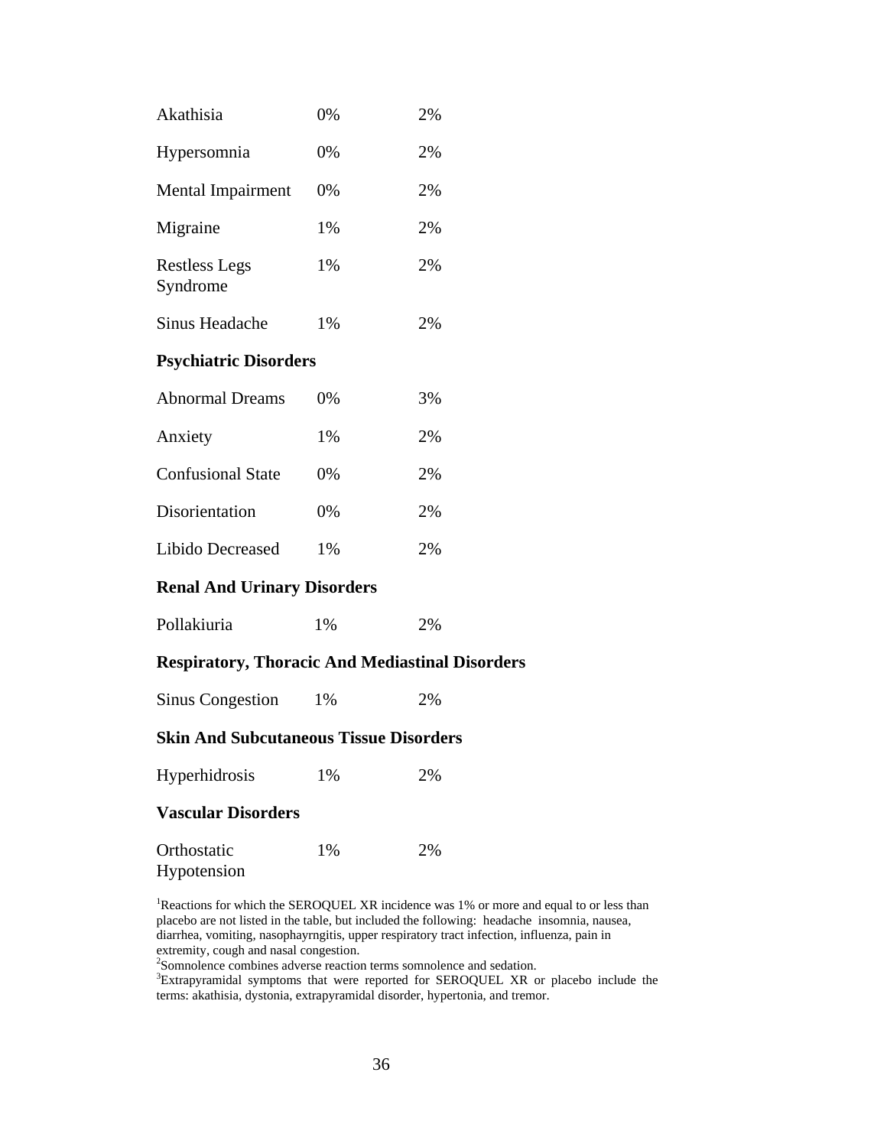| Akathisia                                              | 0% | 2% |  |
|--------------------------------------------------------|----|----|--|
| Hypersomnia                                            | 0% | 2% |  |
| <b>Mental Impairment</b>                               | 0% | 2% |  |
| Migraine                                               | 1% | 2% |  |
| <b>Restless Legs</b><br>Syndrome                       | 1% | 2% |  |
| Sinus Headache                                         | 1% | 2% |  |
| <b>Psychiatric Disorders</b>                           |    |    |  |
| <b>Abnormal Dreams</b>                                 | 0% | 3% |  |
| Anxiety                                                | 1% | 2% |  |
| <b>Confusional State</b>                               | 0% | 2% |  |
| Disorientation                                         | 0% | 2% |  |
| Libido Decreased                                       | 1% | 2% |  |
| <b>Renal And Urinary Disorders</b>                     |    |    |  |
| Pollakiuria                                            | 1% | 2% |  |
| <b>Respiratory, Thoracic And Mediastinal Disorders</b> |    |    |  |
| <b>Sinus Congestion</b>                                | 1% | 2% |  |
| <b>Skin And Subcutaneous Tissue Disorders</b>          |    |    |  |
| Hyperhidrosis                                          | 1% | 2% |  |
| <b>Vascular Disorders</b>                              |    |    |  |
| Orthostatic<br>Hypotension                             | 1% | 2% |  |

<sup>1</sup>Reactions for which the SEROQUEL XR incidence was 1% or more and equal to or less than placebo are not listed in the table, but included the following: headache insomnia, nausea, diarrhea, vomiting, nasophayrngitis, upper respiratory tract infection, influenza, pain in extremity, cough and nasal congestion.

 $^{2}$ Somnolence combines adverse reaction terms somnolence and sedation.

<sup>3</sup>Extrapyramidal symptoms that were reported for SEROQUEL XR or placebo include the terms: akathisia, dystonia, extrapyramidal disorder, hypertonia, and tremor.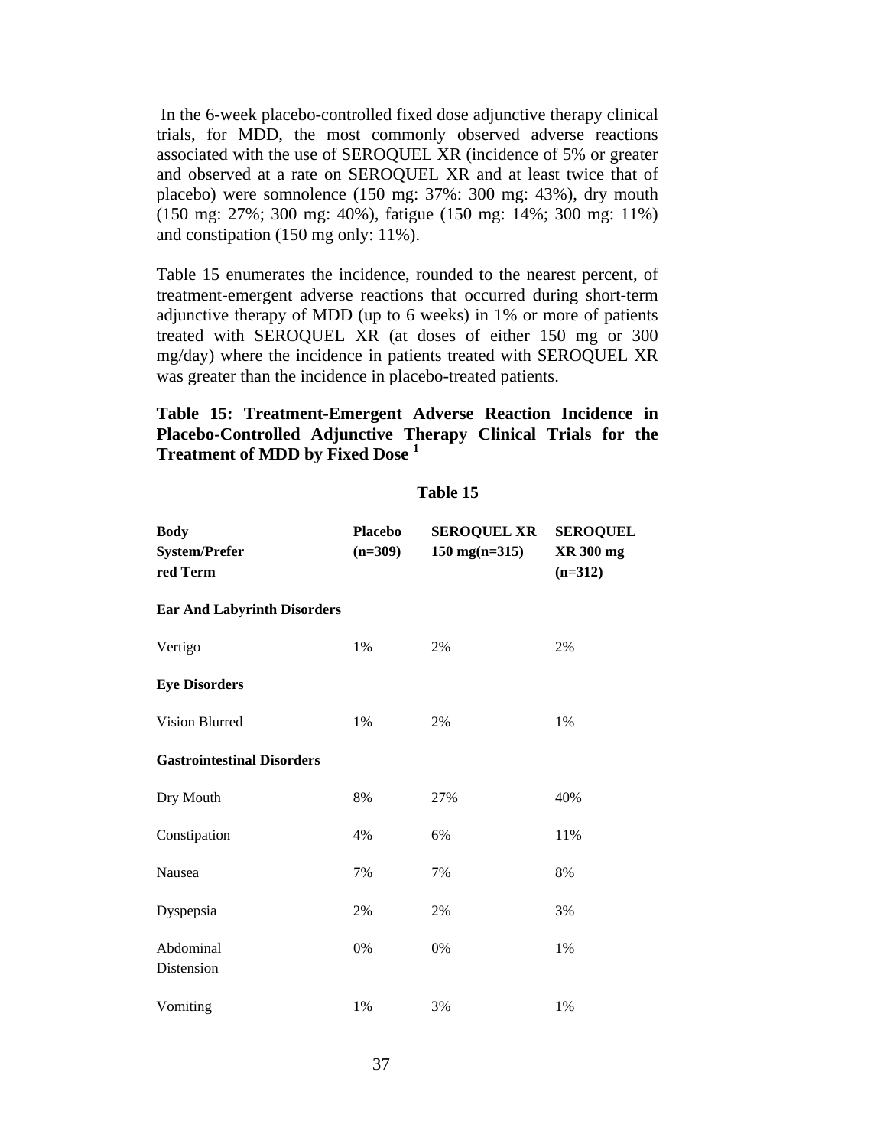In the 6-week placebo-controlled fixed dose adjunctive therapy clinical trials, for MDD, the most commonly observed adverse reactions associated with the use of SEROQUEL XR (incidence of 5% or greater and observed at a rate on SEROQUEL XR and at least twice that of placebo) were somnolence (150 mg: 37%: 300 mg: 43%), dry mouth (150 mg: 27%; 300 mg: 40%), fatigue (150 mg: 14%; 300 mg: 11%) and constipation (150 mg only: 11%).

Table 15 enumerates the incidence, rounded to the nearest percent, of treatment-emergent adverse reactions that occurred during short-term adjunctive therapy of MDD (up to 6 weeks) in 1% or more of patients treated with SEROQUEL XR (at doses of either 150 mg or 300 mg/day) where the incidence in patients treated with SEROQUEL XR was greater than the incidence in placebo-treated patients.

# **Treatment of MDD by Fixed Dose 1 Table 15 Table 15: Treatment-Emergent Adverse Reaction Incidence in Placebo-Controlled Adjunctive Therapy Clinical Trials for the**

| <b>Body</b><br><b>System/Prefer</b><br>red Term | <b>Placebo</b><br>$(n=309)$ | <b>SEROQUEL XR</b><br>$150 \text{ mg} (n=315)$ | <b>SEROQUEL</b><br>XR 300 mg<br>$(n=312)$ |
|-------------------------------------------------|-----------------------------|------------------------------------------------|-------------------------------------------|
| <b>Ear And Labyrinth Disorders</b>              |                             |                                                |                                           |
| Vertigo                                         | 1%                          | 2%                                             | 2%                                        |
| <b>Eye Disorders</b>                            |                             |                                                |                                           |
| Vision Blurred                                  | 1%                          | 2%                                             | 1%                                        |
| <b>Gastrointestinal Disorders</b>               |                             |                                                |                                           |
| Dry Mouth                                       | 8%                          | 27%                                            | 40%                                       |
| Constipation                                    | 4%                          | 6%                                             | 11%                                       |
| Nausea                                          | 7%                          | 7%                                             | 8%                                        |
| Dyspepsia                                       | 2%                          | 2%                                             | 3%                                        |
| Abdominal<br>Distension                         | 0%                          | 0%                                             | 1%                                        |
| Vomiting                                        | 1%                          | 3%                                             | 1%                                        |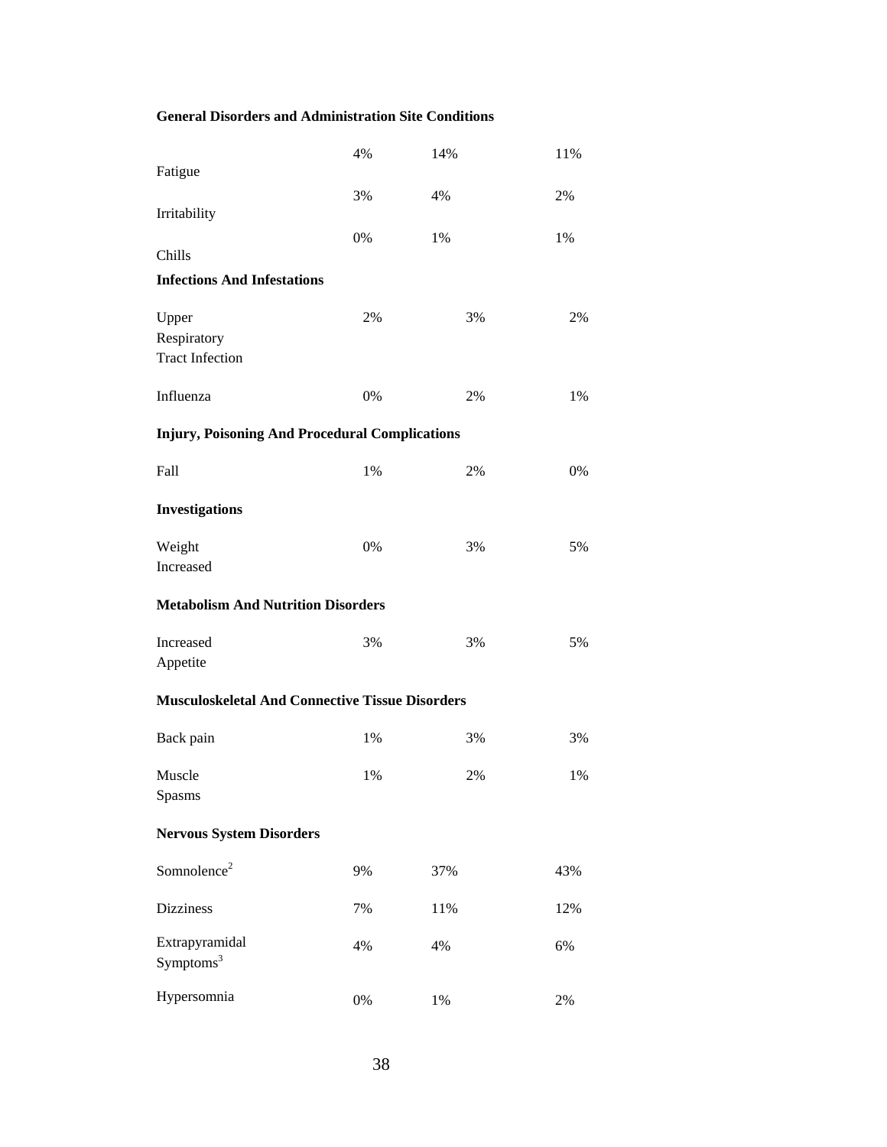#### **General Disorders and Administration Site Conditions**

|                                                        | 4%    | 14%   | 11% |
|--------------------------------------------------------|-------|-------|-----|
| Fatigue                                                |       |       |     |
| Irritability                                           | 3%    | 4%    | 2%  |
|                                                        | 0%    | 1%    | 1%  |
| Chills                                                 |       |       |     |
| <b>Infections And Infestations</b>                     |       |       |     |
| Upper                                                  | 2%    | 3%    | 2%  |
| Respiratory                                            |       |       |     |
| <b>Tract Infection</b>                                 |       |       |     |
| Influenza                                              | 0%    | 2%    | 1%  |
| <b>Injury, Poisoning And Procedural Complications</b>  |       |       |     |
| Fall                                                   | 1%    | 2%    | 0%  |
| <b>Investigations</b>                                  |       |       |     |
| Weight                                                 | 0%    | 3%    | 5%  |
| Increased                                              |       |       |     |
| <b>Metabolism And Nutrition Disorders</b>              |       |       |     |
| Increased                                              | 3%    | 3%    | 5%  |
| Appetite                                               |       |       |     |
| <b>Musculoskeletal And Connective Tissue Disorders</b> |       |       |     |
| Back pain                                              | 1%    | 3%    | 3%  |
| Muscle                                                 | 1%    | 2%    | 1%  |
| Spasms                                                 |       |       |     |
| <b>Nervous System Disorders</b>                        |       |       |     |
| Somnolence <sup>2</sup>                                | 9%    | 37%   | 43% |
| <b>Dizziness</b>                                       | 7%    | 11%   | 12% |
| Extrapyramidal<br>Symptoms <sup>3</sup>                | 4%    | 4%    | 6%  |
| Hypersomnia                                            | $0\%$ | $1\%$ | 2%  |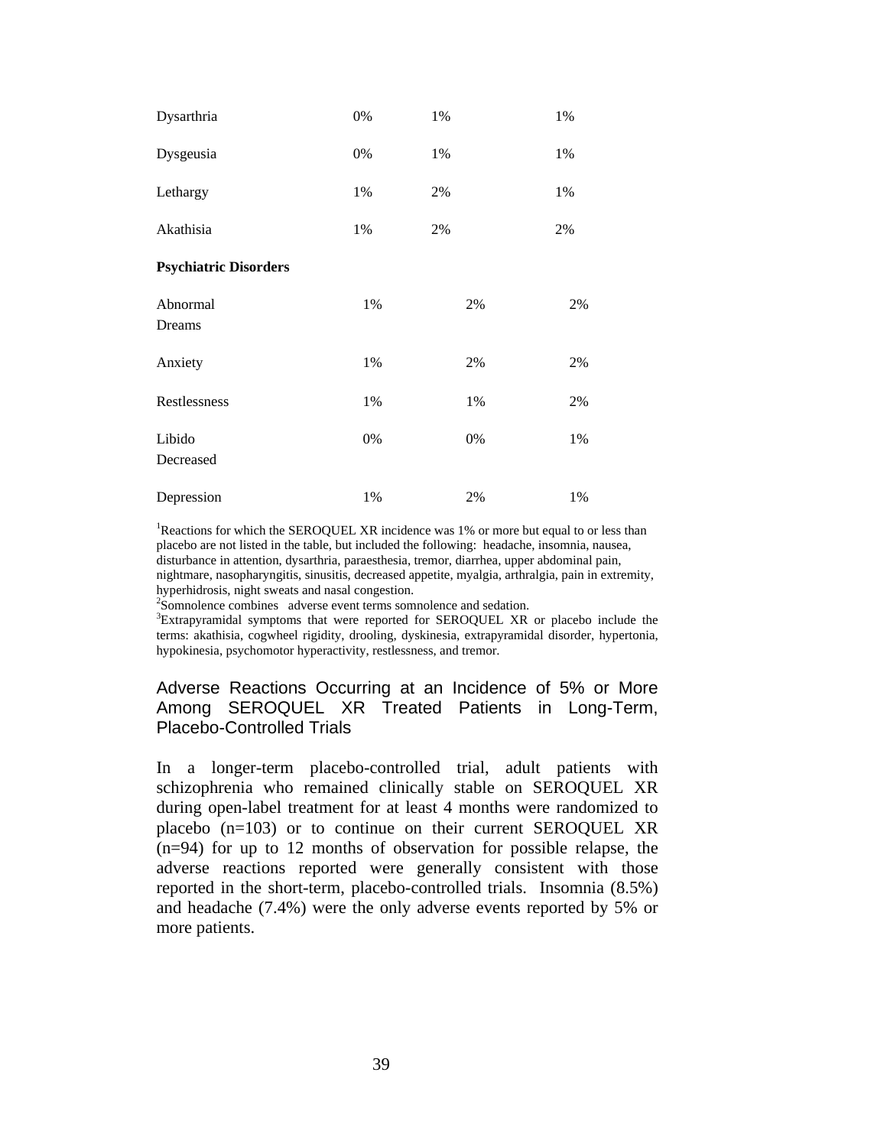| Dysarthria                   | $0\%$ | 1% | $1\%$ |
|------------------------------|-------|----|-------|
| Dysgeusia                    | 0%    | 1% | 1%    |
| Lethargy                     | 1%    | 2% | 1%    |
| Akathisia                    | 1%    | 2% | 2%    |
| <b>Psychiatric Disorders</b> |       |    |       |
| Abnormal<br>Dreams           | 1%    | 2% | 2%    |
| Anxiety                      | 1%    | 2% | 2%    |
| Restlessness                 | $1\%$ | 1% | 2%    |
| Libido<br>Decreased          | 0%    | 0% | 1%    |
| Depression                   | 1%    | 2% | 1%    |

<sup>1</sup>Reactions for which the SEROQUEL XR incidence was 1% or more but equal to or less than placebo are not listed in the table, but included the following: headache, insomnia, nausea, disturbance in attention, dysarthria, paraesthesia, tremor, diarrhea, upper abdominal pain, nightmare, nasopharyngitis, sinusitis, decreased appetite, myalgia, arthralgia, pain in extremity, hyperhidrosis, night sweats and nasal congestion.

 $^{2}$ Somnolence combines adverse event terms somnolence and sedation.

 ${}^{3}$ Extrapyramidal symptoms that were reported for SEROQUEL XR or placebo include the terms: akathisia, cogwheel rigidity, drooling, dyskinesia, extrapyramidal disorder, hypertonia, hypokinesia, psychomotor hyperactivity, restlessness, and tremor.

#### Adverse Reactions Occurring at an Incidence of 5% or More Among SEROQUEL XR Treated Patients in Long-Term, Placebo-Controlled Trials

In a longer-term placebo-controlled trial, adult patients with schizophrenia who remained clinically stable on SEROQUEL XR during open-label treatment for at least 4 months were randomized to placebo (n=103) or to continue on their current SEROQUEL XR (n=94) for up to 12 months of observation for possible relapse, the adverse reactions reported were generally consistent with those reported in the short-term, placebo-controlled trials. Insomnia (8.5%) and headache (7.4%) were the only adverse events reported by 5% or more patients.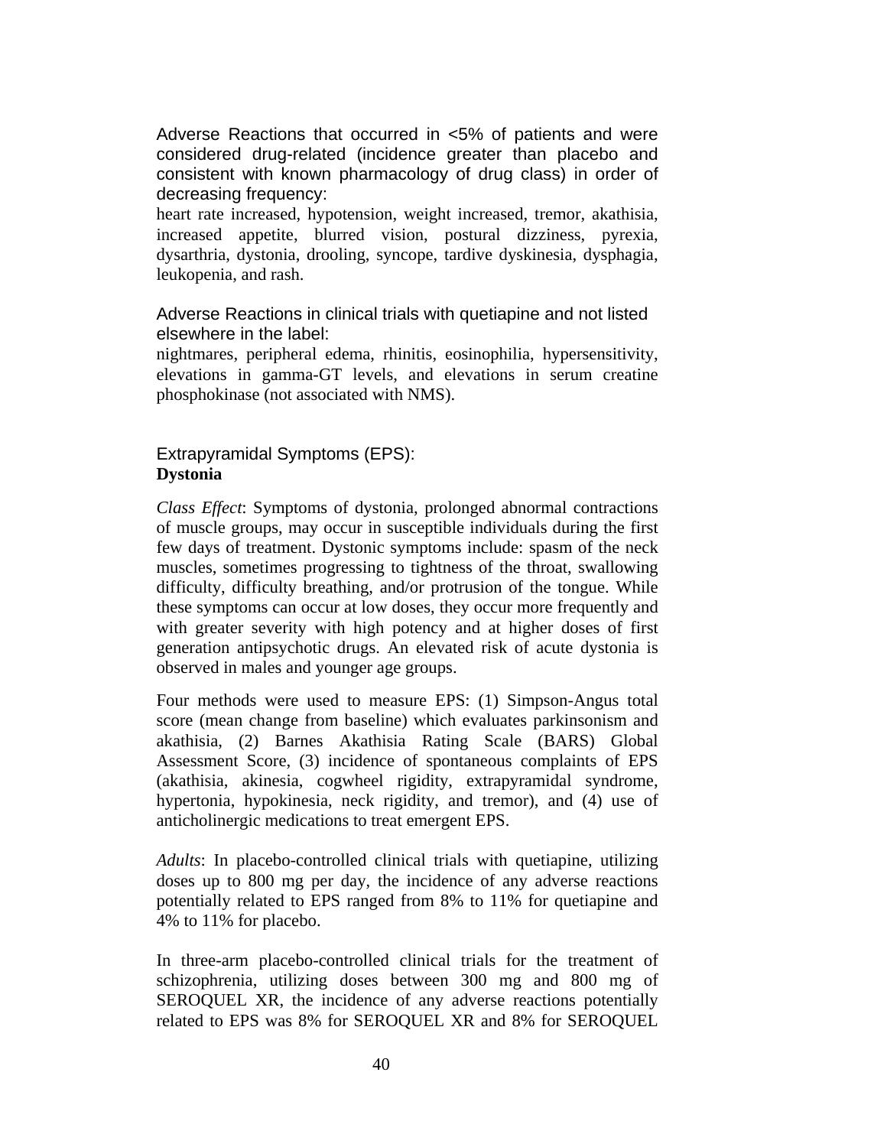Adverse Reactions that occurred in <5% of patients and were considered drug-related (incidence greater than placebo and consistent with known pharmacology of drug class) in order of decreasing frequency:

heart rate increased, hypotension, weight increased, tremor, akathisia, increased appetite, blurred vision, postural dizziness, pyrexia, dysarthria, dystonia, drooling, syncope, tardive dyskinesia, dysphagia, leukopenia, and rash.

Adverse Reactions in clinical trials with quetiapine and not listed elsewhere in the label:

nightmares, peripheral edema, rhinitis, eosinophilia, hypersensitivity, elevations in gamma-GT levels, and elevations in serum creatine phosphokinase (not associated with NMS).

#### Extrapyramidal Symptoms (EPS): **Dystonia**

*Class Effect*: Symptoms of dystonia, prolonged abnormal contractions of muscle groups, may occur in susceptible individuals during the first few days of treatment. Dystonic symptoms include: spasm of the neck muscles, sometimes progressing to tightness of the throat, swallowing difficulty, difficulty breathing, and/or protrusion of the tongue. While these symptoms can occur at low doses, they occur more frequently and with greater severity with high potency and at higher doses of first generation antipsychotic drugs. An elevated risk of acute dystonia is observed in males and younger age groups.

Four methods were used to measure EPS: (1) Simpson-Angus total score (mean change from baseline) which evaluates parkinsonism and akathisia, (2) Barnes Akathisia Rating Scale (BARS) Global Assessment Score, (3) incidence of spontaneous complaints of EPS (akathisia, akinesia, cogwheel rigidity, extrapyramidal syndrome, hypertonia, hypokinesia, neck rigidity, and tremor), and (4) use of anticholinergic medications to treat emergent EPS.

*Adults*: In placebo-controlled clinical trials with quetiapine, utilizing doses up to 800 mg per day, the incidence of any adverse reactions potentially related to EPS ranged from 8% to 11% for quetiapine and 4% to 11% for placebo.

In three-arm placebo-controlled clinical trials for the treatment of schizophrenia, utilizing doses between 300 mg and 800 mg of SEROQUEL XR, the incidence of any adverse reactions potentially related to EPS was 8% for SEROQUEL XR and 8% for SEROQUEL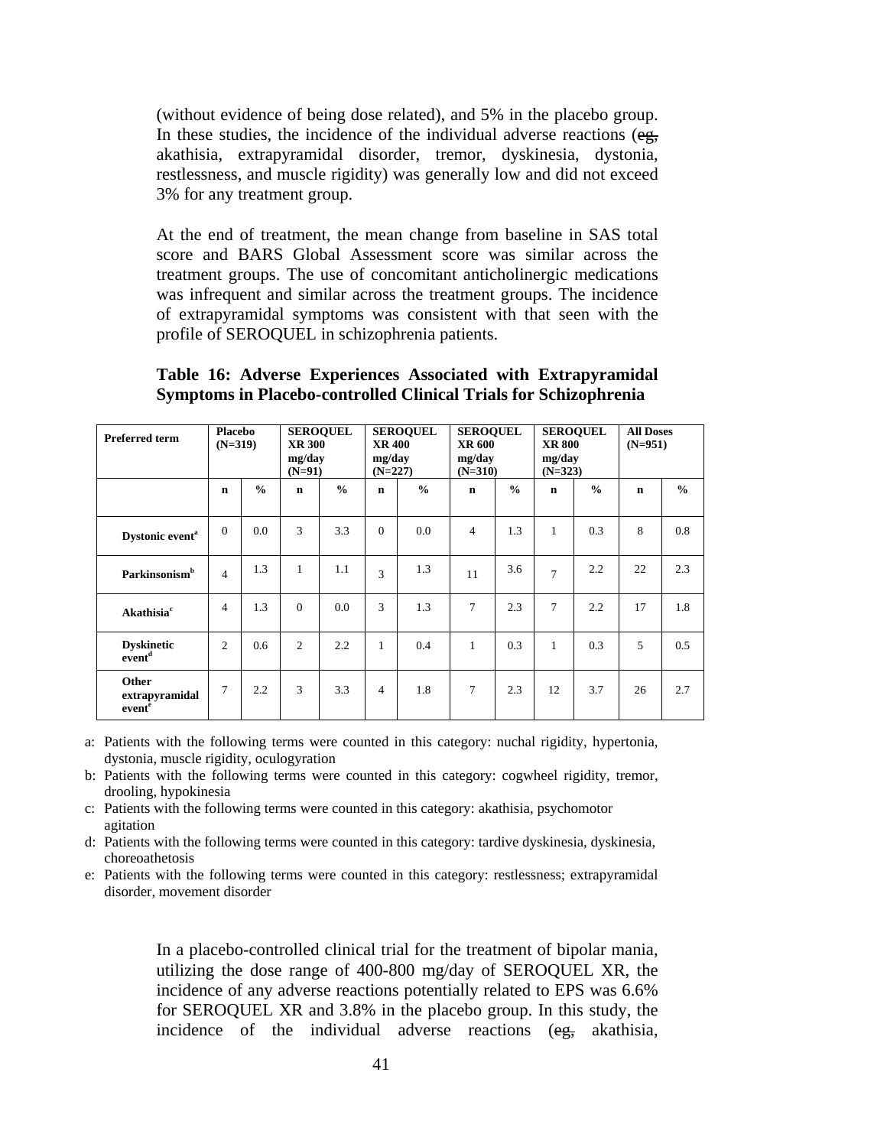(without evidence of being dose related), and 5% in the placebo group. In these studies, the incidence of the individual adverse reactions  $(eg,$ akathisia, extrapyramidal disorder, tremor, dyskinesia, dystonia, restlessness, and muscle rigidity) was generally low and did not exceed 3% for any treatment group.

At the end of treatment, the mean change from baseline in SAS total score and BARS Global Assessment score was similar across the treatment groups. The use of concomitant anticholinergic medications was infrequent and similar across the treatment groups. The incidence of extrapyramidal symptoms was consistent with that seen with the profile of SEROQUEL in schizophrenia patients.

# **Table 16: Adverse Experiences Associated with Extrapyramidal Symptoms in Placebo-controlled Clinical Trials for Schizophrenia**

| Preferred term                                | <b>Placebo</b><br>$(N=319)$ |               | <b>XR 300</b><br>mg/day<br>$(N=91)$ | <b>SEROQUEL</b> | <b>SEROQUEL</b><br><b>SEROQUEL</b><br><b>XR 400</b><br><b>XR 600</b><br>mg/day<br>mg/day<br>$(N=227)$<br>$(N=310)$ |               |                | <b>SEROQUEL</b><br><b>XR 800</b><br>mg/day<br>$(N=323)$ |                | <b>All Doses</b><br>$(N=951)$ |             |               |
|-----------------------------------------------|-----------------------------|---------------|-------------------------------------|-----------------|--------------------------------------------------------------------------------------------------------------------|---------------|----------------|---------------------------------------------------------|----------------|-------------------------------|-------------|---------------|
|                                               | $\mathbf n$                 | $\frac{0}{0}$ | $\mathbf n$                         | $\frac{0}{0}$   | $\mathbf n$                                                                                                        | $\frac{0}{0}$ | $\mathbf n$    | $\frac{0}{0}$                                           | $\mathbf n$    | $\frac{0}{0}$                 | $\mathbf n$ | $\frac{0}{0}$ |
| Dystonic event <sup>a</sup>                   | $\Omega$                    | 0.0           | 3                                   | 3.3             | $\Omega$                                                                                                           | 0.0           | $\overline{4}$ | 1.3                                                     | $\mathbf{1}$   | 0.3                           | 8           | 0.8           |
| Parkinsonism <sup>b</sup>                     | $\overline{4}$              | 1.3           | $\mathbf{1}$                        | 1.1             | 3                                                                                                                  | 1.3           | 11             | 3.6                                                     | $\overline{7}$ | 2.2                           | 22          | 2.3           |
| Akathisia <sup>c</sup>                        | 4                           | 1.3           | $\Omega$                            | 0.0             | 3                                                                                                                  | 1.3           | $\overline{7}$ | 2.3                                                     | 7              | 2.2                           | 17          | 1.8           |
| <b>Dyskinetic</b><br>event <sup>d</sup>       | $\overline{c}$              | 0.6           | $\overline{2}$                      | 2.2             | $\mathbf{1}$                                                                                                       | 0.4           | $\mathbf{1}$   | 0.3                                                     | $\mathbf{1}$   | 0.3                           | 5           | 0.5           |
| Other<br>extrapyramidal<br>event <sup>e</sup> | 7                           | 2.2           | 3                                   | 3.3             | $\overline{4}$                                                                                                     | 1.8           | $\overline{7}$ | 2.3                                                     | 12             | 3.7                           | 26          | 2.7           |

- a: Patients with the following terms were counted in this category: nuchal rigidity, hypertonia, dystonia, muscle rigidity, oculogyration
- b: Patients with the following terms were counted in this category: cogwheel rigidity, tremor, drooling, hypokinesia
- c: Patients with the following terms were counted in this category: akathisia, psychomotor agitation
- d: Patients with the following terms were counted in this category: tardive dyskinesia, dyskinesia, choreoathetosis
- e: Patients with the following terms were counted in this category: restlessness; extrapyramidal disorder, movement disorder

In a placebo-controlled clinical trial for the treatment of bipolar mania, utilizing the dose range of 400-800 mg/day of SEROQUEL XR, the incidence of any adverse reactions potentially related to EPS was 6.6% for SEROQUEL XR and 3.8% in the placebo group. In this study, the incidence of the individual adverse reactions (eg, akathisia,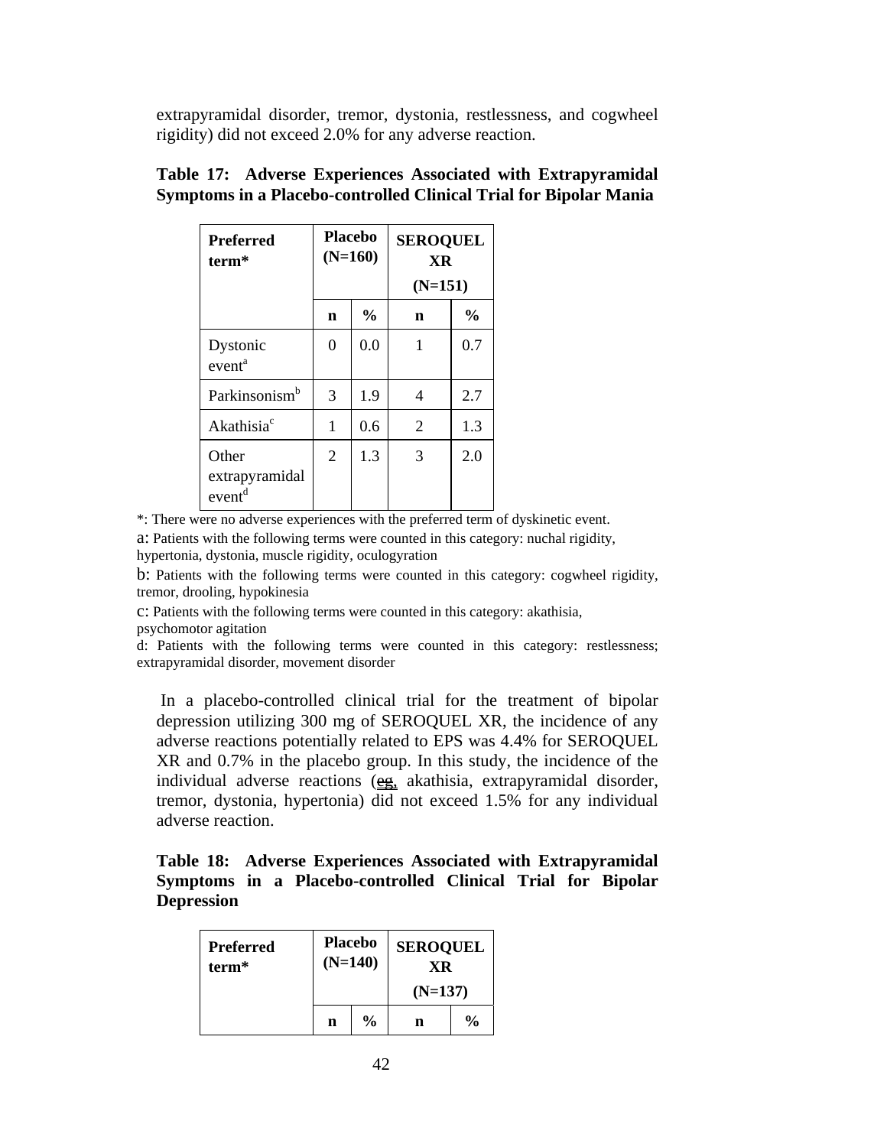extrapyramidal disorder, tremor, dystonia, restlessness, and cogwheel rigidity) did not exceed 2.0% for any adverse reaction.

| <b>Preferred</b><br>term*                     | <b>Placebo</b><br>$(N=160)$ |               | <b>SEROQUEL</b><br>XR |               |  |
|-----------------------------------------------|-----------------------------|---------------|-----------------------|---------------|--|
|                                               |                             |               | $(N=151)$             |               |  |
|                                               | n                           | $\frac{0}{0}$ | $\mathbf n$           | $\frac{6}{9}$ |  |
| Dystonic<br>event <sup>a</sup>                | $\Omega$                    | 0.0           |                       | 0.7           |  |
| Parkinsonism <sup>b</sup>                     | 3                           | 1.9           | 4                     | 2.7           |  |
| Akathisia <sup>c</sup>                        | 1                           | 0.6           | 2                     | 1.3           |  |
| Other<br>extrapyramidal<br>event <sup>d</sup> | $\overline{2}$              | 1.3           | 3                     | 2.0           |  |

## **Table 17: Adverse Experiences Associated with Extrapyramidal Symptoms in a Placebo-controlled Clinical Trial for Bipolar Mania**

\*: There were no adverse experiences with the preferred term of dyskinetic event.

a: Patients with the following terms were counted in this category: nuchal rigidity, hypertonia, dystonia, muscle rigidity, oculogyration

b: Patients with the following terms were counted in this category: cogwheel rigidity, tremor, drooling, hypokinesia

c: Patients with the following terms were counted in this category: akathisia, psychomotor agitation

d: Patients with the following terms were counted in this category: restlessness; extrapyramidal disorder, movement disorder

In a placebo-controlled clinical trial for the treatment of bipolar depression utilizing 300 mg of SEROQUEL XR, the incidence of any adverse reactions potentially related to EPS was 4.4% for SEROQUEL XR and 0.7% in the placebo group. In this study, the incidence of the individual adverse reactions (eg, akathisia, extrapyramidal disorder, tremor, dystonia, hypertonia) did not exceed 1.5% for any individual adverse reaction.

**Table 18: Adverse Experiences Associated with Extrapyramidal Symptoms in a Placebo-controlled Clinical Trial for Bipolar Depression** 

| Preferred<br>term* | <b>Placebo</b><br>$(N=140)$ |               | <b>SEROQUEL</b><br>ХR<br>$(N=137)$ |               |
|--------------------|-----------------------------|---------------|------------------------------------|---------------|
|                    | n                           | $\frac{6}{9}$ |                                    | $\frac{0}{0}$ |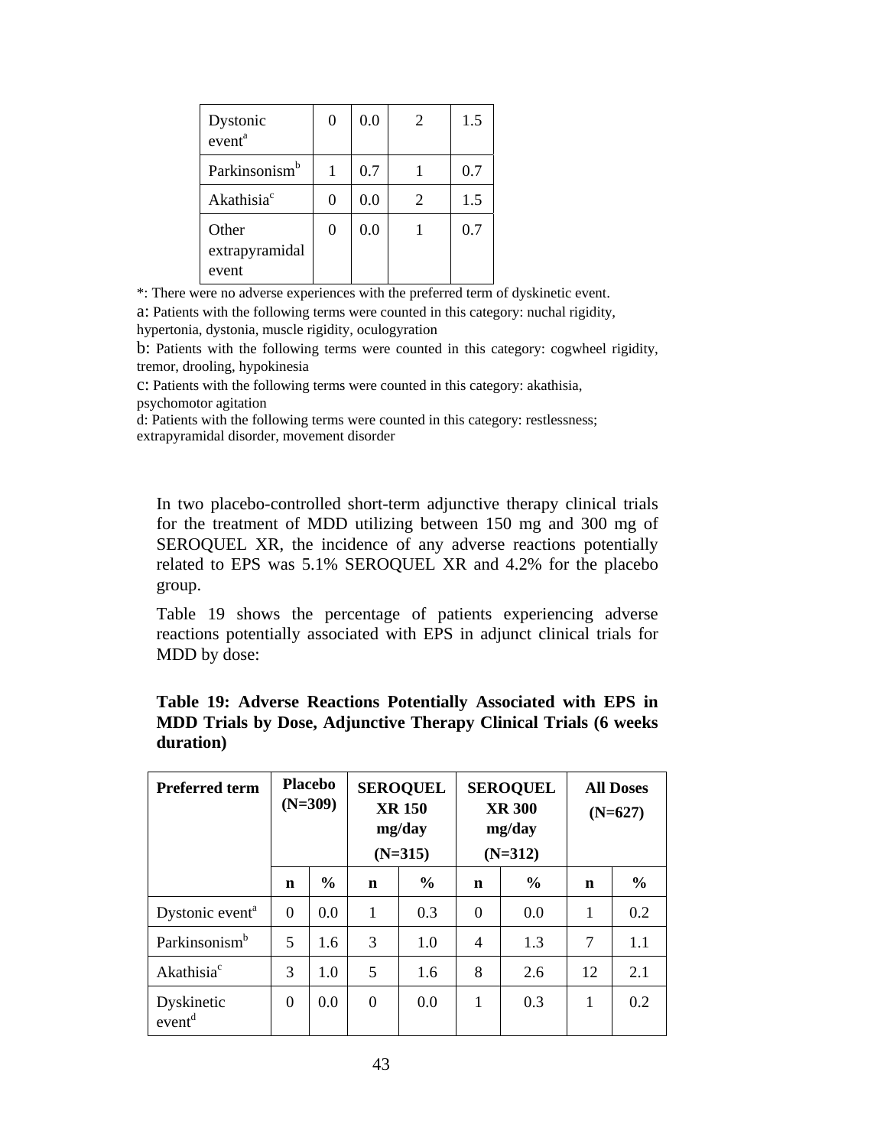| Dystonic<br>event <sup>a</sup>   | 0 | 0.0 | 2 | 1.5 |
|----------------------------------|---|-----|---|-----|
| Parkinsonism <sup>b</sup>        |   | 0.7 |   | 0.7 |
| Akathisia <sup>c</sup>           |   | 0.0 | 2 | 1.5 |
| Other<br>extrapyramidal<br>event | 0 | 0.0 |   | 0.7 |

\*: There were no adverse experiences with the preferred term of dyskinetic event.

a: Patients with the following terms were counted in this category: nuchal rigidity, hypertonia, dystonia, muscle rigidity, oculogyration

b: Patients with the following terms were counted in this category: cogwheel rigidity, tremor, drooling, hypokinesia

c: Patients with the following terms were counted in this category: akathisia, psychomotor agitation

d: Patients with the following terms were counted in this category: restlessness; extrapyramidal disorder, movement disorder

group. In two placebo-controlled short-term adjunctive therapy clinical trials for the treatment of MDD utilizing between 150 mg and 300 mg of SEROQUEL XR, the incidence of any adverse reactions potentially related to EPS was 5.1% SEROQUEL XR and 4.2% for the placebo

Table 19 shows the percentage of patients experiencing adverse reactions potentially associated with EPS in adjunct clinical trials for MDD by dose:

**Table 19: Adverse Reactions Potentially Associated with EPS in MDD Trials by Dose, Adjunctive Therapy Clinical Trials (6 weeks duration)** 

| <b>Preferred term</b>            |                | <b>Placebo</b><br>$(N=309)$ | <b>SEROQUEL</b><br><b>XR 150</b><br>mg/day<br>$(N=315)$ |               |                | <b>SEROQUEL</b><br><b>XR 300</b><br>mg/day<br>$(N=312)$ | <b>All Doses</b><br>$(N=627)$ |               |  |
|----------------------------------|----------------|-----------------------------|---------------------------------------------------------|---------------|----------------|---------------------------------------------------------|-------------------------------|---------------|--|
|                                  | n              | $\frac{0}{0}$               | n                                                       | $\frac{6}{9}$ | n              | $\frac{0}{0}$                                           | n                             | $\frac{6}{6}$ |  |
| Dystonic event <sup>a</sup>      | $\theta$       | 0.0                         | 1                                                       | 0.3           | $\theta$       | 0.0                                                     | 1                             | 0.2           |  |
| Parkinsonism <sup>b</sup>        | 5              | 1.6                         | 3                                                       | 1.0           | $\overline{4}$ | 1.3                                                     | $\overline{7}$                | 1.1           |  |
| Akathisia <sup>c</sup>           | 3              | 1.0                         | 5                                                       | 1.6           | 8              | 2.6                                                     | 12                            | 2.1           |  |
| Dyskinetic<br>event <sup>d</sup> | $\overline{0}$ | 0.0                         | $\overline{0}$                                          | 0.0           | 1              | 0.3                                                     | $\mathbf{1}$                  | 0.2           |  |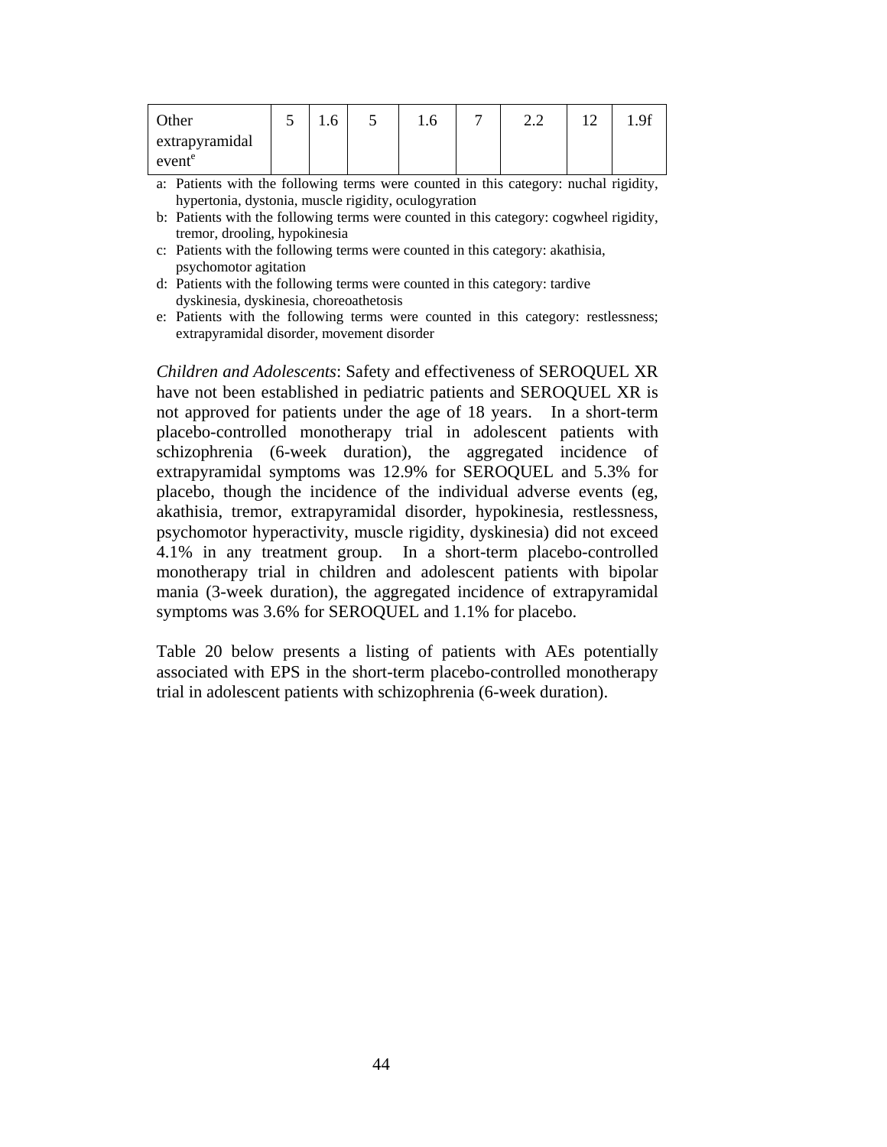| Other              | 1.0 | ັ | 1.0 | $\mathbf{r}$ | 2.L |  |
|--------------------|-----|---|-----|--------------|-----|--|
| extrapyramidal     |     |   |     |              |     |  |
| event <sup>e</sup> |     |   |     |              |     |  |

a: Patients with the following terms were counted in this category: nuchal rigidity, hypertonia, dystonia, muscle rigidity, oculogyration

- b: Patients with the following terms were counted in this category: cogwheel rigidity, tremor, drooling, hypokinesia
- c: Patients with the following terms were counted in this category: akathisia, psychomotor agitation
- d: Patients with the following terms were counted in this category: tardive dyskinesia, dyskinesia, choreoathetosis
- e: Patients with the following terms were counted in this category: restlessness; extrapyramidal disorder, movement disorder

*Children and Adolescents*: Safety and effectiveness of SEROQUEL XR have not been established in pediatric patients and SEROQUEL XR is not approved for patients under the age of 18 years. In a short-term placebo-controlled monotherapy trial in adolescent patients with schizophrenia (6-week duration), the aggregated incidence of extrapyramidal symptoms was 12.9% for SEROQUEL and 5.3% for placebo, though the incidence of the individual adverse events (eg, akathisia, tremor, extrapyramidal disorder, hypokinesia, restlessness, psychomotor hyperactivity, muscle rigidity, dyskinesia) did not exceed 4.1% in any treatment group. In a short-term placebo-controlled monotherapy trial in children and adolescent patients with bipolar mania (3-week duration), the aggregated incidence of extrapyramidal symptoms was 3.6% for SEROQUEL and 1.1% for placebo.

Table 20 below presents a listing of patients with AEs potentially associated with EPS in the short-term placebo-controlled monotherapy trial in adolescent patients with schizophrenia (6-week duration).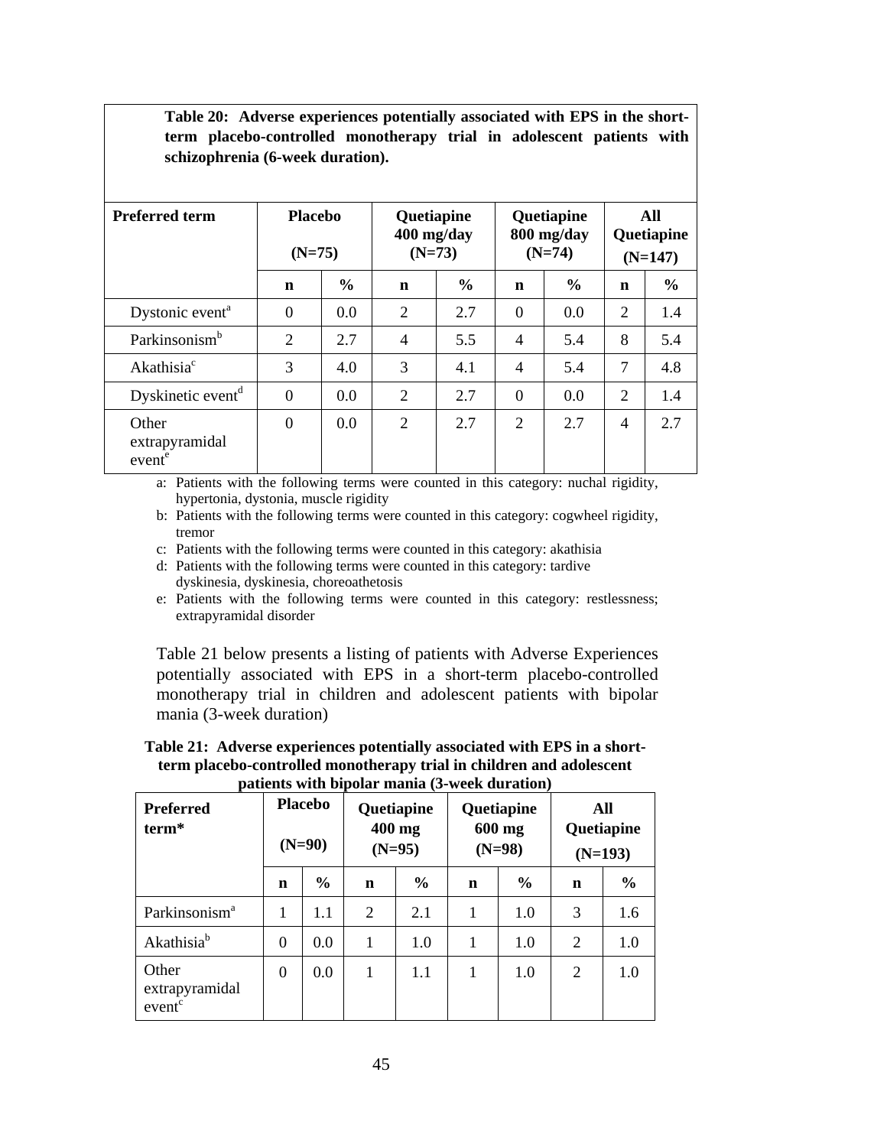**Table 20: Adverse experiences potentially associated with EPS in the shortterm placebo-controlled monotherapy trial in adolescent patients with schizophrenia (6-week duration).** 

| <b>Preferred term</b>                         | <b>Placebo</b><br>$(N=75)$ |               | Quetiapine<br>400 mg/day<br>$(N=73)$ |               |          |               | Quetiapine<br>800 mg/day<br>$(N=74)$ | All<br>Quetiapine<br>$(N=147)$ |  |
|-----------------------------------------------|----------------------------|---------------|--------------------------------------|---------------|----------|---------------|--------------------------------------|--------------------------------|--|
|                                               | $\mathbf n$                | $\frac{6}{9}$ | $\mathbf n$                          | $\frac{6}{9}$ | n        | $\frac{0}{0}$ | $\mathbf n$                          | $\frac{0}{0}$                  |  |
| Dystonic event <sup>a</sup>                   | $\overline{0}$             | 0.0           | $\overline{2}$                       | 2.7           | $\theta$ | 0.0           | 2                                    | 1.4                            |  |
| Parkinsonism <sup>b</sup>                     | $\overline{2}$             | 2.7           | $\overline{4}$                       | 5.5           | 4        | 5.4           | 8                                    | 5.4                            |  |
| Akathisia <sup>c</sup>                        | 3                          | 4.0           | 3                                    | 4.1           | 4        | 5.4           | 7                                    | 4.8                            |  |
| Dyskinetic event <sup>d</sup>                 | $\overline{0}$             | 0.0           | 2                                    | 2.7           | $\theta$ | 0.0           | $\overline{2}$                       | 1.4                            |  |
| Other<br>extrapyramidal<br>event <sup>e</sup> | $\overline{0}$             | 0.0           | $\overline{2}$                       | 2.7           | 2        | 2.7           | 4                                    | 2.7                            |  |

a: Patients with the following terms were counted in this category: nuchal rigidity, hypertonia, dystonia, muscle rigidity

b: Patients with the following terms were counted in this category: cogwheel rigidity, tremor

c: Patients with the following terms were counted in this category: akathisia

- d: Patients with the following terms were counted in this category: tardive dyskinesia, dyskinesia, choreoathetosis
- e: Patients with the following terms were counted in this category: restlessness; extrapyramidal disorder

Table 21 below presents a listing of patients with Adverse Experiences potentially associated with EPS in a short-term placebo-controlled monotherapy trial in children and adolescent patients with bipolar mania (3-week duration)

| <b>Preferred</b><br>term <sup>*</sup>         |                | <b>Placebo</b><br>$(N=90)$ | Quetiapine<br>$400$ mg<br>$(N=95)$ |               | Quetiapine<br>$600$ mg<br>$(N=98)$ |               | All<br>Quetiapine<br>$(N=193)$ |               |
|-----------------------------------------------|----------------|----------------------------|------------------------------------|---------------|------------------------------------|---------------|--------------------------------|---------------|
|                                               | n              | $\frac{6}{9}$              | n                                  | $\frac{0}{0}$ | n                                  | $\frac{6}{9}$ | $\mathbf n$                    | $\frac{6}{6}$ |
| Parkinsonism <sup>a</sup>                     | 1              | 1.1                        | 2                                  | 2.1           | 1                                  | 1.0           | 3                              | 1.6           |
| Akathisia <sup>b</sup>                        | $\theta$       | 0.0                        | 1                                  | 1.0           | 1                                  | 1.0           | 2                              | 1.0           |
| Other<br>extrapyramidal<br>event <sup>c</sup> | $\overline{0}$ | 0.0                        | 1                                  | 1.1           | 1                                  | 1.0           | $\overline{2}$                 | 1.0           |

**Table 21: Adverse experiences potentially associated with EPS in a shortterm placebo-controlled monotherapy trial in children and adolescent patients with bipolar mania (3-week duration)**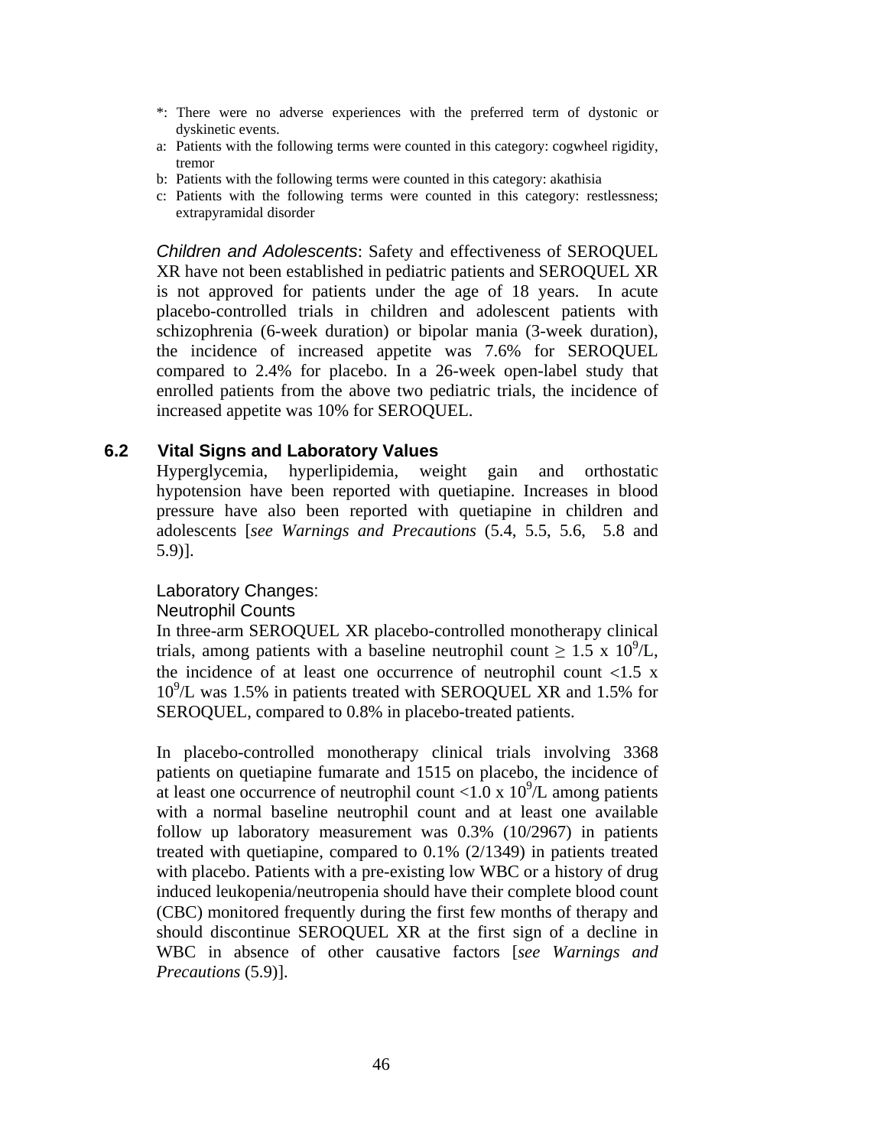- \*: There were no adverse experiences with the preferred term of dystonic or dyskinetic events.
- a: Patients with the following terms were counted in this category: cogwheel rigidity, tremor
- b: Patients with the following terms were counted in this category: akathisia
- c: Patients with the following terms were counted in this category: restlessness; extrapyramidal disorder

*Children and Adolescents*: Safety and effectiveness of SEROQUEL XR have not been established in pediatric patients and SEROQUEL XR is not approved for patients under the age of 18 years. In acute placebo-controlled trials in children and adolescent patients with schizophrenia (6-week duration) or bipolar mania (3-week duration), the incidence of increased appetite was 7.6% for SEROQUEL compared to 2.4% for placebo. In a 26-week open-label study that enrolled patients from the above two pediatric trials, the incidence of increased appetite was 10% for SEROQUEL.

## **6.2 Vital Signs and Laboratory Values**

Hyperglycemia, hyperlipidemia, weight gain and orthostatic hypotension have been reported with quetiapine. Increases in blood pressure have also been reported with quetiapine in children and adolescents [*see Warnings and Precautions* (5.4, 5.5, 5.6, 5.8 and 5.9)].

#### Laboratory Changes:

#### Neutrophil Counts

In three-arm SEROQUEL XR placebo-controlled monotherapy clinical trials, among patients with a baseline neutrophil count  $\geq 1.5 \times 10^9$ /L, the incidence of at least one occurrence of neutrophil count  $\langle 1.5 \times 10^{-1} \rangle$ 10<sup>9</sup>/L was 1.5% in patients treated with SEROQUEL XR and 1.5% for SEROQUEL, compared to 0.8% in placebo-treated patients.

In placebo-controlled monotherapy clinical trials involving 3368 patients on quetiapine fumarate and 1515 on placebo, the incidence of at least one occurrence of neutrophil count  $\langle 1.0 \times 10^9 / L$  among patients with a normal baseline neutrophil count and at least one available follow up laboratory measurement was 0.3% (10/2967) in patients treated with quetiapine, compared to 0.1% (2/1349) in patients treated with placebo. Patients with a pre-existing low WBC or a history of drug induced leukopenia/neutropenia should have their complete blood count (CBC) monitored frequently during the first few months of therapy and should discontinue SEROQUEL XR at the first sign of a decline in WBC in absence of other causative factors [*see Warnings and Precautions* (5.9)].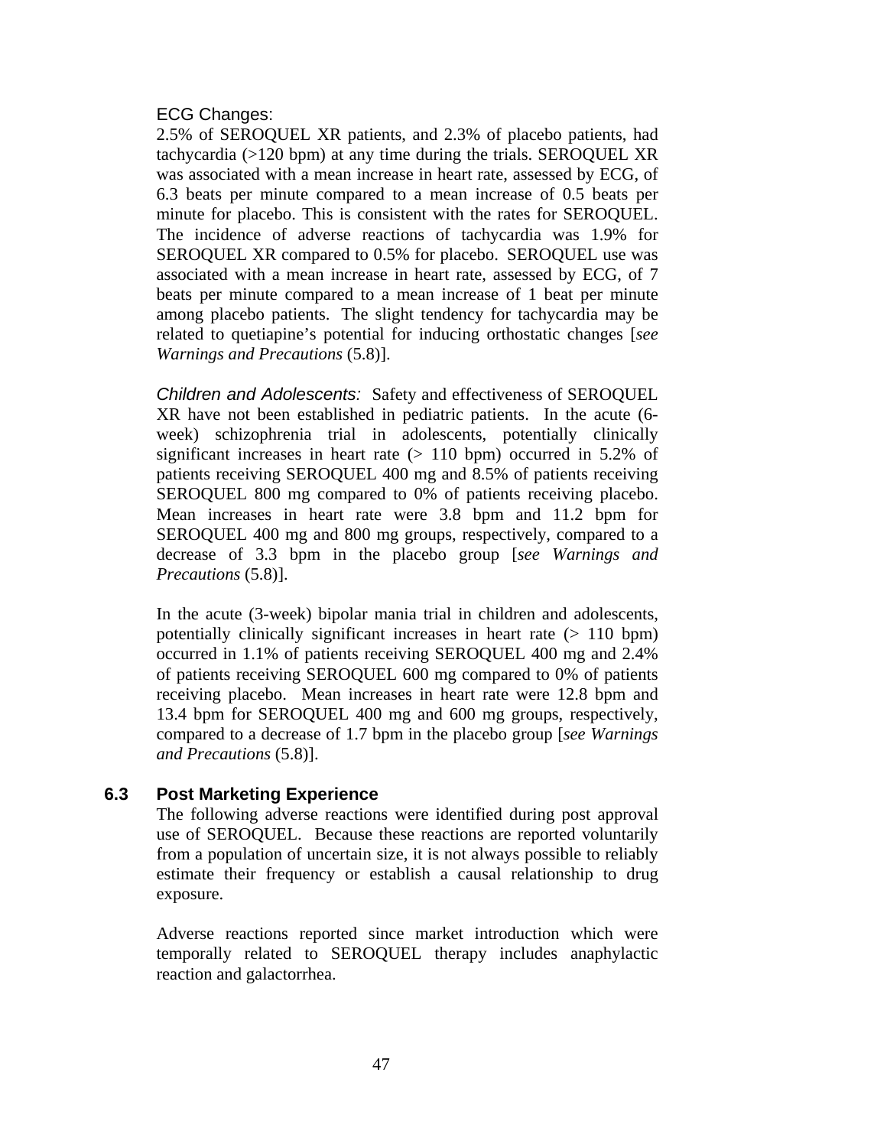## ECG Changes:

 among placebo patients. The slight tendency for tachycardia may be 2.5% of SEROQUEL XR patients, and 2.3% of placebo patients, had tachycardia (>120 bpm) at any time during the trials. SEROQUEL XR was associated with a mean increase in heart rate, assessed by ECG, of 6.3 beats per minute compared to a mean increase of 0.5 beats per minute for placebo. This is consistent with the rates for SEROQUEL. The incidence of adverse reactions of tachycardia was 1.9% for SEROQUEL XR compared to 0.5% for placebo. SEROQUEL use was associated with a mean increase in heart rate, assessed by ECG, of 7 beats per minute compared to a mean increase of 1 beat per minute related to quetiapine's potential for inducing orthostatic changes [*see Warnings and Precautions* (5.8)].

 SEROQUEL 800 mg compared to 0% of patients receiving placebo. Mean increases in heart rate were 3.8 bpm and 11.2 bpm for *Children and Adolescents:* Safety and effectiveness of SEROQUEL XR have not been established in pediatric patients. In the acute (6 week) schizophrenia trial in adolescents, potentially clinically significant increases in heart rate  $(> 110$  bpm) occurred in 5.2% of patients receiving SEROQUEL 400 mg and 8.5% of patients receiving SEROQUEL 400 mg and 800 mg groups, respectively, compared to a decrease of 3.3 bpm in the placebo group [*see Warnings and Precautions* (5.8)].

In the acute (3-week) bipolar mania trial in children and adolescents, potentially clinically significant increases in heart rate (> 110 bpm) occurred in 1.1% of patients receiving SEROQUEL 400 mg and 2.4% of patients receiving SEROQUEL 600 mg compared to 0% of patients receiving placebo. Mean increases in heart rate were 12.8 bpm and 13.4 bpm for SEROQUEL 400 mg and 600 mg groups, respectively, compared to a decrease of 1.7 bpm in the placebo group [*see Warnings and Precautions* (5.8)].

# **6.3 Post Marketing Experience**

The following adverse reactions were identified during post approval use of SEROQUEL. Because these reactions are reported voluntarily from a population of uncertain size, it is not always possible to reliably estimate their frequency or establish a causal relationship to drug exposure.

Adverse reactions reported since market introduction which were temporally related to SEROQUEL therapy includes anaphylactic reaction and galactorrhea.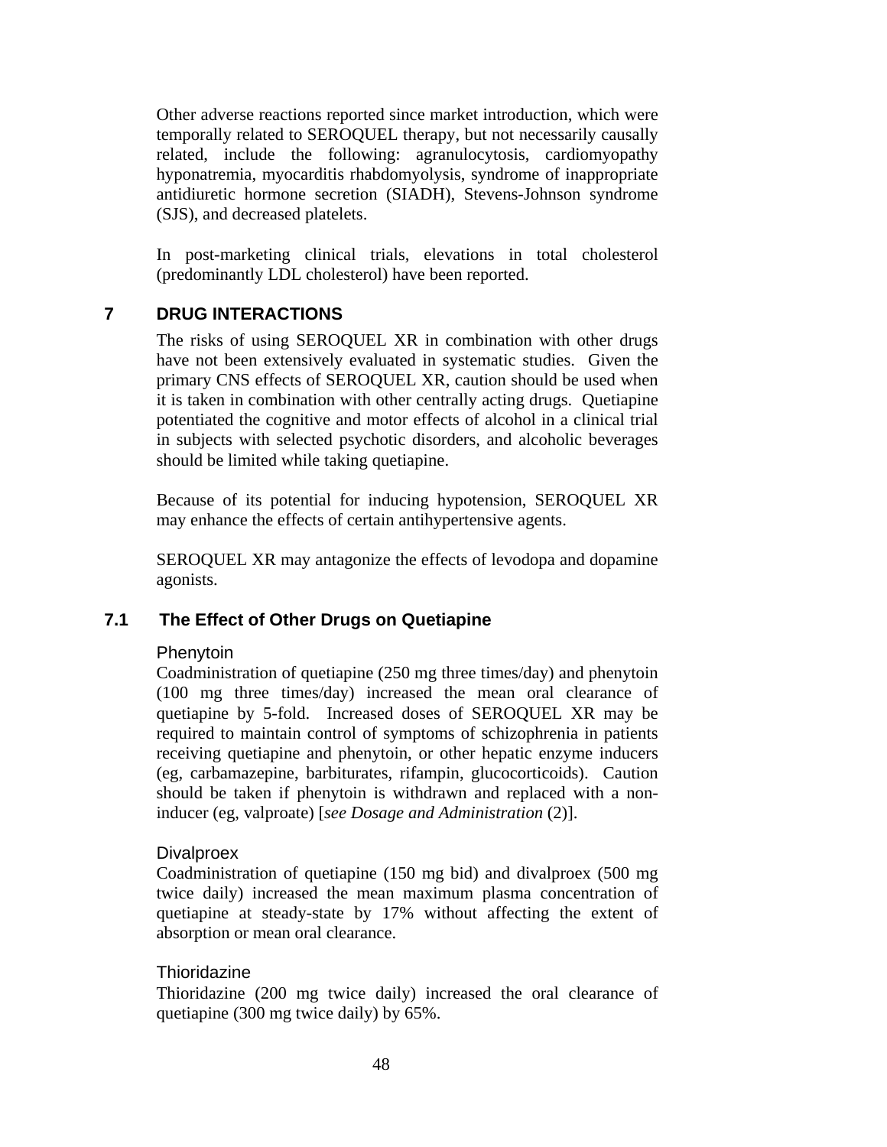Other adverse reactions reported since market introduction, which were temporally related to SEROQUEL therapy, but not necessarily causally related, include the following: agranulocytosis, cardiomyopathy hyponatremia, myocarditis rhabdomyolysis, syndrome of inappropriate antidiuretic hormone secretion (SIADH), Stevens-Johnson syndrome (SJS), and decreased platelets.

In post-marketing clinical trials, elevations in total cholesterol (predominantly LDL cholesterol) have been reported.

# **7 DRUG INTERACTIONS**

The risks of using SEROQUEL XR in combination with other drugs have not been extensively evaluated in systematic studies. Given the primary CNS effects of SEROQUEL XR, caution should be used when it is taken in combination with other centrally acting drugs. Quetiapine potentiated the cognitive and motor effects of alcohol in a clinical trial in subjects with selected psychotic disorders, and alcoholic beverages should be limited while taking quetiapine.

Because of its potential for inducing hypotension, SEROQUEL XR may enhance the effects of certain antihypertensive agents.

SEROQUEL XR may antagonize the effects of levodopa and dopamine agonists.

# **7.1 The Effect of Other Drugs on Quetiapine**

#### **Phenytoin**

Coadministration of quetiapine (250 mg three times/day) and phenytoin (100 mg three times/day) increased the mean oral clearance of quetiapine by 5-fold. Increased doses of SEROQUEL XR may be required to maintain control of symptoms of schizophrenia in patients receiving quetiapine and phenytoin, or other hepatic enzyme inducers (eg, carbamazepine, barbiturates, rifampin, glucocorticoids). Caution should be taken if phenytoin is withdrawn and replaced with a noninducer (eg, valproate) [*see Dosage and Administration* (2)].

#### **Divalproex**

Coadministration of quetiapine (150 mg bid) and divalproex (500 mg twice daily) increased the mean maximum plasma concentration of quetiapine at steady-state by 17% without affecting the extent of absorption or mean oral clearance.

# **Thioridazine**

Thioridazine (200 mg twice daily) increased the oral clearance of quetiapine (300 mg twice daily) by 65%.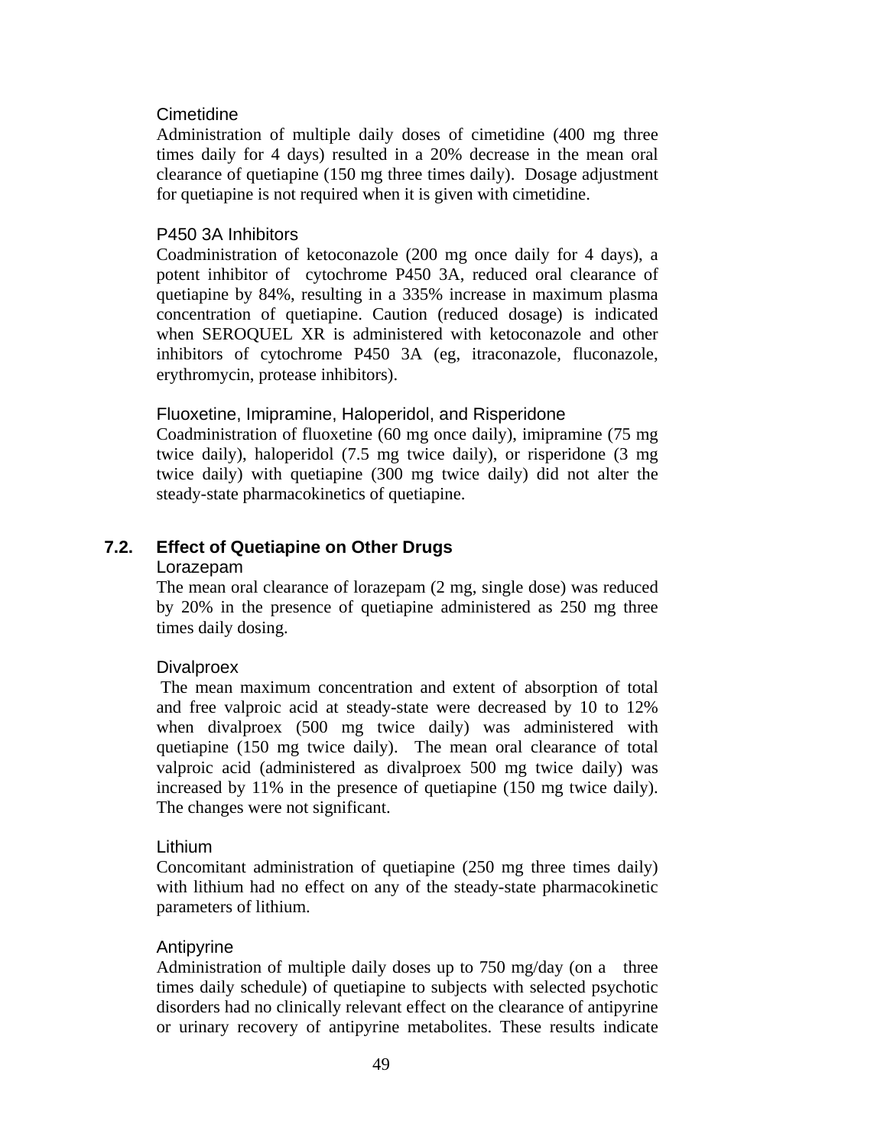## Cimetidine

Administration of multiple daily doses of cimetidine (400 mg three times daily for 4 days) resulted in a 20% decrease in the mean oral clearance of quetiapine (150 mg three times daily). Dosage adjustment for quetiapine is not required when it is given with cimetidine.

## P450 3A Inhibitors

Coadministration of ketoconazole (200 mg once daily for 4 days), a potent inhibitor of cytochrome P450 3A, reduced oral clearance of quetiapine by 84%, resulting in a 335% increase in maximum plasma concentration of quetiapine. Caution (reduced dosage) is indicated when SEROQUEL XR is administered with ketoconazole and other inhibitors of cytochrome P450 3A (eg, itraconazole, fluconazole, erythromycin, protease inhibitors).

## Fluoxetine, Imipramine, Haloperidol, and Risperidone

Coadministration of fluoxetine (60 mg once daily), imipramine (75 mg twice daily), haloperidol (7.5 mg twice daily), or risperidone (3 mg twice daily) with quetiapine (300 mg twice daily) did not alter the steady-state pharmacokinetics of quetiapine.

# **7.2. Effect of Quetiapine on Other Drugs**

#### Lorazepam

The mean oral clearance of lorazepam (2 mg, single dose) was reduced by 20% in the presence of quetiapine administered as 250 mg three times daily dosing.

#### **Divalproex**

The mean maximum concentration and extent of absorption of total and free valproic acid at steady-state were decreased by 10 to 12% when divalproex (500 mg twice daily) was administered with quetiapine (150 mg twice daily). The mean oral clearance of total valproic acid (administered as divalproex 500 mg twice daily) was increased by 11% in the presence of quetiapine (150 mg twice daily). The changes were not significant.

#### Lithium

Concomitant administration of quetiapine (250 mg three times daily) with lithium had no effect on any of the steady-state pharmacokinetic parameters of lithium.

#### Antipyrine

Administration of multiple daily doses up to 750 mg/day (on a three times daily schedule) of quetiapine to subjects with selected psychotic disorders had no clinically relevant effect on the clearance of antipyrine or urinary recovery of antipyrine metabolites. These results indicate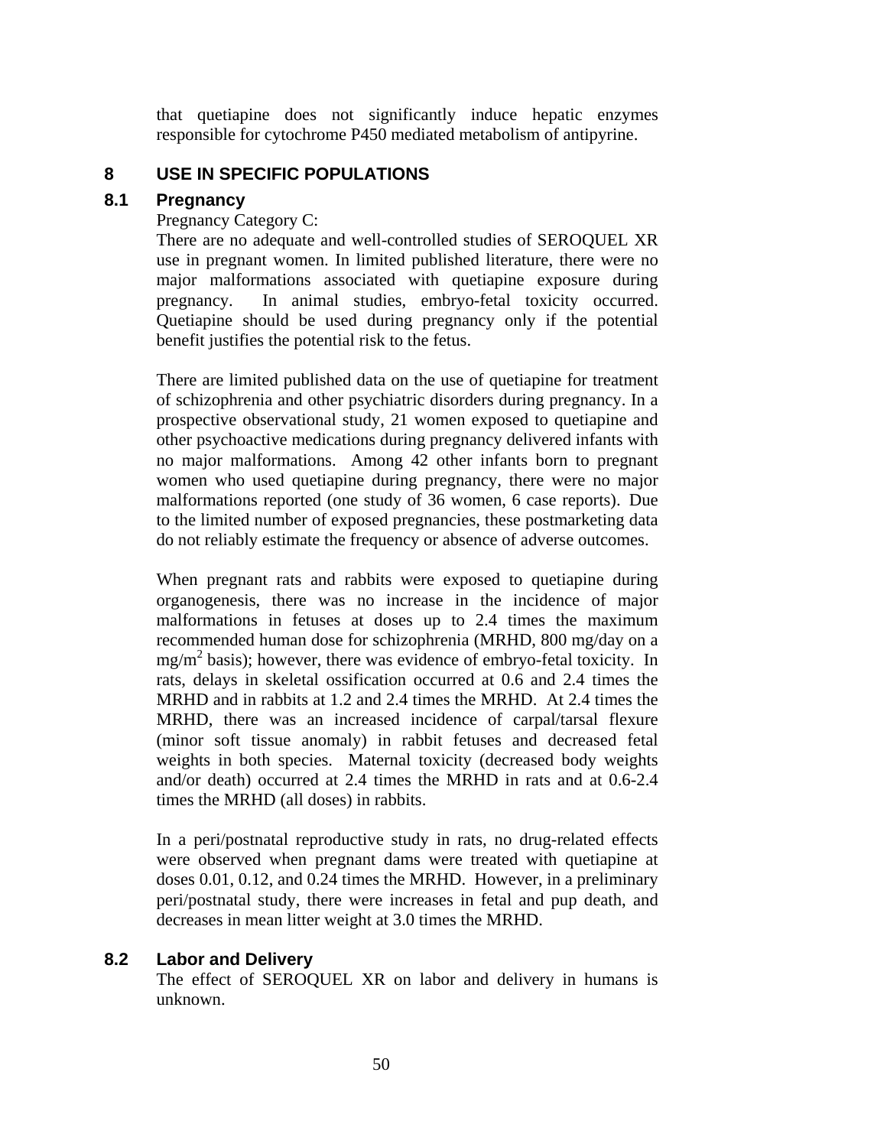that quetiapine does not significantly induce hepatic enzymes responsible for cytochrome P450 mediated metabolism of antipyrine.

#### **8 USE IN SPECIFIC POPULATIONS**

#### **8.1 Pregnancy**

Pregnancy Category C:

There are no adequate and well-controlled studies of SEROQUEL XR use in pregnant women. In limited published literature, there were no major malformations associated with quetiapine exposure during pregnancy. In animal studies, embryo-fetal toxicity occurred. Quetiapine should be used during pregnancy only if the potential benefit justifies the potential risk to the fetus.

 malformations reported (one study of 36 women, 6 case reports). Due There are limited published data on the use of quetiapine for treatment of schizophrenia and other psychiatric disorders during pregnancy. In a prospective observational study, 21 women exposed to quetiapine and other psychoactive medications during pregnancy delivered infants with no major malformations. Among 42 other infants born to pregnant women who used quetiapine during pregnancy, there were no major to the limited number of exposed pregnancies, these postmarketing data do not reliably estimate the frequency or absence of adverse outcomes.

When pregnant rats and rabbits were exposed to quetiapine during organogenesis, there was no increase in the incidence of major malformations in fetuses at doses up to 2.4 times the maximum recommended human dose for schizophrenia (MRHD, 800 mg/day on a mg/m<sup>2</sup> basis); however, there was evidence of embryo-fetal toxicity. In rats, delays in skeletal ossification occurred at 0.6 and 2.4 times the MRHD and in rabbits at 1.2 and 2.4 times the MRHD. At 2.4 times the MRHD, there was an increased incidence of carpal/tarsal flexure (minor soft tissue anomaly) in rabbit fetuses and decreased fetal weights in both species. Maternal toxicity (decreased body weights and/or death) occurred at 2.4 times the MRHD in rats and at 0.6-2.4 times the MRHD (all doses) in rabbits.

In a peri/postnatal reproductive study in rats, no drug-related effects were observed when pregnant dams were treated with quetiapine at doses 0.01, 0.12, and 0.24 times the MRHD. However, in a preliminary peri/postnatal study, there were increases in fetal and pup death, and decreases in mean litter weight at 3.0 times the MRHD.

#### **8.2 Labor and Delivery**

The effect of SEROQUEL XR on labor and delivery in humans is unknown.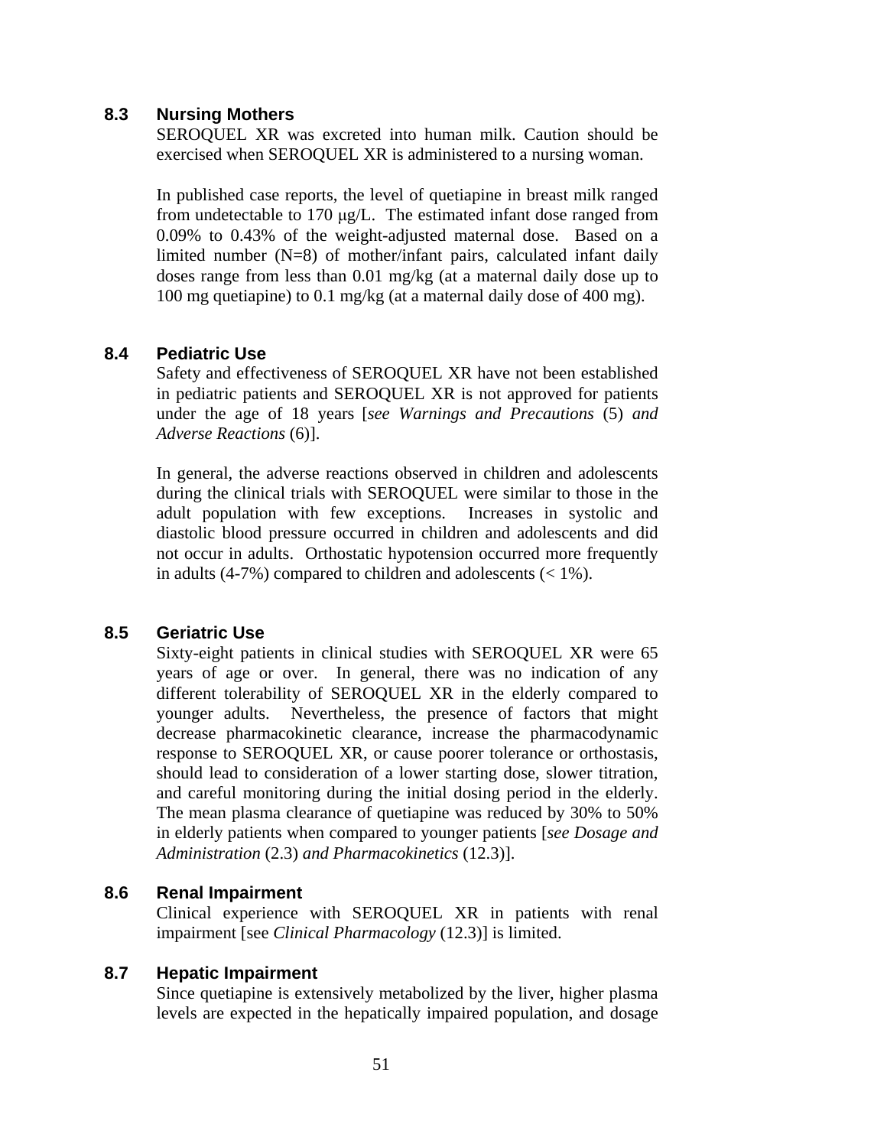#### **8.3 Nursing Mothers**

SEROQUEL XR was excreted into human milk. Caution should be exercised when SEROQUEL XR is administered to a nursing woman.

In published case reports, the level of quetiapine in breast milk ranged from undetectable to 170 μg/L. The estimated infant dose ranged from 0.09% to 0.43% of the weight-adjusted maternal dose. Based on a limited number (N=8) of mother/infant pairs, calculated infant daily doses range from less than 0.01 mg/kg (at a maternal daily dose up to 100 mg quetiapine) to 0.1 mg/kg (at a maternal daily dose of 400 mg).

## **8.4 Pediatric Use**

Safety and effectiveness of SEROQUEL XR have not been established in pediatric patients and SEROQUEL XR is not approved for patients under the age of 18 years [*see Warnings and Precautions* (5) *and Adverse Reactions* (6)].

In general, the adverse reactions observed in children and adolescents during the clinical trials with SEROQUEL were similar to those in the adult population with few exceptions. Increases in systolic and diastolic blood pressure occurred in children and adolescents and did not occur in adults. Orthostatic hypotension occurred more frequently in adults  $(4-7%)$  compared to children and adolescents  $(< 1\%)$ .

#### **8.5 Geriatric Use**

Sixty-eight patients in clinical studies with SEROQUEL XR were 65 years of age or over. In general, there was no indication of any different tolerability of SEROQUEL XR in the elderly compared to younger adults. Nevertheless, the presence of factors that might decrease pharmacokinetic clearance, increase the pharmacodynamic response to SEROQUEL XR, or cause poorer tolerance or orthostasis, should lead to consideration of a lower starting dose, slower titration, and careful monitoring during the initial dosing period in the elderly. The mean plasma clearance of quetiapine was reduced by 30% to 50% in elderly patients when compared to younger patients [*see Dosage and Administration* (2.3) *and Pharmacokinetics* (12.3)].

#### **8.6 Renal Impairment**

Clinical experience with SEROQUEL XR in patients with renal impairment [see *Clinical Pharmacology* (12.3)] is limited.

#### **8.7 Hepatic Impairment**

Since quetiapine is extensively metabolized by the liver, higher plasma levels are expected in the hepatically impaired population, and dosage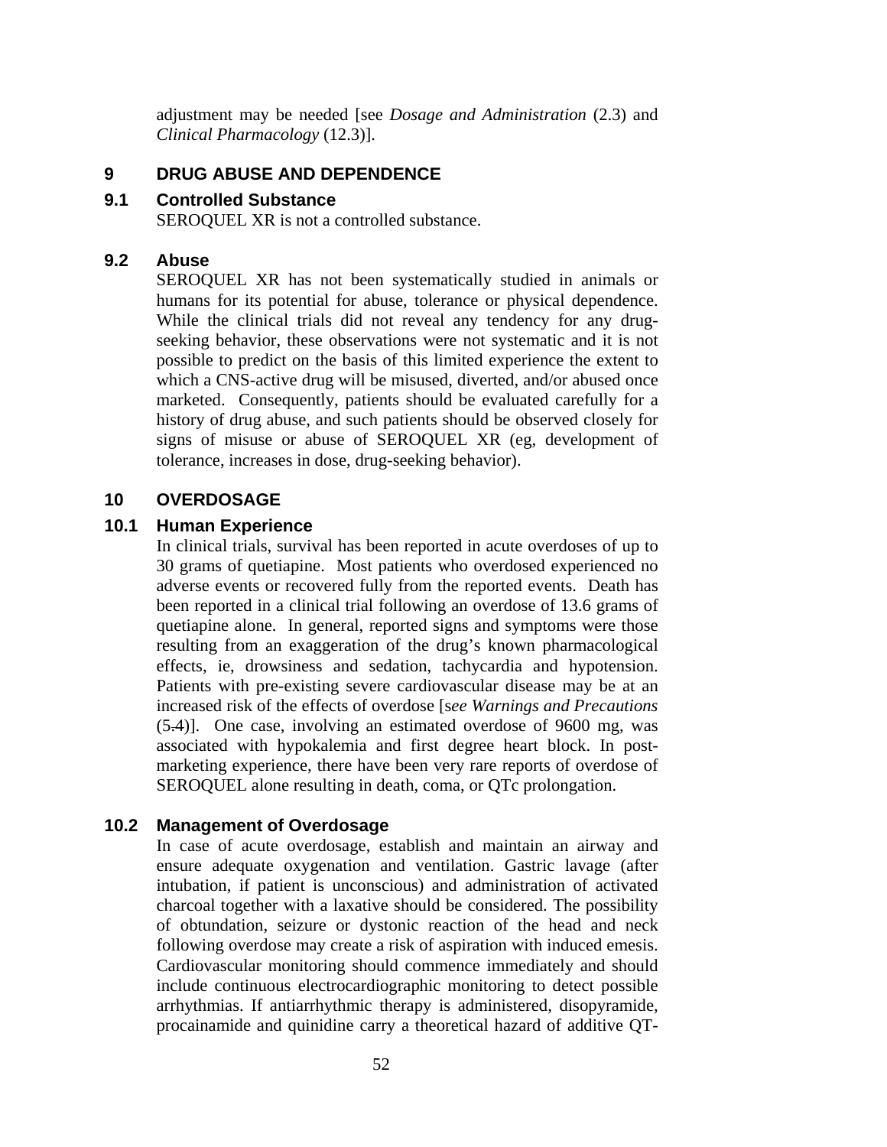adjustment may be needed [see *Dosage and Administration* (2.3) and *Clinical Pharmacology* (12.3)].

## **9 DRUG ABUSE AND DEPENDENCE**

#### **9.1 Controlled Substance**

SEROQUEL XR is not a controlled substance.

# **9.2 Abuse**

SEROQUEL XR has not been systematically studied in animals or humans for its potential for abuse, tolerance or physical dependence. While the clinical trials did not reveal any tendency for any drugseeking behavior, these observations were not systematic and it is not possible to predict on the basis of this limited experience the extent to which a CNS-active drug will be misused, diverted, and/or abused once marketed. Consequently, patients should be evaluated carefully for a history of drug abuse, and such patients should be observed closely for signs of misuse or abuse of SEROQUEL XR (eg, development of tolerance, increases in dose, drug-seeking behavior).

## **10 OVERDOSAGE**

#### **10.1 Human Experience**

In clinical trials, survival has been reported in acute overdoses of up to 30 grams of quetiapine. Most patients who overdosed experienced no adverse events or recovered fully from the reported events. Death has been reported in a clinical trial following an overdose of 13.6 grams of quetiapine alone. In general, reported signs and symptoms were those resulting from an exaggeration of the drug's known pharmacological effects, ie, drowsiness and sedation, tachycardia and hypotension. Patients with pre-existing severe cardiovascular disease may be at an increased risk of the effects of overdose [s*ee Warnings and Precautions*  (5.4)]. One case, involving an estimated overdose of 9600 mg, was associated with hypokalemia and first degree heart block. In postmarketing experience, there have been very rare reports of overdose of SEROQUEL alone resulting in death, coma, or QTc prolongation.

#### **10.2 Management of Overdosage**

In case of acute overdosage, establish and maintain an airway and ensure adequate oxygenation and ventilation. Gastric lavage (after intubation, if patient is unconscious) and administration of activated charcoal together with a laxative should be considered. The possibility of obtundation, seizure or dystonic reaction of the head and neck following overdose may create a risk of aspiration with induced emesis. Cardiovascular monitoring should commence immediately and should include continuous electrocardiographic monitoring to detect possible arrhythmias. If antiarrhythmic therapy is administered, disopyramide, procainamide and quinidine carry a theoretical hazard of additive QT-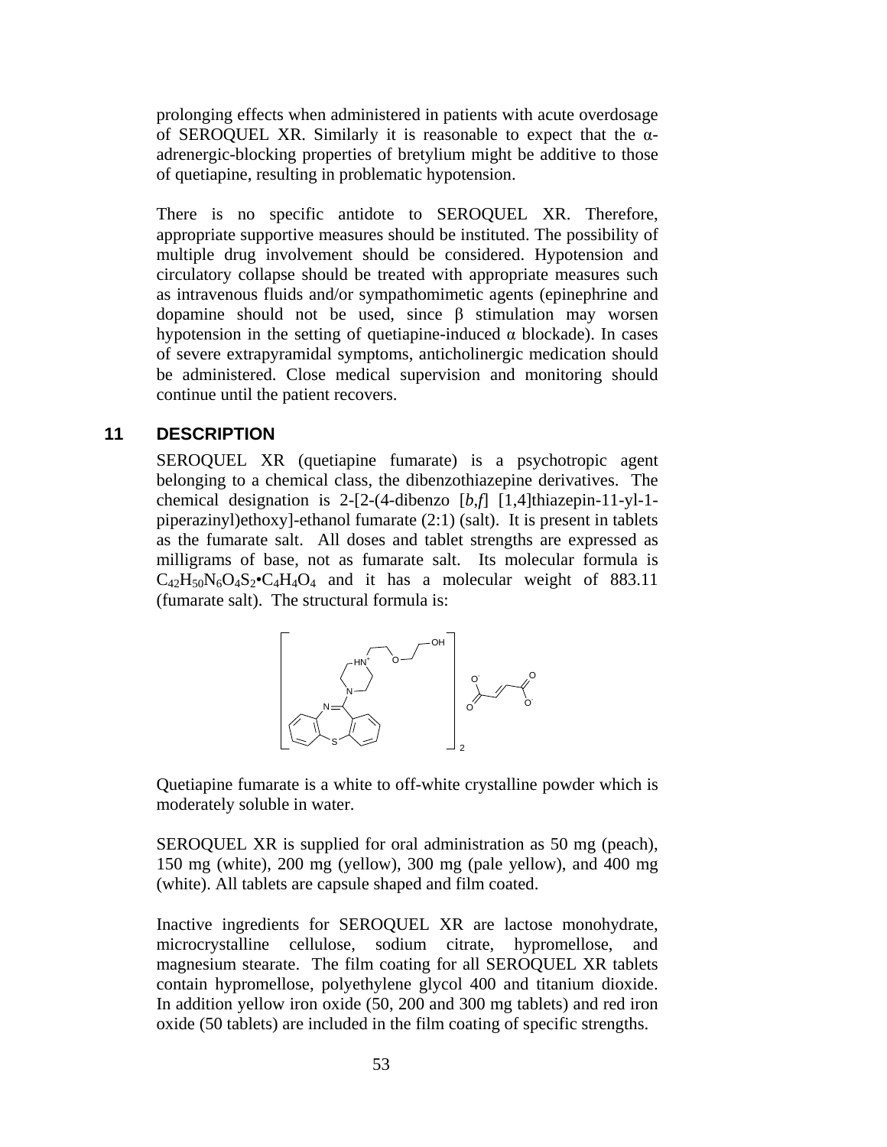prolonging effects when administered in patients with acute overdosage of SEROQUEL XR. Similarly it is reasonable to expect that the  $\alpha$ adrenergic-blocking properties of bretylium might be additive to those of quetiapine, resulting in problematic hypotension.

There is no specific antidote to SEROQUEL XR. Therefore, appropriate supportive measures should be instituted. The possibility of multiple drug involvement should be considered. Hypotension and circulatory collapse should be treated with appropriate measures such as intravenous fluids and/or sympathomimetic agents (epinephrine and dopamine should not be used, since β stimulation may worsen hypotension in the setting of quetiapine-induced α blockade). In cases of severe extrapyramidal symptoms, anticholinergic medication should be administered. Close medical supervision and monitoring should continue until the patient recovers.

#### **11 DESCRIPTION**

SEROQUEL XR (quetiapine fumarate) is a psychotropic agent belonging to a chemical class, the dibenzothiazepine derivatives. The chemical designation is 2-[2-(4-dibenzo [*b*,*f*] [1,4]thiazepin-11-yl-1 piperazinyl)ethoxy]-ethanol fumarate (2:1) (salt). It is present in tablets as the fumarate salt. All doses and tablet strengths are expressed as milligrams of base, not as fumarate salt. Its molecular formula is  $C_{42}H_{50}N_6O_4S_2$ • $C_4H_4O_4$  and it has a molecular weight of 883.11 (fumarate salt). The structural formula is:



Quetiapine fumarate is a white to off-white crystalline powder which is moderately soluble in water.

SEROQUEL XR is supplied for oral administration as 50 mg (peach), 150 mg (white), 200 mg (yellow), 300 mg (pale yellow), and 400 mg (white). All tablets are capsule shaped and film coated.

Inactive ingredients for SEROQUEL XR are lactose monohydrate, microcrystalline cellulose, sodium citrate, hypromellose, and magnesium stearate. The film coating for all SEROQUEL XR tablets contain hypromellose, polyethylene glycol 400 and titanium dioxide. In addition yellow iron oxide (50, 200 and 300 mg tablets) and red iron oxide (50 tablets) are included in the film coating of specific strengths.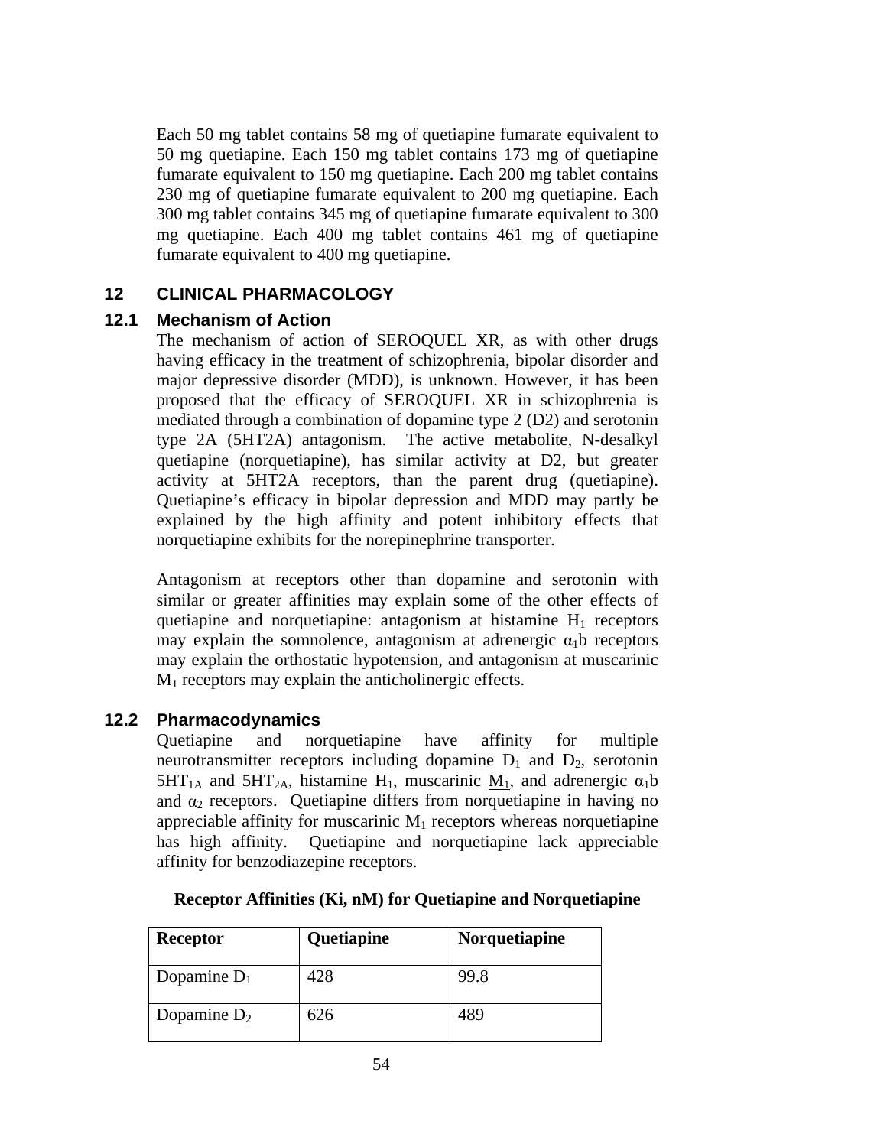Each 50 mg tablet contains 58 mg of quetiapine fumarate equivalent to 50 mg quetiapine. Each 150 mg tablet contains 173 mg of quetiapine fumarate equivalent to 150 mg quetiapine. Each 200 mg tablet contains 230 mg of quetiapine fumarate equivalent to 200 mg quetiapine. Each 300 mg tablet contains 345 mg of quetiapine fumarate equivalent to 300 mg quetiapine. Each 400 mg tablet contains 461 mg of quetiapine fumarate equivalent to 400 mg quetiapine.

# **12 CLINICAL PHARMACOLOGY**

# **12.1 Mechanism of Action**

activity at 5HT2A receptors, than the parent drug (quetiapine). The mechanism of action of SEROQUEL XR, as with other drugs having efficacy in the treatment of schizophrenia, bipolar disorder and major depressive disorder (MDD), is unknown. However, it has been proposed that the efficacy of SEROQUEL XR in schizophrenia is mediated through a combination of dopamine type 2 (D2) and serotonin type 2A (5HT2A) antagonism. The active metabolite, N-desalkyl quetiapine (norquetiapine), has similar activity at D2, but greater Quetiapine's efficacy in bipolar depression and MDD may partly be explained by the high affinity and potent inhibitory effects that norquetiapine exhibits for the norepinephrine transporter.

Antagonism at receptors other than dopamine and serotonin with similar or greater affinities may explain some of the other effects of quetiapine and norquetiapine: antagonism at histamine  $H_1$  receptors may explain the somnolence, antagonism at adrenergic  $\alpha_1$ b receptors may explain the orthostatic hypotension, and antagonism at muscarinic  $M_1$  receptors may explain the anticholinergic effects.

# **12.2 Pharmacodynamics**

Quetiapine and norquetiapine have affinity for multiple neurotransmitter receptors including dopamine  $D_1$  and  $D_2$ , serotonin  $5HT_{1A}$  and  $5HT_{2A}$ , histamine H<sub>1</sub>, muscarinic  $M_1$ , and adrenergic  $\alpha_1 b$ and  $\alpha_2$  receptors. Quetiapine differs from norquetiapine in having no appreciable affinity for muscarinic  $M_1$  receptors whereas norquetiapine has high affinity. Quetiapine and norquetiapine lack appreciable affinity for benzodiazepine receptors.

| <b>Receptor</b> | Quetiapine | <b>Norquetiapine</b> |
|-----------------|------------|----------------------|
| Dopamine $D_1$  | 428        | 99.8                 |
| Dopamine $D_2$  | 626        | 489                  |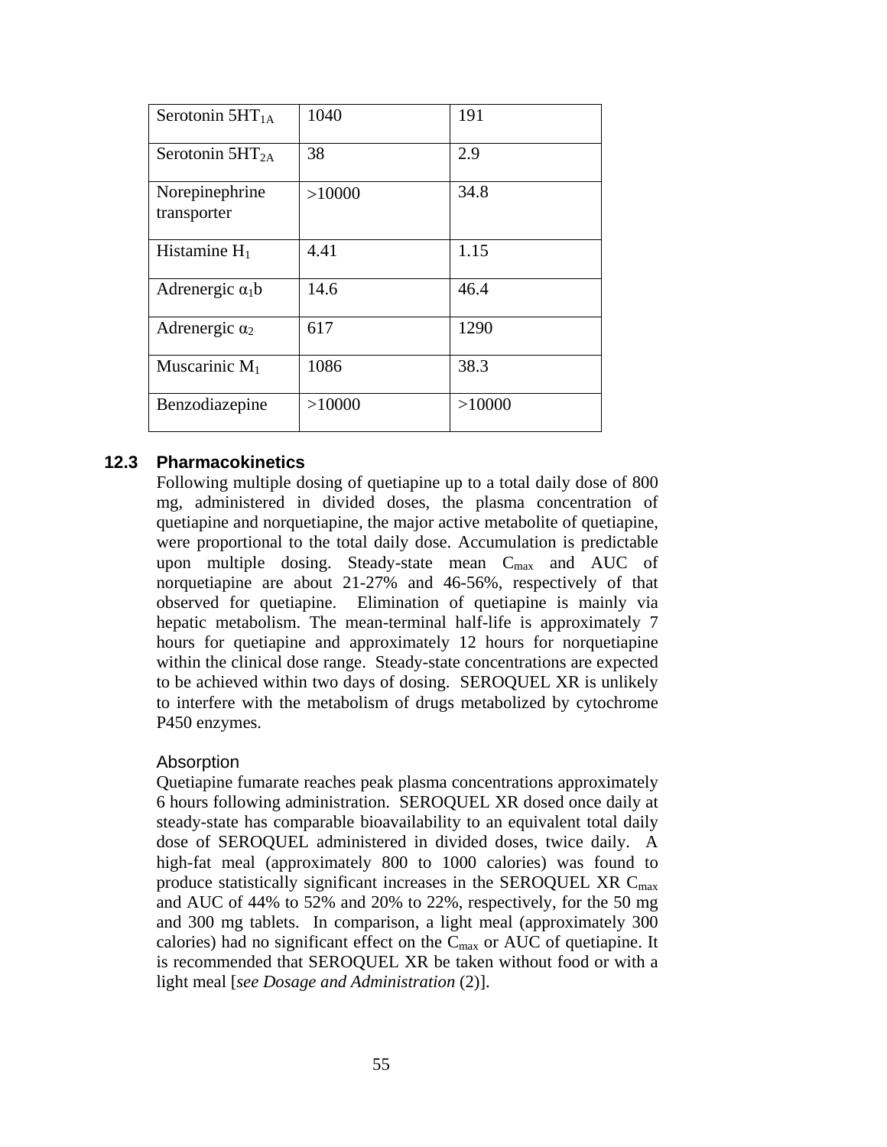| Serotonin $5HT_{1A}$          | 1040   | 191    |
|-------------------------------|--------|--------|
| Serotonin $5HT_{2A}$          | 38     | 2.9    |
| Norepinephrine<br>transporter | >10000 | 34.8   |
| Histamine $H_1$               | 4.41   | 1.15   |
| Adrenergic $\alpha_1$ b       | 14.6   | 46.4   |
| Adrenergic $\alpha_2$         | 617    | 1290   |
| Muscarinic $M_1$              | 1086   | 38.3   |
| Benzodiazepine                | >10000 | >10000 |

#### **12.3 Pharmacokinetics**

Following multiple dosing of quetiapine up to a total daily dose of 800 mg, administered in divided doses, the plasma concentration of quetiapine and norquetiapine, the major active metabolite of quetiapine, were proportional to the total daily dose. Accumulation is predictable upon multiple dosing. Steady-state mean  $C_{\text{max}}$  and AUC of norquetiapine are about 21-27% and 46-56%, respectively of that observed for quetiapine. Elimination of quetiapine is mainly via hepatic metabolism. The mean-terminal half-life is approximately 7 hours for quetiapine and approximately 12 hours for norquetiapine within the clinical dose range. Steady-state concentrations are expected to be achieved within two days of dosing. SEROQUEL XR is unlikely to interfere with the metabolism of drugs metabolized by cytochrome P450 enzymes.

#### Absorption

Quetiapine fumarate reaches peak plasma concentrations approximately 6 hours following administration. SEROQUEL XR dosed once daily at steady-state has comparable bioavailability to an equivalent total daily dose of SEROQUEL administered in divided doses, twice daily. A high-fat meal (approximately 800 to 1000 calories) was found to produce statistically significant increases in the SEROQUEL XR  $C_{\text{max}}$ and AUC of 44% to 52% and 20% to 22%, respectively, for the 50 mg and 300 mg tablets. In comparison, a light meal (approximately 300 calories) had no significant effect on the  $C_{\text{max}}$  or AUC of quetiapine. It is recommended that SEROQUEL XR be taken without food or with a light meal [*see Dosage and Administration* (2)].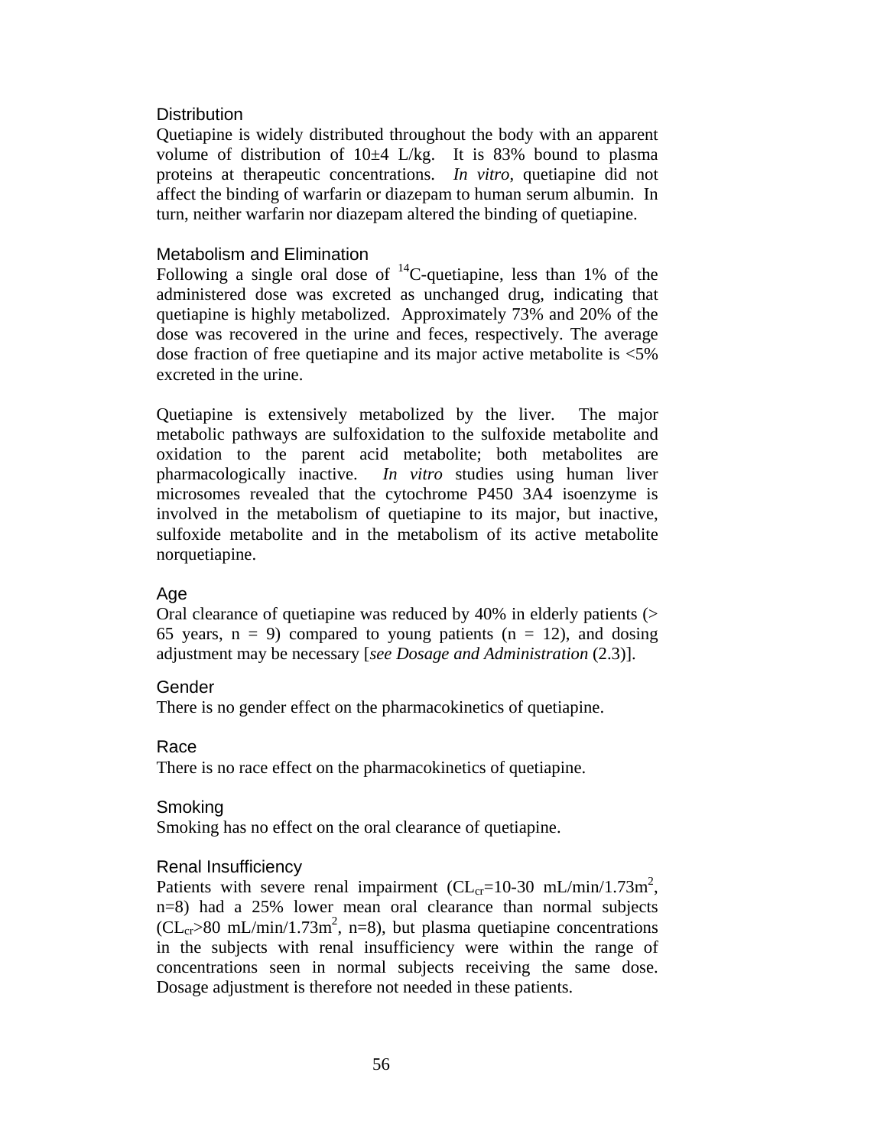#### **Distribution**

Quetiapine is widely distributed throughout the body with an apparent volume of distribution of  $10\pm4$  L/kg. It is 83% bound to plasma proteins at therapeutic concentrations. *In vitro*, quetiapine did not affect the binding of warfarin or diazepam to human serum albumin. In turn, neither warfarin nor diazepam altered the binding of quetiapine.

#### Metabolism and Elimination

Following a single oral dose of  ${}^{14}$ C-quetiapine, less than 1% of the administered dose was excreted as unchanged drug, indicating that quetiapine is highly metabolized. Approximately 73% and 20% of the dose was recovered in the urine and feces, respectively. The average dose fraction of free quetiapine and its major active metabolite is <5% excreted in the urine.

Quetiapine is extensively metabolized by the liver. The major metabolic pathways are sulfoxidation to the sulfoxide metabolite and oxidation to the parent acid metabolite; both metabolites are pharmacologically inactive. *In vitro* studies using human liver microsomes revealed that the cytochrome P450 3A4 isoenzyme is involved in the metabolism of quetiapine to its major, but inactive, sulfoxide metabolite and in the metabolism of its active metabolite norquetiapine.

#### Age

Oral clearance of quetiapine was reduced by 40% in elderly patients (> 65 years,  $n = 9$ ) compared to young patients  $(n = 12)$ , and dosing adjustment may be necessary [*see Dosage and Administration* (2.3)].

#### Gender

There is no gender effect on the pharmacokinetics of quetiapine.

#### Race

There is no race effect on the pharmacokinetics of quetiapine.

#### Smoking

Smoking has no effect on the oral clearance of quetiapine.

#### Renal Insufficiency

Patients with severe renal impairment ( $CL_{cr}$ =10-30 mL/min/1.73m<sup>2</sup>, n=8) had a 25% lower mean oral clearance than normal subjects  $CL_{cr} > 80$  mL/min/1.73m<sup>2</sup>, n=8), but plasma quetiapine concentrations in the subjects with renal insufficiency were within the range of concentrations seen in normal subjects receiving the same dose. Dosage adjustment is therefore not needed in these patients.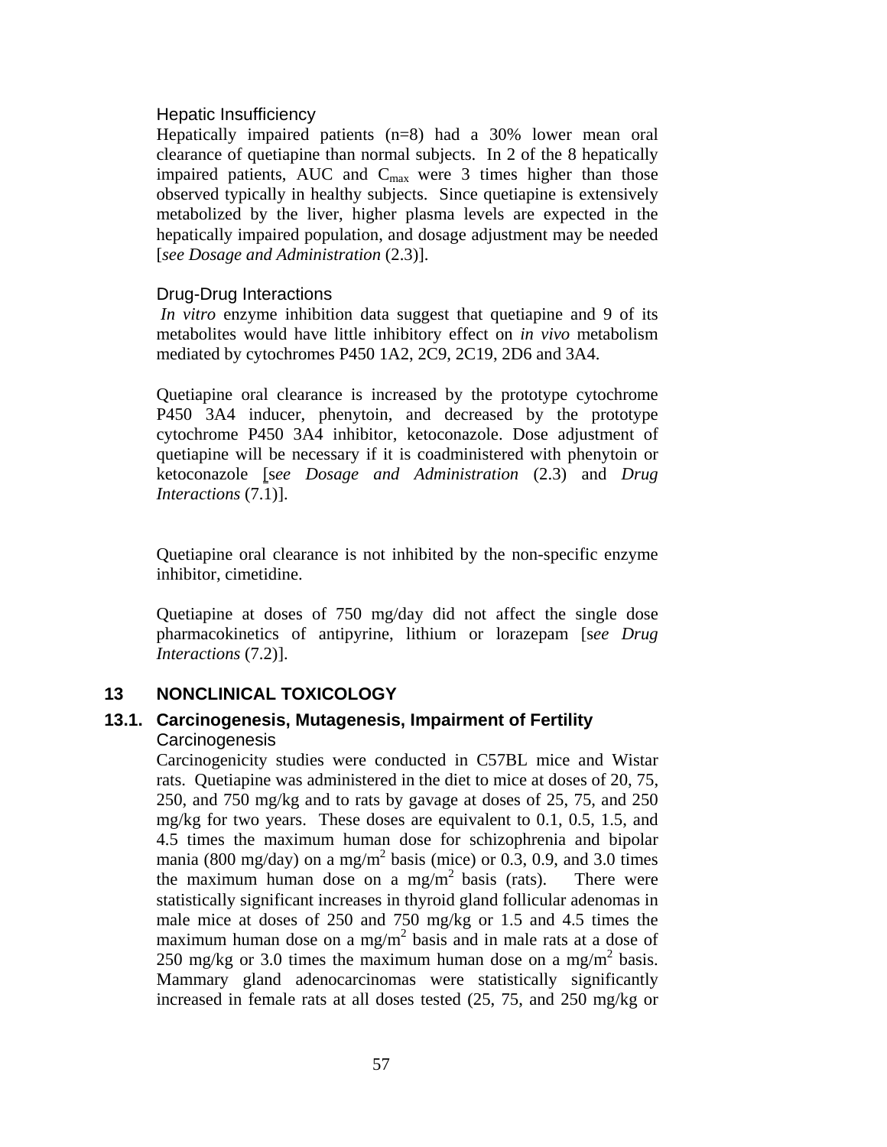#### Hepatic Insufficiency

Hepatically impaired patients (n=8) had a 30% lower mean oral clearance of quetiapine than normal subjects. In 2 of the 8 hepatically impaired patients, AUC and  $C_{\text{max}}$  were 3 times higher than those observed typically in healthy subjects. Since quetiapine is extensively metabolized by the liver, higher plasma levels are expected in the hepatically impaired population, and dosage adjustment may be needed [*see Dosage and Administration* (2.3)].

## Drug-Drug Interactions

*In vitro* enzyme inhibition data suggest that quetiapine and 9 of its metabolites would have little inhibitory effect on *in vivo* metabolism mediated by cytochromes P450 1A2, 2C9, 2C19, 2D6 and 3A4.

Quetiapine oral clearance is increased by the prototype cytochrome P450 3A4 inducer, phenytoin, and decreased by the prototype cytochrome P450 3A4 inhibitor, ketoconazole. Dose adjustment of quetiapine will be necessary if it is coadministered with phenytoin or ketoconazole [s*ee Dosage and Administration* (2.3) and *Drug Interactions* (7.1)].

Quetiapine oral clearance is not inhibited by the non-specific enzyme inhibitor, cimetidine.

Quetiapine at doses of 750 mg/day did not affect the single dose pharmacokinetics of antipyrine, lithium or lorazepam [s*ee Drug Interactions* (7.2)].

# **13 NONCLINICAL TOXICOLOGY**

## **13.1. Carcinogenesis, Mutagenesis, Impairment of Fertility Carcinogenesis**

Carcinogenicity studies were conducted in C57BL mice and Wistar rats. Quetiapine was administered in the diet to mice at doses of 20, 75, 250, and 750 mg/kg and to rats by gavage at doses of 25, 75, and 250 mg/kg for two years. These doses are equivalent to 0.1, 0.5, 1.5, and 4.5 times the maximum human dose for schizophrenia and bipolar mania (800 mg/day) on a mg/m<sup>2</sup> basis (mice) or 0.3, 0.9, and 3.0 times the maximum human dose on a mg/m<sup>2</sup> basis (rats). There were statistically significant increases in thyroid gland follicular adenomas in male mice at doses of 250 and 750 mg/kg or 1.5 and 4.5 times the maximum human dose on a mg/m<sup>2</sup> basis and in male rats at a dose of 250 mg/kg or 3.0 times the maximum human dose on a mg/m<sup>2</sup> basis. Mammary gland adenocarcinomas were statistically significantly increased in female rats at all doses tested (25, 75, and 250 mg/kg or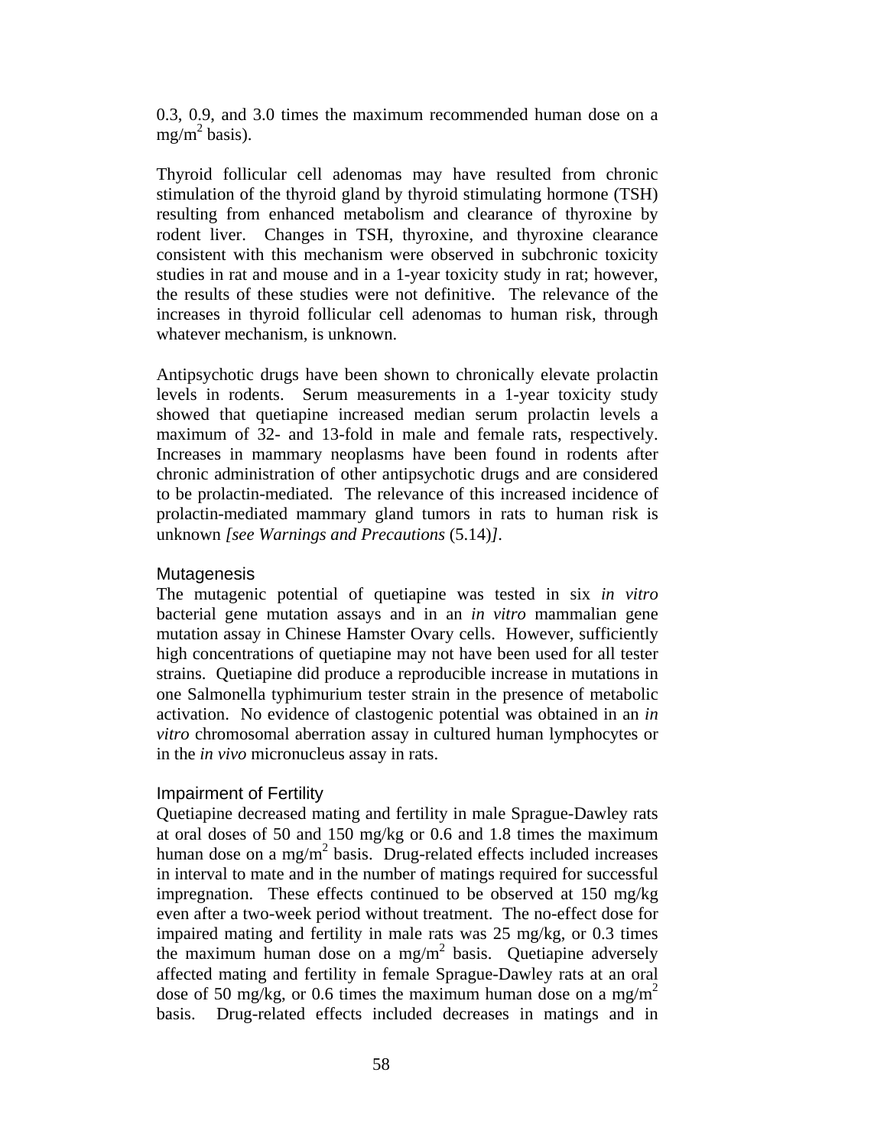0.3, 0.9, and 3.0 times the maximum recommended human dose on a  $mg/m^2$  basis).

Thyroid follicular cell adenomas may have resulted from chronic stimulation of the thyroid gland by thyroid stimulating hormone (TSH) resulting from enhanced metabolism and clearance of thyroxine by rodent liver. Changes in TSH, thyroxine, and thyroxine clearance consistent with this mechanism were observed in subchronic toxicity studies in rat and mouse and in a 1-year toxicity study in rat; however, the results of these studies were not definitive. The relevance of the increases in thyroid follicular cell adenomas to human risk, through whatever mechanism, is unknown.

Antipsychotic drugs have been shown to chronically elevate prolactin levels in rodents. Serum measurements in a 1-year toxicity study showed that quetiapine increased median serum prolactin levels a maximum of 32- and 13-fold in male and female rats, respectively. Increases in mammary neoplasms have been found in rodents after chronic administration of other antipsychotic drugs and are considered to be prolactin-mediated. The relevance of this increased incidence of prolactin-mediated mammary gland tumors in rats to human risk is unknown *[see Warnings and Precautions* (5.14)*]*.

#### **Mutagenesis**

The mutagenic potential of quetiapine was tested in six *in vitro*  bacterial gene mutation assays and in an *in vitro* mammalian gene mutation assay in Chinese Hamster Ovary cells. However, sufficiently high concentrations of quetiapine may not have been used for all tester strains. Quetiapine did produce a reproducible increase in mutations in one Salmonella typhimurium tester strain in the presence of metabolic activation. No evidence of clastogenic potential was obtained in an *in vitro* chromosomal aberration assay in cultured human lymphocytes or in the *in vivo* micronucleus assay in rats.

#### Impairment of Fertility

Quetiapine decreased mating and fertility in male Sprague-Dawley rats at oral doses of 50 and 150 mg/kg or 0.6 and 1.8 times the maximum human dose on a mg/m<sup>2</sup> basis. Drug-related effects included increases in interval to mate and in the number of matings required for successful impregnation. These effects continued to be observed at 150 mg/kg even after a two-week period without treatment. The no-effect dose for impaired mating and fertility in male rats was 25 mg/kg, or 0.3 times the maximum human dose on a  $mg/m^2$  basis. Quetiapine adversely affected mating and fertility in female Sprague-Dawley rats at an oral dose of 50 mg/kg, or 0.6 times the maximum human dose on a mg/m<sup>2</sup> basis. Drug-related effects included decreases in matings and in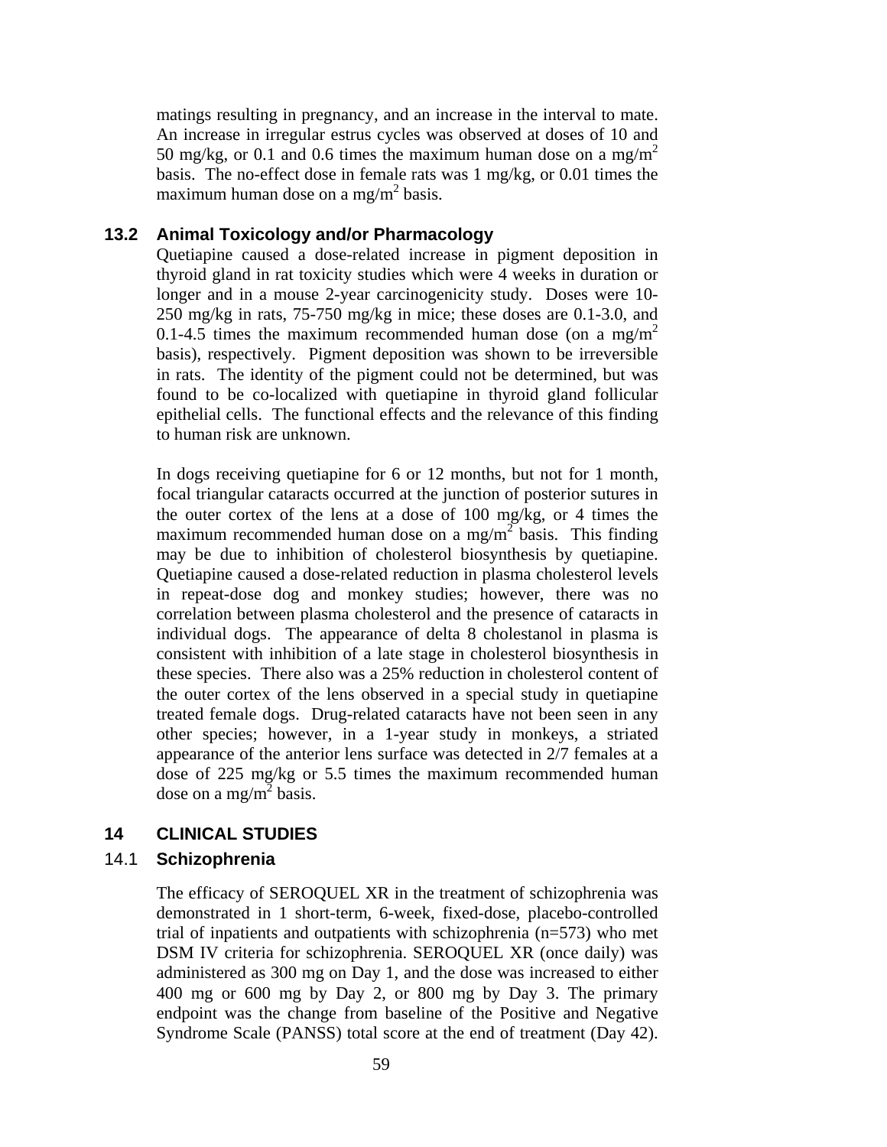matings resulting in pregnancy, and an increase in the interval to mate. An increase in irregular estrus cycles was observed at doses of 10 and 50 mg/kg, or 0.1 and 0.6 times the maximum human dose on a mg/m<sup>2</sup> basis. The no-effect dose in female rats was 1 mg/kg, or 0.01 times the maximum human dose on a mg/m<sup>2</sup> basis.

#### **13.2 Animal Toxicology and/or Pharmacology**

Quetiapine caused a dose-related increase in pigment deposition in thyroid gland in rat toxicity studies which were 4 weeks in duration or longer and in a mouse 2-year carcinogenicity study. Doses were 10-250 mg/kg in rats, 75-750 mg/kg in mice; these doses are 0.1-3.0, and 0.1-4.5 times the maximum recommended human dose (on a mg/m<sup>2</sup> basis), respectively. Pigment deposition was shown to be irreversible in rats. The identity of the pigment could not be determined, but was found to be co-localized with quetiapine in thyroid gland follicular epithelial cells. The functional effects and the relevance of this finding to human risk are unknown.

In dogs receiving quetiapine for 6 or 12 months, but not for 1 month, focal triangular cataracts occurred at the junction of posterior sutures in the outer cortex of the lens at a dose of 100 mg/kg, or 4 times the maximum recommended human dose on a mg/m<sup>2</sup> basis. This finding may be due to inhibition of cholesterol biosynthesis by quetiapine. Quetiapine caused a dose-related reduction in plasma cholesterol levels in repeat-dose dog and monkey studies; however, there was no correlation between plasma cholesterol and the presence of cataracts in individual dogs. The appearance of delta 8 cholestanol in plasma is consistent with inhibition of a late stage in cholesterol biosynthesis in these species. There also was a 25% reduction in cholesterol content of the outer cortex of the lens observed in a special study in quetiapine treated female dogs. Drug-related cataracts have not been seen in any other species; however, in a 1-year study in monkeys, a striated appearance of the anterior lens surface was detected in 2/7 females at a dose of 225 mg/kg or 5.5 times the maximum recommended human dose on a mg/m<sup>2</sup> basis.

#### **14 CLINICAL STUDIES**

#### 14.1 **Schizophrenia**

The efficacy of SEROQUEL XR in the treatment of schizophrenia was demonstrated in 1 short-term, 6-week, fixed-dose, placebo-controlled trial of inpatients and outpatients with schizophrenia (n=573) who met DSM IV criteria for schizophrenia. SEROQUEL XR (once daily) was administered as 300 mg on Day 1, and the dose was increased to either 400 mg or 600 mg by Day 2, or 800 mg by Day 3. The primary endpoint was the change from baseline of the Positive and Negative Syndrome Scale (PANSS) total score at the end of treatment (Day 42).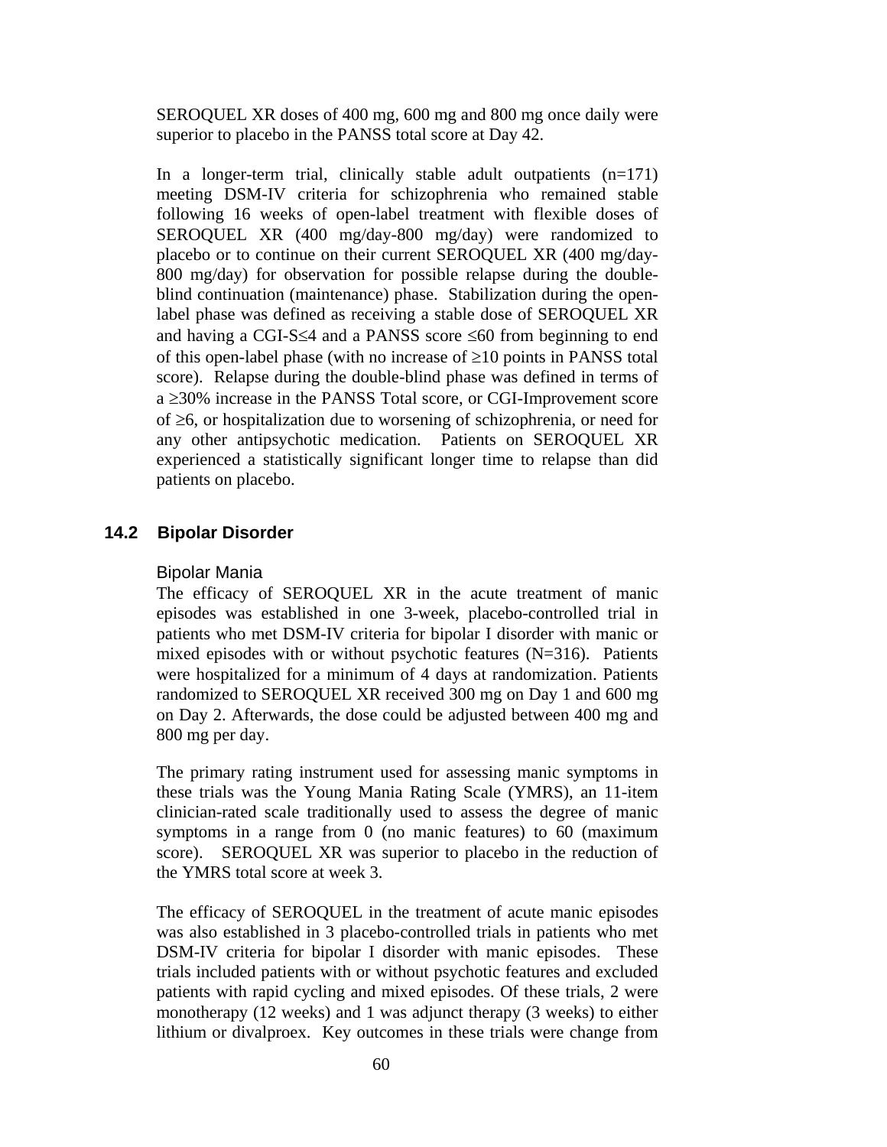SEROQUEL XR doses of 400 mg, 600 mg and 800 mg once daily were superior to placebo in the PANSS total score at Day 42.

In a longer-term trial, clinically stable adult outpatients (n=171) meeting DSM-IV criteria for schizophrenia who remained stable following 16 weeks of open-label treatment with flexible doses of SEROQUEL XR (400 mg/day-800 mg/day) were randomized to placebo or to continue on their current SEROQUEL XR (400 mg/day-800 mg/day) for observation for possible relapse during the doubleblind continuation (maintenance) phase. Stabilization during the openlabel phase was defined as receiving a stable dose of SEROQUEL XR and having a CGI-S≤4 and a PANSS score ≤60 from beginning to end of this open-label phase (with no increase of ≥10 points in PANSS total score). Relapse during the double-blind phase was defined in terms of a ≥30% increase in the PANSS Total score, or CGI-Improvement score of ≥6, or hospitalization due to worsening of schizophrenia, or need for any other antipsychotic medication. Patients on SEROQUEL XR experienced a statistically significant longer time to relapse than did patients on placebo.

#### $14.2$ **14.2 Bipolar Disorder**

#### Bipolar Mania

The efficacy of SEROQUEL XR in the acute treatment of manic episodes was established in one 3-week, placebo-controlled trial in patients who met DSM-IV criteria for bipolar I disorder with manic or mixed episodes with or without psychotic features (N=316). Patients were hospitalized for a minimum of 4 days at randomization. Patients randomized to SEROQUEL XR received 300 mg on Day 1 and 600 mg on Day 2. Afterwards, the dose could be adjusted between 400 mg and 800 mg per day.

The primary rating instrument used for assessing manic symptoms in these trials was the Young Mania Rating Scale (YMRS), an 11-item clinician-rated scale traditionally used to assess the degree of manic symptoms in a range from 0 (no manic features) to 60 (maximum score). SEROQUEL XR was superior to placebo in the reduction of the YMRS total score at week 3.

The efficacy of SEROQUEL in the treatment of acute manic episodes was also established in 3 placebo-controlled trials in patients who met DSM-IV criteria for bipolar I disorder with manic episodes. These trials included patients with or without psychotic features and excluded patients with rapid cycling and mixed episodes. Of these trials, 2 were monotherapy (12 weeks) and 1 was adjunct therapy (3 weeks) to either lithium or divalproex. Key outcomes in these trials were change from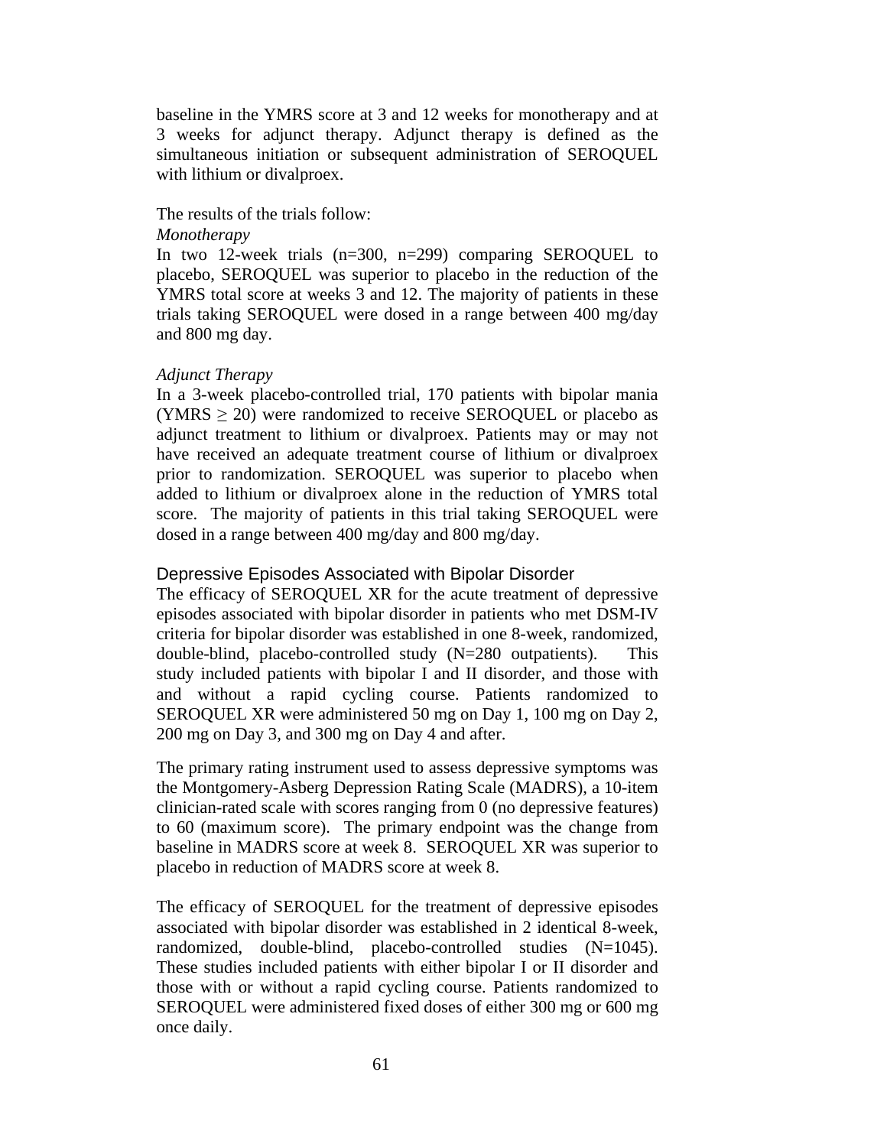baseline in the YMRS score at 3 and 12 weeks for monotherapy and at 3 weeks for adjunct therapy. Adjunct therapy is defined as the simultaneous initiation or subsequent administration of SEROQUEL with lithium or divalproex.

#### The results of the trials follow:

#### *Monotherapy*

In two 12-week trials (n=300, n=299) comparing SEROQUEL to placebo, SEROQUEL was superior to placebo in the reduction of the YMRS total score at weeks 3 and 12. The majority of patients in these trials taking SEROQUEL were dosed in a range between 400 mg/day and 800 mg day.

#### *Adjunct Therapy*

In a 3-week placebo-controlled trial, 170 patients with bipolar mania (YMRS  $\geq$  20) were randomized to receive SEROQUEL or placebo as adjunct treatment to lithium or divalproex. Patients may or may not have received an adequate treatment course of lithium or divalproex prior to randomization. SEROQUEL was superior to placebo when added to lithium or divalproex alone in the reduction of YMRS total score. The majority of patients in this trial taking SEROQUEL were dosed in a range between 400 mg/day and 800 mg/day.

#### Depressive Episodes Associated with Bipolar Disorder

The efficacy of SEROQUEL XR for the acute treatment of depressive episodes associated with bipolar disorder in patients who met DSM-IV criteria for bipolar disorder was established in one 8-week, randomized, double-blind, placebo-controlled study (N=280 outpatients). This study included patients with bipolar I and II disorder, and those with and without a rapid cycling course. Patients randomized to SEROQUEL XR were administered 50 mg on Day 1, 100 mg on Day 2, 200 mg on Day 3, and 300 mg on Day 4 and after.

The primary rating instrument used to assess depressive symptoms was the Montgomery-Asberg Depression Rating Scale (MADRS), a 10-item clinician-rated scale with scores ranging from 0 (no depressive features) to 60 (maximum score). The primary endpoint was the change from baseline in MADRS score at week 8. SEROQUEL XR was superior to placebo in reduction of MADRS score at week 8.

The efficacy of SEROQUEL for the treatment of depressive episodes associated with bipolar disorder was established in 2 identical 8-week, randomized, double-blind, placebo-controlled studies (N=1045). These studies included patients with either bipolar I or II disorder and those with or without a rapid cycling course. Patients randomized to SEROQUEL were administered fixed doses of either 300 mg or 600 mg once daily.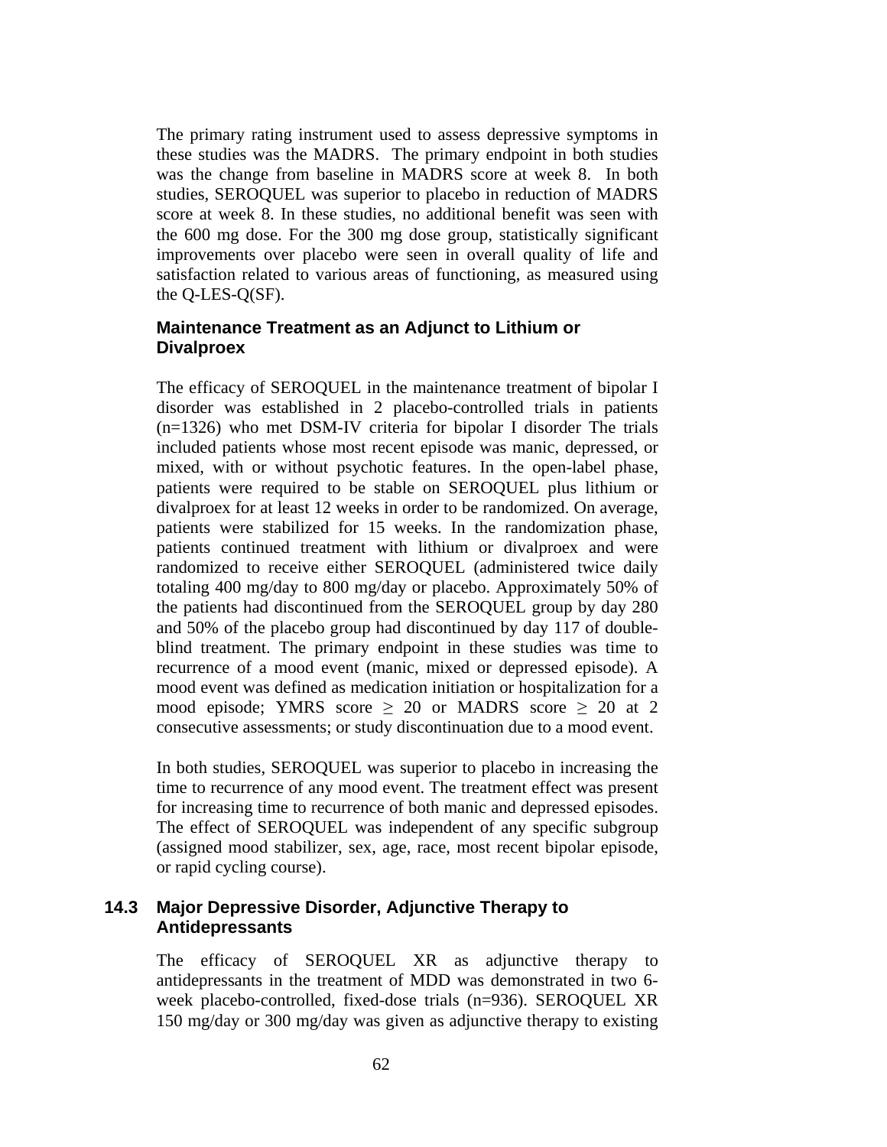The primary rating instrument used to assess depressive symptoms in these studies was the MADRS. The primary endpoint in both studies was the change from baseline in MADRS score at week 8. In both studies, SEROQUEL was superior to placebo in reduction of MADRS score at week 8. In these studies, no additional benefit was seen with the 600 mg dose. For the 300 mg dose group, statistically significant improvements over placebo were seen in overall quality of life and satisfaction related to various areas of functioning, as measured using the Q-LES-Q(SF).

#### **Maintenance Treatment as an Adjunct to Lithium or Divalproex**

The efficacy of SEROQUEL in the maintenance treatment of bipolar I disorder was established in 2 placebo-controlled trials in patients (n=1326) who met DSM-IV criteria for bipolar I disorder The trials included patients whose most recent episode was manic, depressed, or mixed, with or without psychotic features. In the open-label phase, patients were required to be stable on SEROQUEL plus lithium or divalproex for at least 12 weeks in order to be randomized. On average, patients were stabilized for 15 weeks. In the randomization phase, patients continued treatment with lithium or divalproex and were randomized to receive either SEROQUEL (administered twice daily totaling 400 mg/day to 800 mg/day or placebo. Approximately 50% of the patients had discontinued from the SEROQUEL group by day 280 and 50% of the placebo group had discontinued by day 117 of doubleblind treatment. The primary endpoint in these studies was time to recurrence of a mood event (manic, mixed or depressed episode). A mood event was defined as medication initiation or hospitalization for a mood episode; YMRS score  $\geq$  20 or MADRS score  $\geq$  20 at 2 consecutive assessments; or study discontinuation due to a mood event.

In both studies, SEROQUEL was superior to placebo in increasing the time to recurrence of any mood event. The treatment effect was present for increasing time to recurrence of both manic and depressed episodes. The effect of SEROQUEL was independent of any specific subgroup (assigned mood stabilizer, sex, age, race, most recent bipolar episode, or rapid cycling course).

## **14.3 Major Depressive Disorder, Adjunctive Therapy to Antidepressants**

The efficacy of SEROQUEL XR as adjunctive therapy to antidepressants in the treatment of MDD was demonstrated in two 6 week placebo-controlled, fixed-dose trials (n=936). SEROQUEL XR 150 mg/day or 300 mg/day was given as adjunctive therapy to existing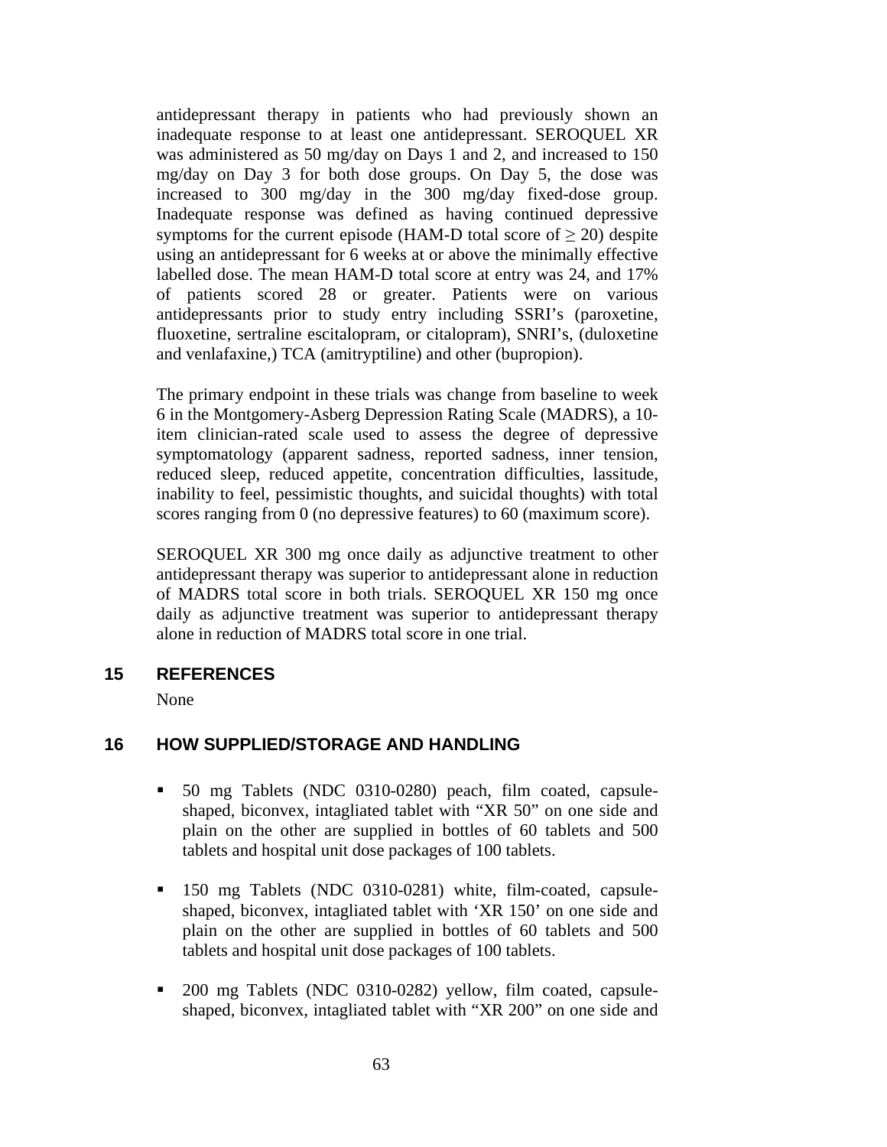antidepressant therapy in patients who had previously shown an inadequate response to at least one antidepressant. SEROQUEL XR was administered as 50 mg/day on Days 1 and 2, and increased to 150 mg/day on Day 3 for both dose groups. On Day 5, the dose was increased to 300 mg/day in the 300 mg/day fixed-dose group. Inadequate response was defined as having continued depressive symptoms for the current episode (HAM-D total score of  $\geq$  20) despite using an antidepressant for 6 weeks at or above the minimally effective labelled dose. The mean HAM-D total score at entry was 24, and 17% of patients scored 28 or greater. Patients were on various antidepressants prior to study entry including SSRI's (paroxetine, fluoxetine, sertraline escitalopram, or citalopram), SNRI's, (duloxetine and venlafaxine,) TCA (amitryptiline) and other (bupropion).

The primary endpoint in these trials was change from baseline to week 6 in the Montgomery-Asberg Depression Rating Scale (MADRS), a 10 item clinician-rated scale used to assess the degree of depressive symptomatology (apparent sadness, reported sadness, inner tension, reduced sleep, reduced appetite, concentration difficulties, lassitude, inability to feel, pessimistic thoughts, and suicidal thoughts) with total scores ranging from 0 (no depressive features) to 60 (maximum score).

SEROQUEL XR 300 mg once daily as adjunctive treatment to other antidepressant therapy was superior to antidepressant alone in reduction of MADRS total score in both trials. SEROQUEL XR 150 mg once daily as adjunctive treatment was superior to antidepressant therapy alone in reduction of MADRS total score in one trial.

#### **15 REFERENCES**

None

#### **16 HOW SUPPLIED/STORAGE AND HANDLING**

- 50 mg Tablets (NDC 0310-0280) peach, film coated, capsuleshaped, biconvex, intagliated tablet with "XR 50" on one side and plain on the other are supplied in bottles of 60 tablets and 500 tablets and hospital unit dose packages of 100 tablets.
- 150 mg Tablets (NDC 0310-0281) white, film-coated, capsuleshaped, biconvex, intagliated tablet with 'XR 150' on one side and plain on the other are supplied in bottles of 60 tablets and 500 tablets and hospital unit dose packages of 100 tablets.
- 200 mg Tablets (NDC 0310-0282) yellow, film coated, capsuleshaped, biconvex, intagliated tablet with "XR 200" on one side and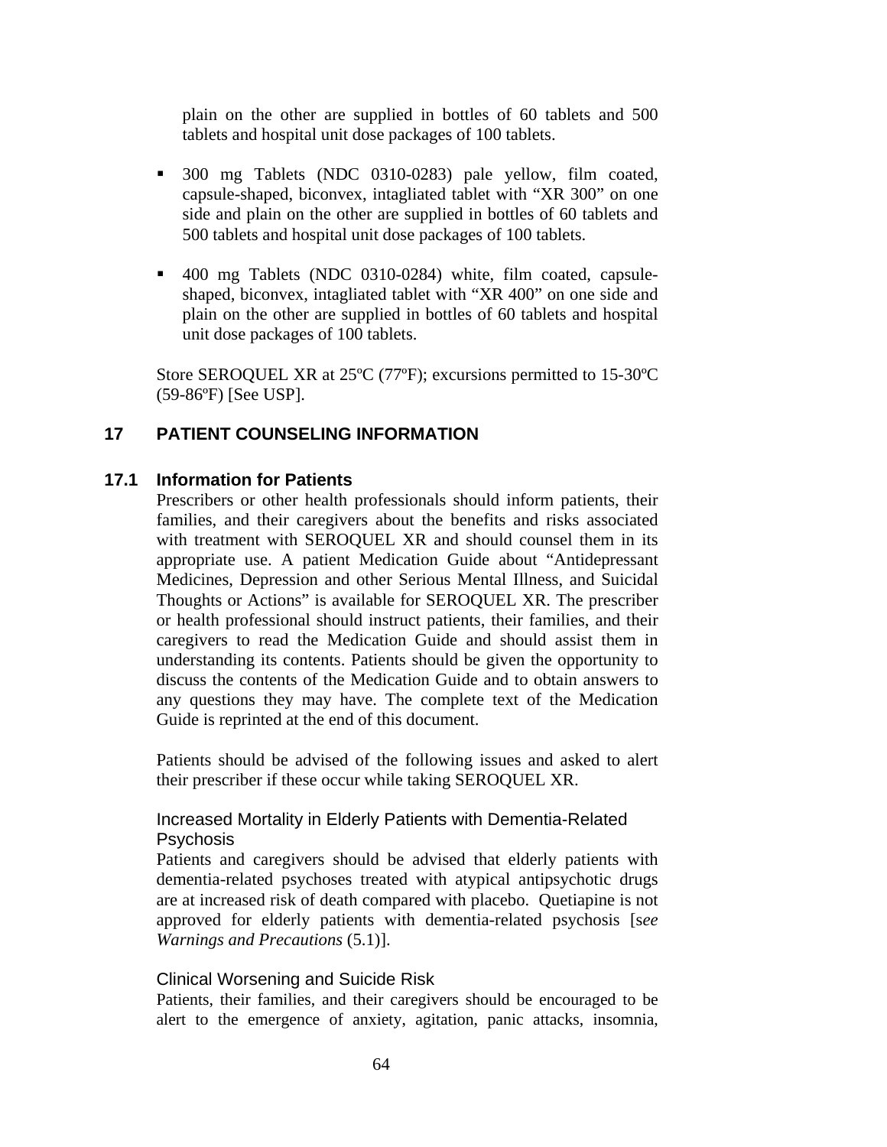plain on the other are supplied in bottles of 60 tablets and 500 tablets and hospital unit dose packages of 100 tablets.

- 300 mg Tablets (NDC 0310-0283) pale yellow, film coated, capsule-shaped, biconvex, intagliated tablet with "XR 300" on one side and plain on the other are supplied in bottles of 60 tablets and 500 tablets and hospital unit dose packages of 100 tablets.
- 400 mg Tablets (NDC 0310-0284) white, film coated, capsuleshaped, biconvex, intagliated tablet with "XR 400" on one side and plain on the other are supplied in bottles of 60 tablets and hospital unit dose packages of 100 tablets.

Store SEROQUEL XR at 25ºC (77ºF); excursions permitted to 15-30ºC (59-86ºF) [See USP].

# **17 PATIENT COUNSELING INFORMATION**

# **17.1 Information for Patients**

Prescribers or other health professionals should inform patients, their families, and their caregivers about the benefits and risks associated with treatment with SEROQUEL XR and should counsel them in its appropriate use. A patient Medication Guide about "Antidepressant Medicines, Depression and other Serious Mental Illness, and Suicidal Thoughts or Actions" is available for SEROQUEL XR. The prescriber or health professional should instruct patients, their families, and their caregivers to read the Medication Guide and should assist them in understanding its contents. Patients should be given the opportunity to discuss the contents of the Medication Guide and to obtain answers to any questions they may have. The complete text of the Medication Guide is reprinted at the end of this document.

Patients should be advised of the following issues and asked to alert their prescriber if these occur while taking SEROQUEL XR.

# Increased Mortality in Elderly Patients with Dementia-Related **Psychosis**

Patients and caregivers should be advised that elderly patients with dementia-related psychoses treated with atypical antipsychotic drugs are at increased risk of death compared with placebo. Quetiapine is not approved for elderly patients with dementia-related psychosis [s*ee Warnings and Precautions* (5.1)].

#### Clinical Worsening and Suicide Risk

Patients, their families, and their caregivers should be encouraged to be alert to the emergence of anxiety, agitation, panic attacks, insomnia,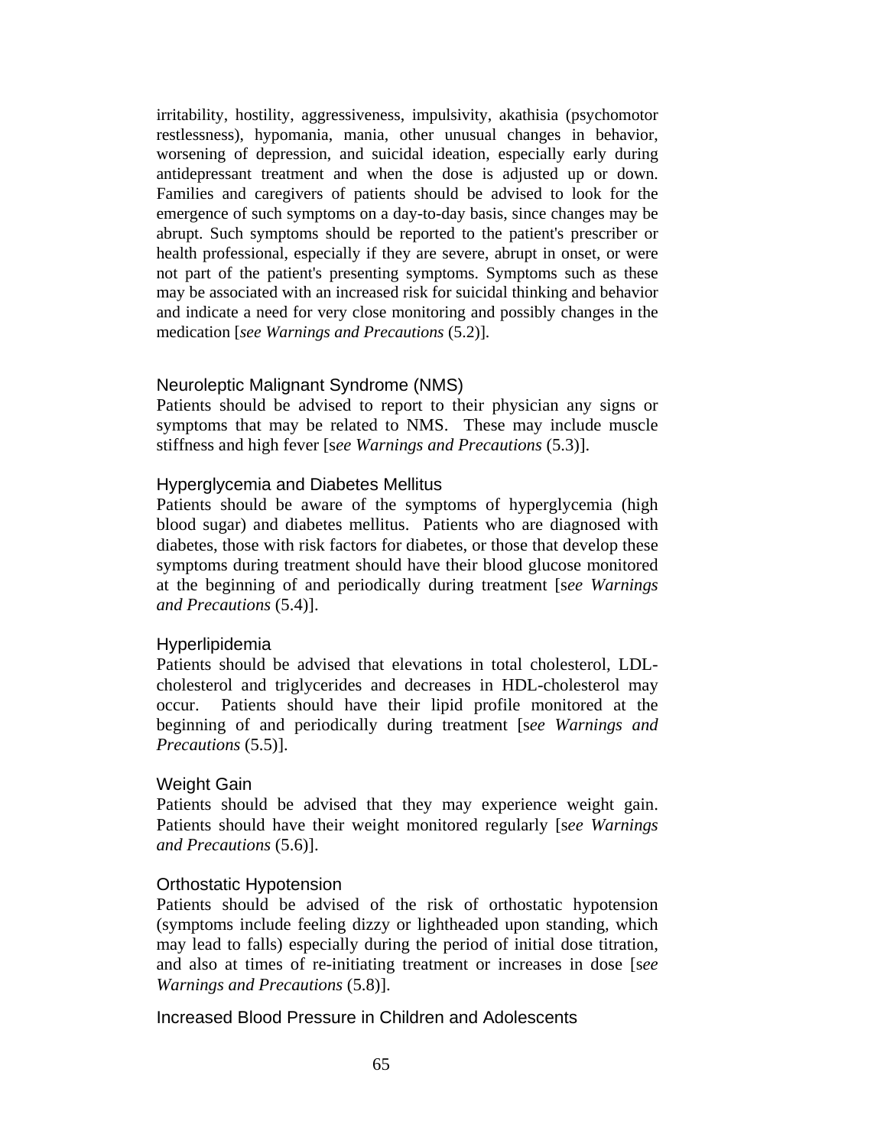medication [*see Warnings and Precautions* (5.2)]. irritability, hostility, aggressiveness, impulsivity, akathisia (psychomotor restlessness), hypomania, mania, other unusual changes in behavior, worsening of depression, and suicidal ideation, especially early during antidepressant treatment and when the dose is adjusted up or down. Families and caregivers of patients should be advised to look for the emergence of such symptoms on a day-to-day basis, since changes may be abrupt. Such symptoms should be reported to the patient's prescriber or health professional, especially if they are severe, abrupt in onset, or were not part of the patient's presenting symptoms. Symptoms such as these may be associated with an increased risk for suicidal thinking and behavior and indicate a need for very close monitoring and possibly changes in the

#### Neuroleptic Malignant Syndrome (NMS)

Patients should be advised to report to their physician any signs or symptoms that may be related to NMS. These may include muscle stiffness and high fever [s*ee Warnings and Precautions* (5.3)].

#### Hyperglycemia and Diabetes Mellitus

Patients should be aware of the symptoms of hyperglycemia (high blood sugar) and diabetes mellitus. Patients who are diagnosed with diabetes, those with risk factors for diabetes, or those that develop these symptoms during treatment should have their blood glucose monitored at the beginning of and periodically during treatment [s*ee Warnings and Precautions* (5.4)].

#### Hyperlipidemia

Patients should be advised that elevations in total cholesterol, LDLcholesterol and triglycerides and decreases in HDL-cholesterol may occur. Patients should have their lipid profile monitored at the beginning of and periodically during treatment [s*ee Warnings and Precautions* (5.5)].

#### Weight Gain

Patients should be advised that they may experience weight gain. Patients should have their weight monitored regularly [s*ee Warnings and Precautions* (5.6)].

#### Orthostatic Hypotension

Patients should be advised of the risk of orthostatic hypotension (symptoms include feeling dizzy or lightheaded upon standing, which may lead to falls) especially during the period of initial dose titration, and also at times of re-initiating treatment or increases in dose [s*ee Warnings and Precautions* (5.8)].

#### Increased Blood Pressure in Children and Adolescents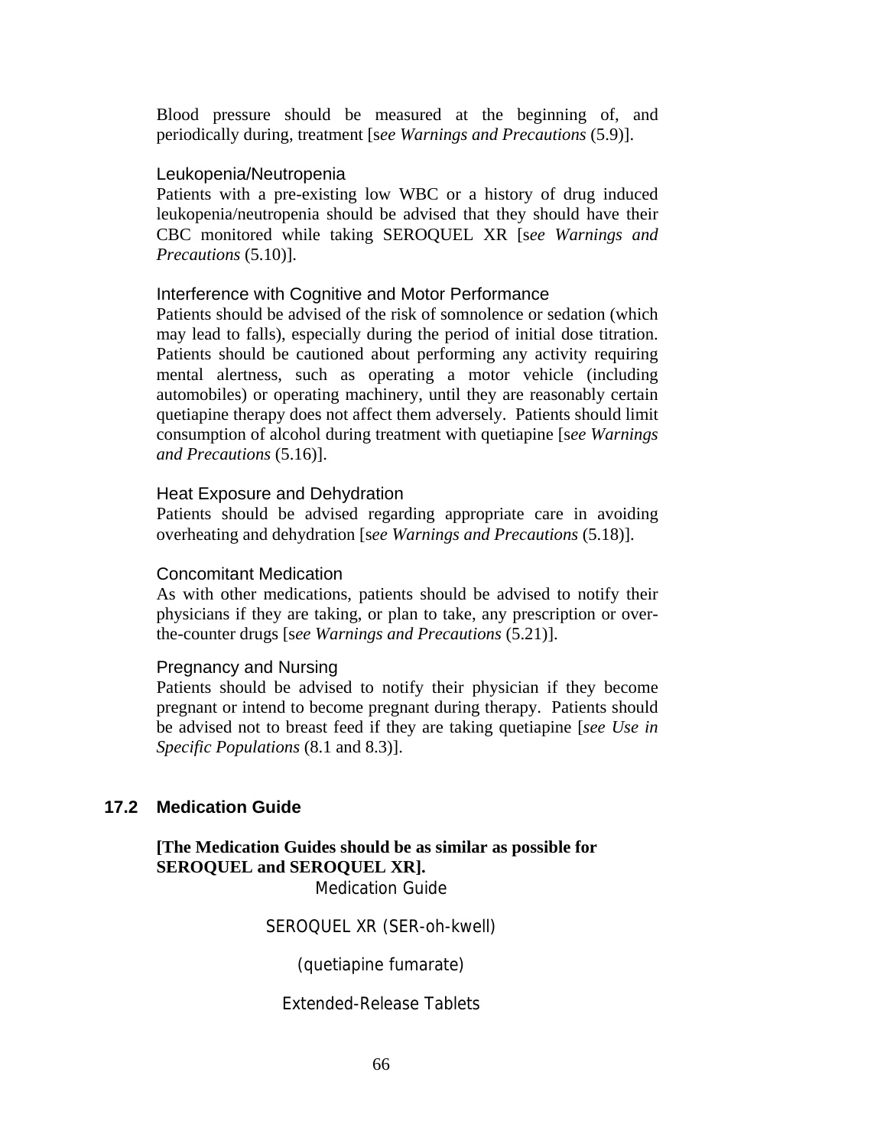Blood pressure should be measured at the beginning of, and periodically during, treatment [s*ee Warnings and Precautions* (5.9)].

#### Leukopenia/Neutropenia

Patients with a pre-existing low WBC or a history of drug induced leukopenia/neutropenia should be advised that they should have their CBC monitored while taking SEROQUEL XR [s*ee Warnings and Precautions* (5.10)].

#### Interference with Cognitive and Motor Performance

Patients should be advised of the risk of somnolence or sedation (which may lead to falls), especially during the period of initial dose titration. Patients should be cautioned about performing any activity requiring mental alertness, such as operating a motor vehicle (including automobiles) or operating machinery, until they are reasonably certain quetiapine therapy does not affect them adversely. Patients should limit consumption of alcohol during treatment with quetiapine [s*ee Warnings and Precautions* (5.16)].

#### Heat Exposure and Dehydration

Patients should be advised regarding appropriate care in avoiding overheating and dehydration [s*ee Warnings and Precautions* (5.18)].

#### Concomitant Medication

As with other medications, patients should be advised to notify their physicians if they are taking, or plan to take, any prescription or overthe-counter drugs [s*ee Warnings and Precautions* (5.21)].

#### Pregnancy and Nursing

Patients should be advised to notify their physician if they become pregnant or intend to become pregnant during therapy. Patients should be advised not to breast feed if they are taking quetiapine [*see Use in Specific Populations* (8.1 and 8.3)].

#### **17.2 Medication Guide**

# **[The Medication Guides should be as similar as possible for SEROQUEL and SEROQUEL XR].**

Medication Guide

SEROQUEL XR (SER-oh-kwell) (quetiapine fumarate)

Extended-Release Tablets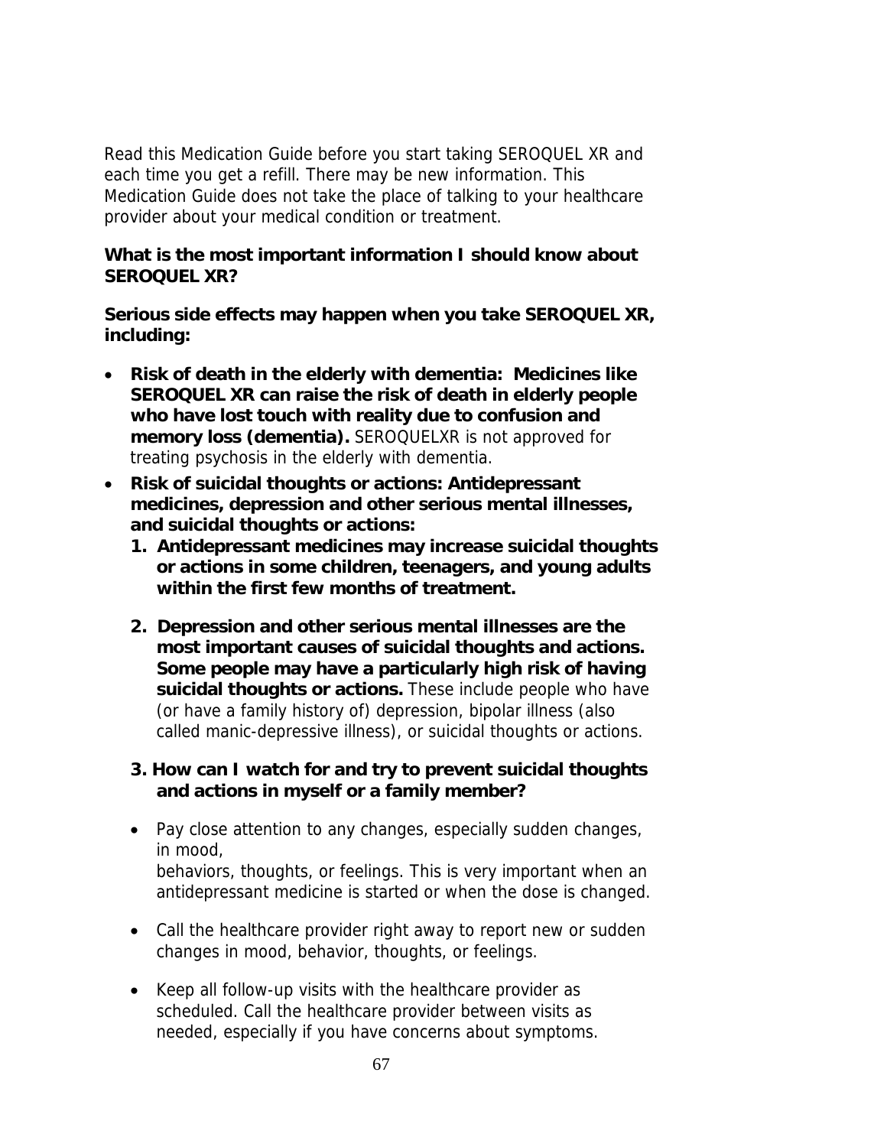Read this Medication Guide before you start taking SEROQUEL XR and each time you get a refill. There may be new information. This Medication Guide does not take the place of talking to your healthcare provider about your medical condition or treatment.

# **What is the most important information I should know about SEROQUEL XR?**

**Serious side effects may happen when you take SEROQUEL XR, including:** 

- • **Risk of death in the elderly with dementia: Medicines like SEROQUEL XR can raise the risk of death in elderly people who have lost touch with reality due to confusion and memory loss (dementia).** SEROQUELXR is not approved for treating psychosis in the elderly with dementia.
- • **Risk of suicidal thoughts or actions: Antidepressant medicines, depression and other serious mental illnesses, and suicidal thoughts or actions:** 
	- **1. Antidepressant medicines may increase suicidal thoughts or actions in some children, teenagers, and young adults within the first few months of treatment.**
	- **2. Depression and other serious mental illnesses are the most important causes of suicidal thoughts and actions. Some people may have a particularly high risk of having**  suicidal thoughts or actions. These include people who have (or have a family history of) depression, bipolar illness (also called manic-depressive illness), or suicidal thoughts or actions.
	- **3. How can I watch for and try to prevent suicidal thoughts and actions in myself or a family member?**
	- Pay close attention to any changes, especially sudden changes, in mood, behaviors, thoughts, or feelings. This is very important when an antidepressant medicine is started or when the dose is changed.
	- Call the healthcare provider right away to report new or sudden changes in mood, behavior, thoughts, or feelings.
	- Keep all follow-up visits with the healthcare provider as scheduled. Call the healthcare provider between visits as needed, especially if you have concerns about symptoms.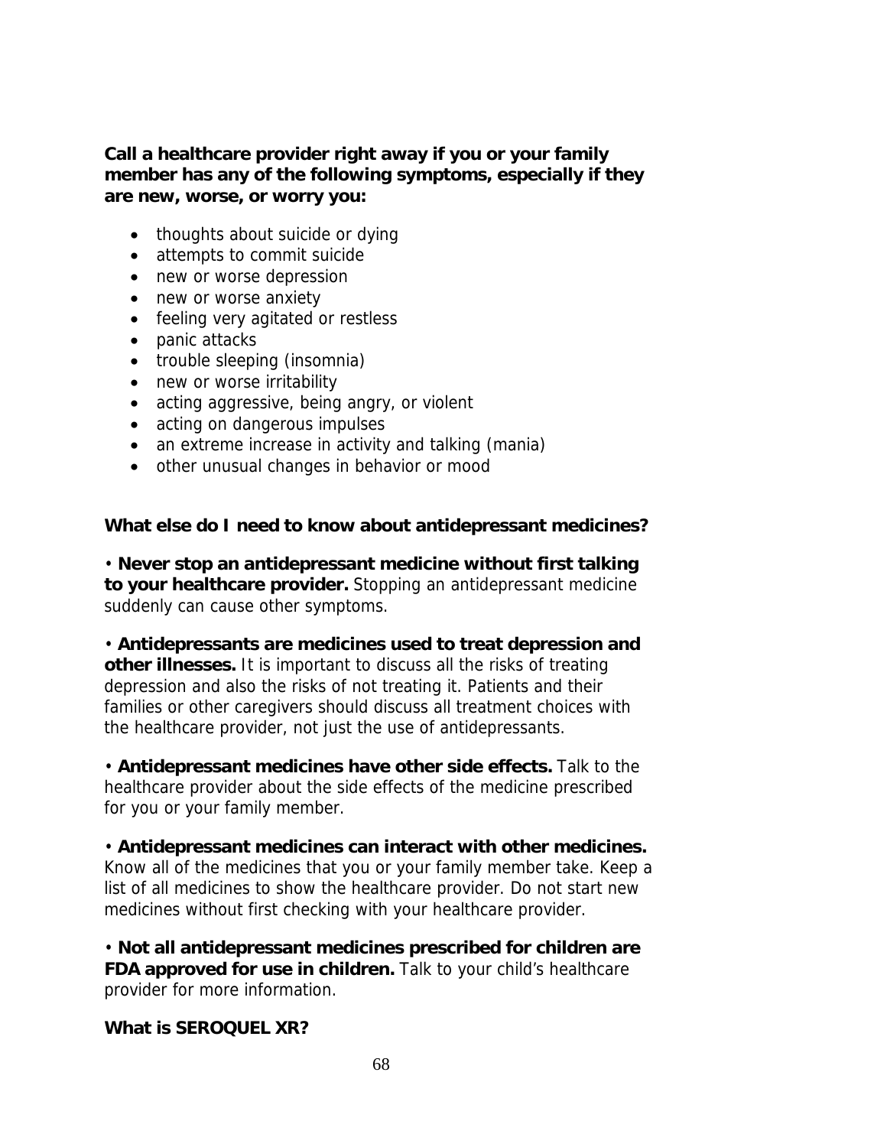# **Call a healthcare provider right away if you or your family member has any of the following symptoms, especially if they are new, worse, or worry you:**

- thoughts about suicide or dying
- attempts to commit suicide
- new or worse depression
- new or worse anxiety
- feeling very agitated or restless
- panic attacks
- trouble sleeping (insomnia)
- new or worse irritability
- acting aggressive, being angry, or violent
- acting on dangerous impulses
- an extreme increase in activity and talking (mania)
- other unusual changes in behavior or mood

# **What else do I need to know about antidepressant medicines?**

• **Never stop an antidepressant medicine without first talking to your healthcare provider.** Stopping an antidepressant medicine suddenly can cause other symptoms.

• **Antidepressants are medicines used to treat depression and other illnesses.** It is important to discuss all the risks of treating depression and also the risks of not treating it. Patients and their families or other caregivers should discuss all treatment choices with the healthcare provider, not just the use of antidepressants.

• **Antidepressant medicines have other side effects.** Talk to the healthcare provider about the side effects of the medicine prescribed for you or your family member.

• **Antidepressant medicines can interact with other medicines.**  Know all of the medicines that you or your family member take. Keep a list of all medicines to show the healthcare provider. Do not start new medicines without first checking with your healthcare provider.

• **Not all antidepressant medicines prescribed for children are FDA approved for use in children.** Talk to your child's healthcare provider for more information.

# **What is SEROQUEL XR?**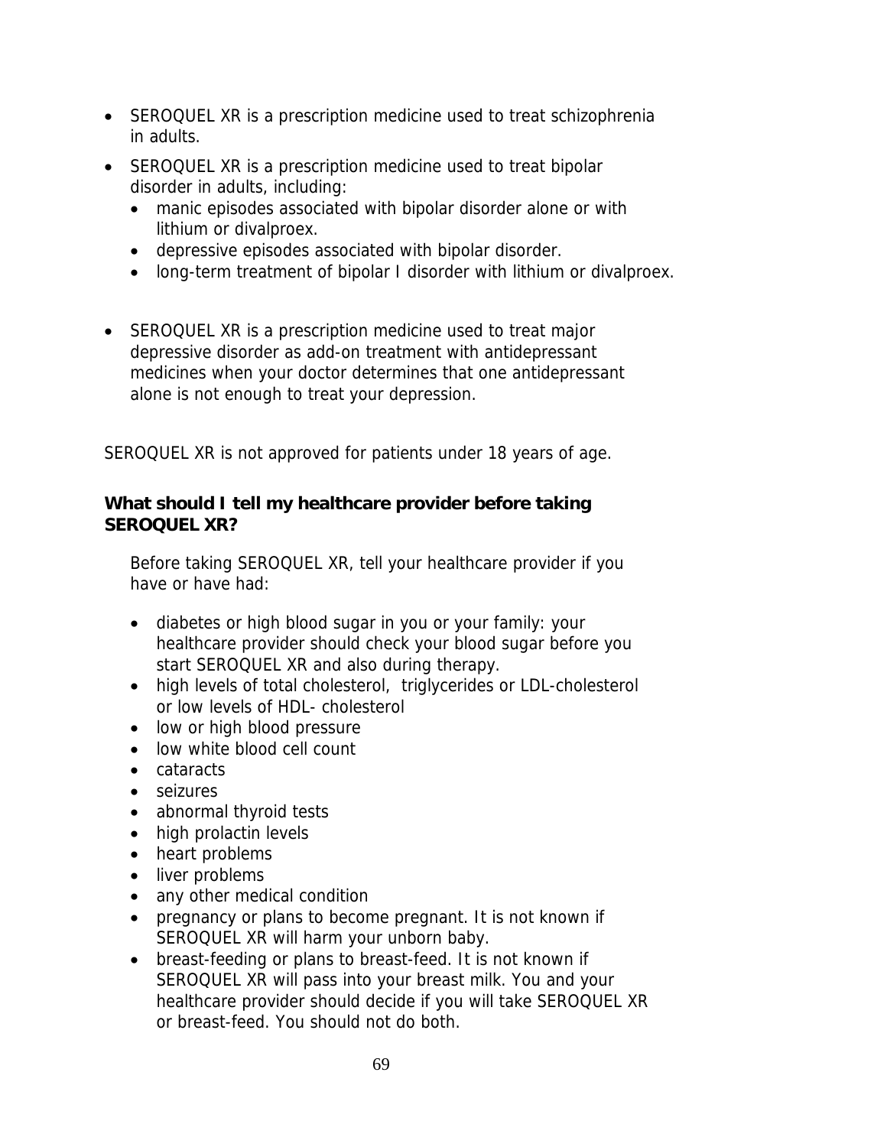- SEROQUEL XR is a prescription medicine used to treat schizophrenia in adults.
- SEROQUEL XR is a prescription medicine used to treat bipolar disorder in adults, including:
	- manic episodes associated with bipolar disorder alone or with lithium or divalproex.
	- • depressive episodes associated with bipolar disorder.
	- long-term treatment of bipolar I disorder with lithium or divalproex.
- SEROQUEL XR is a prescription medicine used to treat major depressive disorder as add-on treatment with antidepressant medicines when your doctor determines that one antidepressant alone is not enough to treat your depression.

SEROQUEL XR is not approved for patients under 18 years of age.

# **What should I tell my healthcare provider before taking SEROQUEL XR?**

Before taking SEROQUEL XR, tell your healthcare provider if you have or have had:

- diabetes or high blood sugar in you or your family: your healthcare provider should check your blood sugar before you start SEROQUEL XR and also during therapy.
- high levels of total cholesterol, triglycerides or LDL-cholesterol or low levels of HDL- cholesterol
- low or high blood pressure
- low white blood cell count
- • cataracts
- • seizures
- abnormal thyroid tests
- high prolactin levels
- heart problems
- liver problems
- any other medical condition
- SEROQUEL XR will harm your unborn baby. • pregnancy or plans to become pregnant. It is not known if
- breast-feeding or plans to breast-feed. It is not known if SEROQUEL XR will pass into your breast milk. You and your healthcare provider should decide if you will take SEROQUEL XR or breast-feed. You should not do both.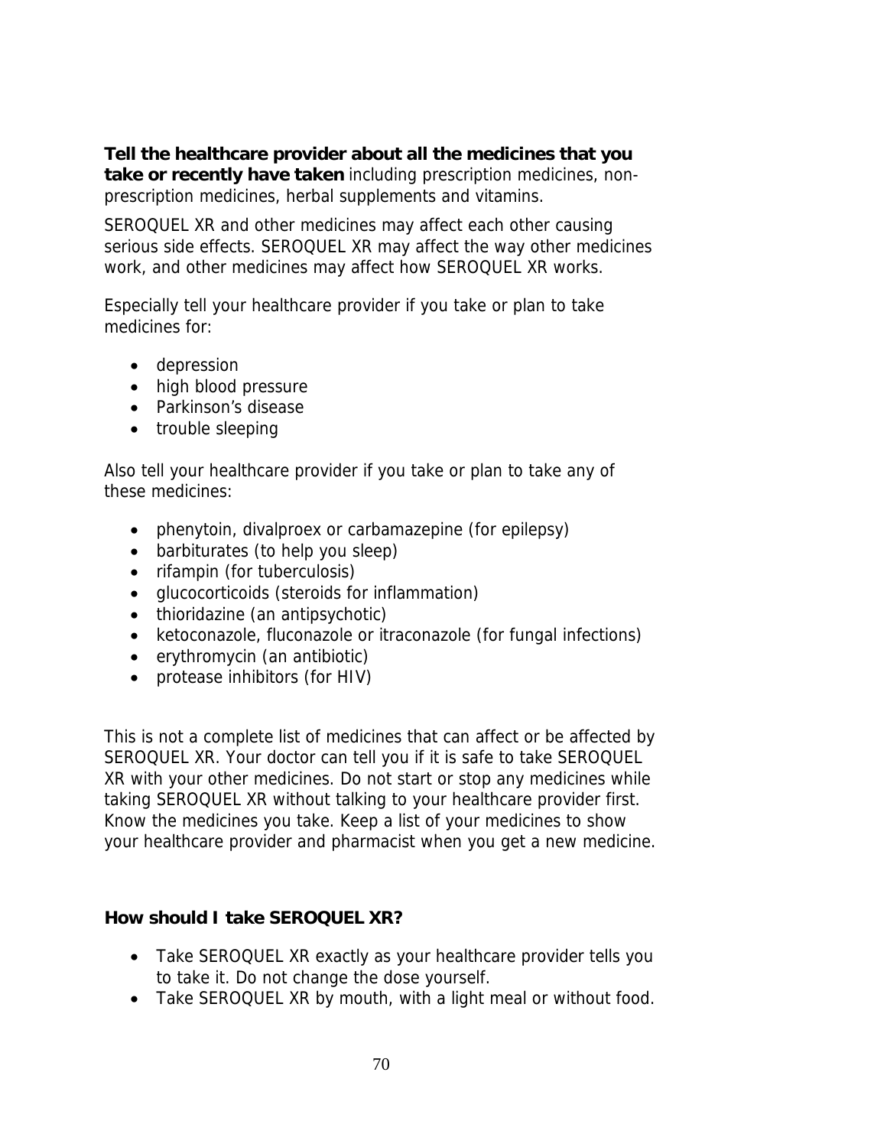**Tell the healthcare provider about all the medicines that you take or recently have taken** including prescription medicines, nonprescription medicines, herbal supplements and vitamins.

SEROQUEL XR and other medicines may affect each other causing serious side effects. SEROQUEL XR may affect the way other medicines

work, and other medicines may affect how SEROQUEL XR works.<br>Especially tell your healthcare provider if you take or plan to take medicines for:

- • depression
- high blood pressure
- • Parkinson's disease
- trouble sleeping

Also tell your healthcare provider if you take or plan to take any of these medicines:

- phenytoin, divalproex or carbamazepine (for epilepsy)
- barbiturates (to help you sleep)
- rifampin (for tuberculosis)
- • glucocorticoids (steroids for inflammation)
- thioridazine (an antipsychotic)
- ketoconazole, fluconazole or itraconazole (for fungal infections)
- erythromycin (an antibiotic)
- protease inhibitors (for HIV)

This is not a complete list of medicines that can affect or be affected by SEROQUEL XR. Your doctor can tell you if it is safe to take SEROQUEL XR with your other medicines. Do not start or stop any medicines while taking SEROQUEL XR without talking to your healthcare provider first. Know the medicines you take. Keep a list of your medicines to show your healthcare provider and pharmacist when you get a new medicine.

# **How should I take SEROQUEL XR?**

- Take SEROQUEL XR exactly as your healthcare provider tells you to take it. Do not change the dose yourself.
- Take SEROQUEL XR by mouth, with a light meal or without food.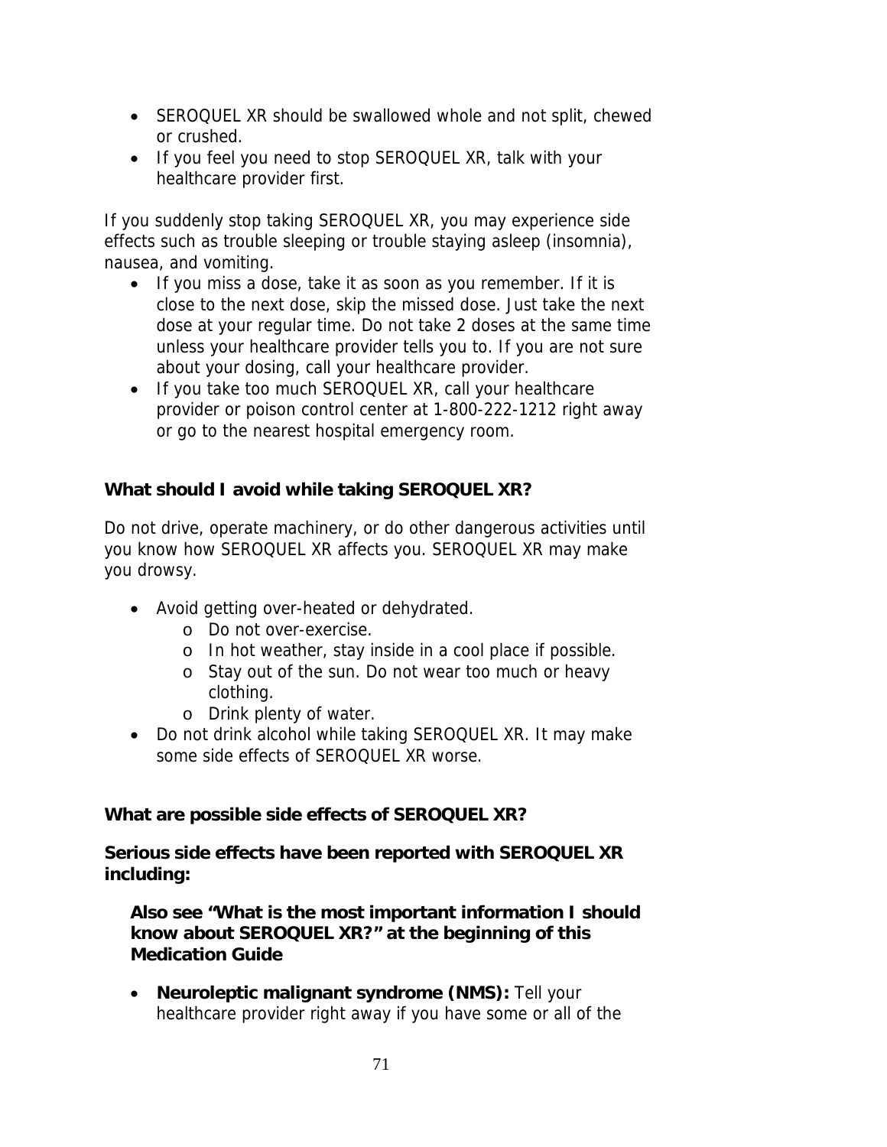- SEROQUEL XR should be swallowed whole and not split, chewed or crushed.
- If you feel you need to stop SEROQUEL XR, talk with your healthcare provider first.

If you suddenly stop taking SEROQUEL XR, you may experience side effects such as trouble sleeping or trouble staying asleep (insomnia), nausea, and vomiting.

- If you miss a dose, take it as soon as you remember. If it is close to the next dose, skip the missed dose. Just take the next dose at your regular time. Do not take 2 doses at the same time unless your healthcare provider tells you to. If you are not sure about your dosing, call your healthcare provider.
- If you take too much SEROQUEL XR, call your healthcare provider or poison control center at 1-800-222-1212 right away or go to the nearest hospital emergency room.

# **What should I avoid while taking SEROQUEL XR?**

Do not drive, operate machinery, or do other dangerous activities until you know how SEROQUEL XR affects you. SEROQUEL XR may make you drowsy.

- Avoid getting over-heated or dehydrated.
	- o Do not over-exercise.
	- o In hot weather, stay inside in a cool place if possible.
	- o Stay out of the sun. Do not wear too much or heavy clothing.
	- o Drink plenty of water.
- Do not drink alcohol while taking SEROQUEL XR. It may make some side effects of SEROQUEL XR worse.

# **What are possible side effects of SEROQUEL XR?**

**Serious side effects have been reported with SEROQUEL XR including:** 

**Also see "What is the most important information I should know about SEROQUEL XR?" at the beginning of this Medication Guide** 

• **Neuroleptic malignant syndrome (NMS):** Tell your healthcare provider right away if you have some or all of the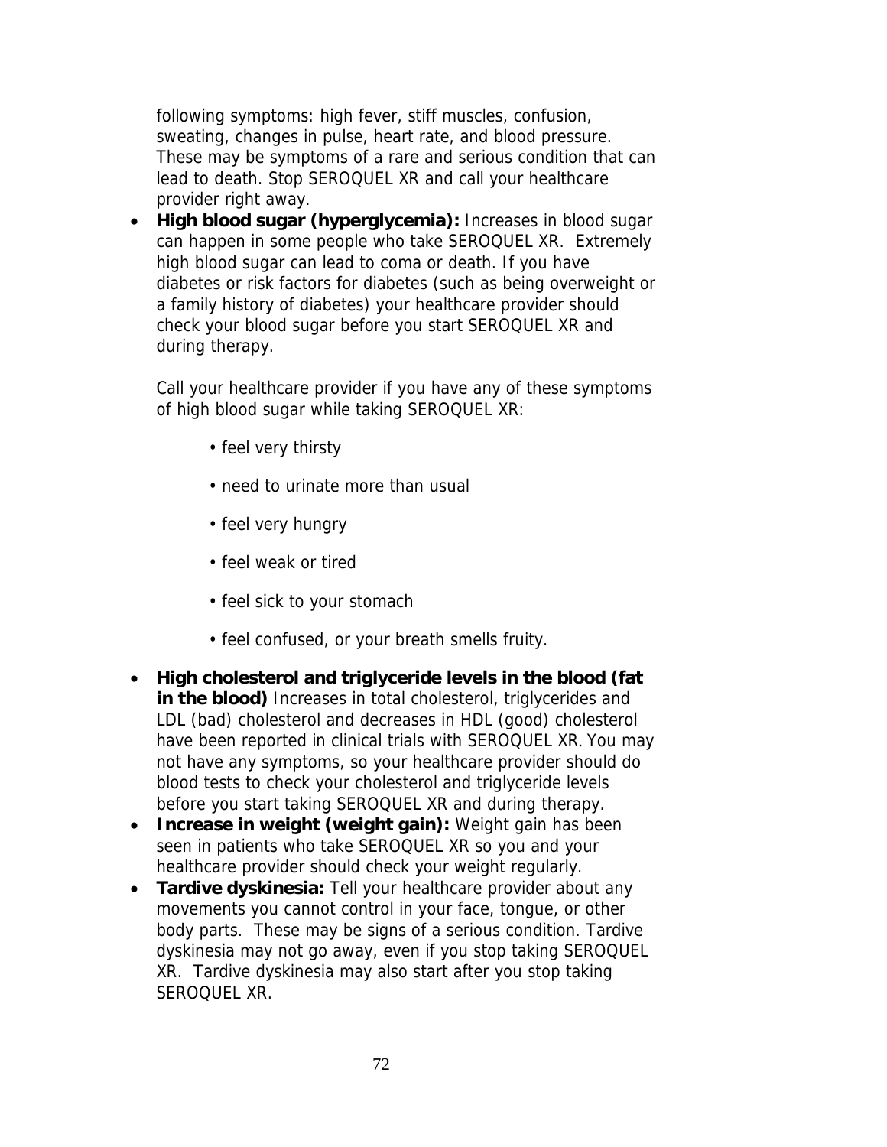following symptoms: high fever, stiff muscles, confusion, sweating, changes in pulse, heart rate, and blood pressure. These may be symptoms of a rare and serious condition that can lead to death. Stop SEROQUEL XR and call your healthcare provider right away.

• **High blood sugar (hyperglycemia):** Increases in blood sugar can happen in some people who take SEROQUEL XR. Extremely high blood sugar can lead to coma or death. If you have diabetes or risk factors for diabetes (such as being overweight or a family history of diabetes) your healthcare provider should check your blood sugar before you start SEROQUEL XR and during therapy.

Call your healthcare provider if you have any of these symptoms of high blood sugar while taking SEROQUEL XR:

- feel very thirsty
- need to urinate more than usual
- feel very hungry
- feel weak or tired
- feel sick to your stomach
- feel confused, or your breath smells fruity.
- • **High cholesterol and triglyceride levels in the blood (fat in the blood)** Increases in total cholesterol, triglycerides and LDL (bad) cholesterol and decreases in HDL (good) cholesterol have been reported in clinical trials with SEROQUEL XR. You may not have any symptoms, so your healthcare provider should do blood tests to check your cholesterol and triglyceride levels before you start taking SEROQUEL XR and during therapy.
- **Increase in weight (weight gain):** Weight gain has been seen in patients who take SEROQUEL XR so you and your healthcare provider should check your weight regularly.
- **Tardive dyskinesia:** Tell your healthcare provider about any movements you cannot control in your face, tongue, or other body parts. These may be signs of a serious condition. Tardive dyskinesia may not go away, even if you stop taking SEROQUEL XR. Tardive dyskinesia may also start after you stop taking SEROQUEL XR.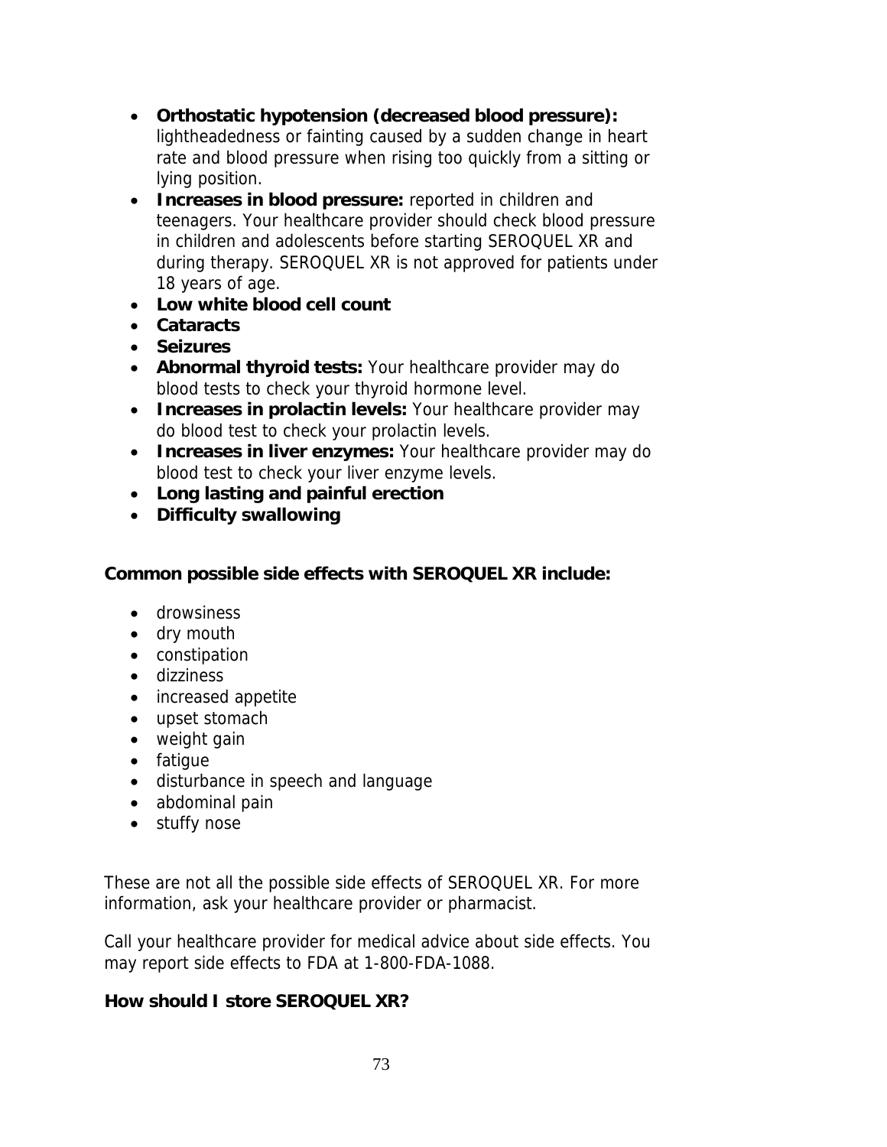- **Orthostatic hypotension (decreased blood pressure):**  lightheadedness or fainting caused by a sudden change in heart rate and blood pressure when rising too quickly from a sitting or lying position.
- • **Increases in blood pressure:** reported in children and teenagers. Your healthcare provider should check blood pressure in children and adolescents before starting SEROQUEL XR and during therapy. SEROQUEL XR is not approved for patients under 18 years of age.
- • **Low white blood cell count**
- • **Cataracts**
- • **Seizures**
- • **Abnormal thyroid tests:** Your healthcare provider may do blood tests to check your thyroid hormone level.
- **Increases in prolactin levels:** Your healthcare provider may do blood test to check your prolactin levels.
- • **Increases in liver enzymes:** Your healthcare provider may do blood test to check your liver enzyme levels.
- • **Long lasting and painful erection**
- • **Difficulty swallowing**

### **Common possible side effects with SEROQUEL XR include:**

- drowsiness
- dry mouth
- • constipation
- • dizziness
- increased appetite
- upset stomach
- weight gain
- • fatigue
- disturbance in speech and language
- abdominal pain
- stuffy nose

These are not all the possible side effects of SEROQUEL XR. For more information, ask your healthcare provider or pharmacist.

Call your healthcare provider for medical advice about side effects. You may report side effects to FDA at 1-800-FDA-1088.

### **How should I store SEROQUEL XR?**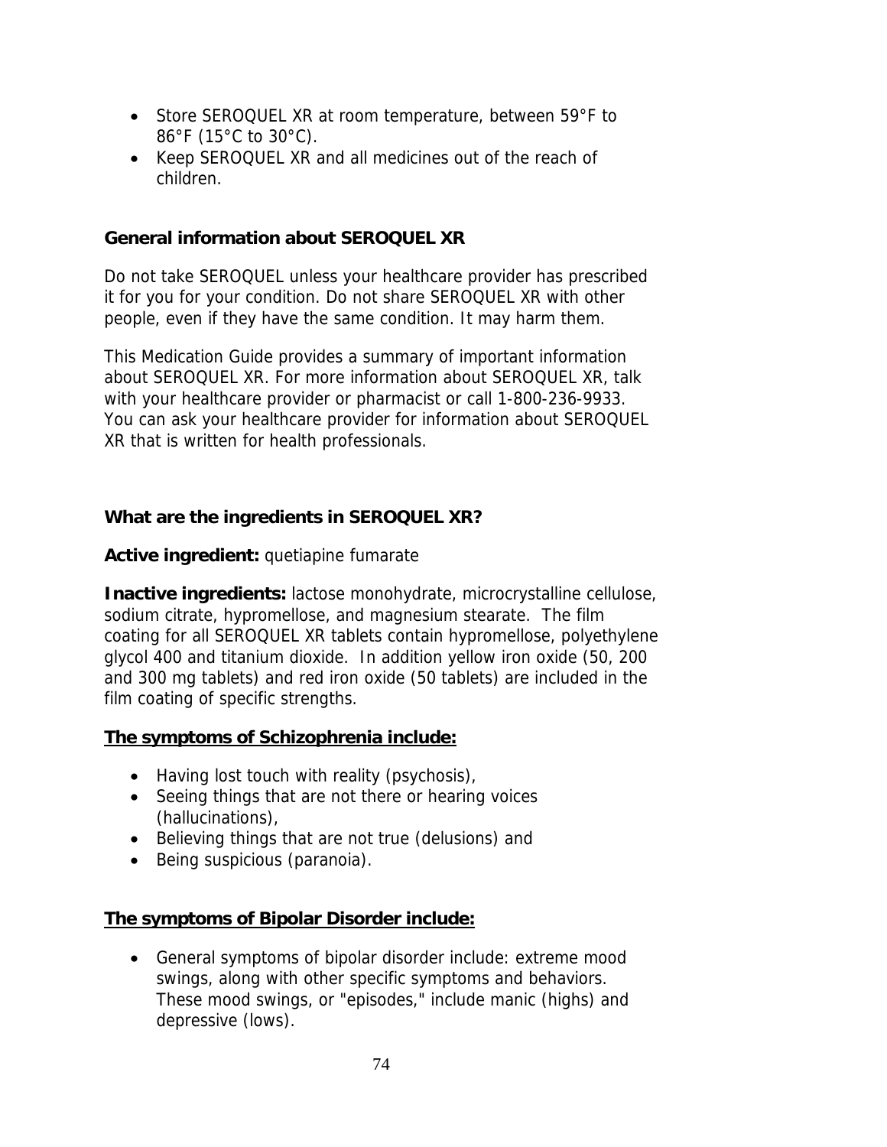- Store SEROQUEL XR at room temperature, between 59°F to 86°F (15°C to 30°C).
- Keep SEROQUEL XR and all medicines out of the reach of children.

## **General information about SEROQUEL XR**

Do not take SEROQUEL unless your healthcare provider has prescribed it for you for your condition. Do not share SEROQUEL XR with other people, even if they have the same condition. It may harm them.

This Medication Guide provides a summary of important information about SEROQUEL XR. For more information about SEROQUEL XR, talk with your healthcare provider or pharmacist or call 1-800-236-9933. You can ask your healthcare provider for information about SEROQUEL XR that is written for health professionals.

# **What are the ingredients in SEROQUEL XR?**

### **Active ingredient:** quetiapine fumarate

**Inactive ingredients:** lactose monohydrate, microcrystalline cellulose, sodium citrate, hypromellose, and magnesium stearate. The film coating for all SEROQUEL XR tablets contain hypromellose, polyethylene glycol 400 and titanium dioxide. In addition yellow iron oxide (50, 200 and 300 mg tablets) and red iron oxide (50 tablets) are included in the film coating of specific strengths.

## **The symptoms of Schizophrenia include:**

- Having lost touch with reality (psychosis),
- Seeing things that are not there or hearing voices (hallucinations),
- Believing things that are not true (delusions) and
- Being suspicious (paranoia).

## **The symptoms of Bipolar Disorder include:**

• General symptoms of bipolar disorder include: extreme mood swings, along with other specific symptoms and behaviors. These mood swings, or "episodes," include manic (highs) and depressive (lows).